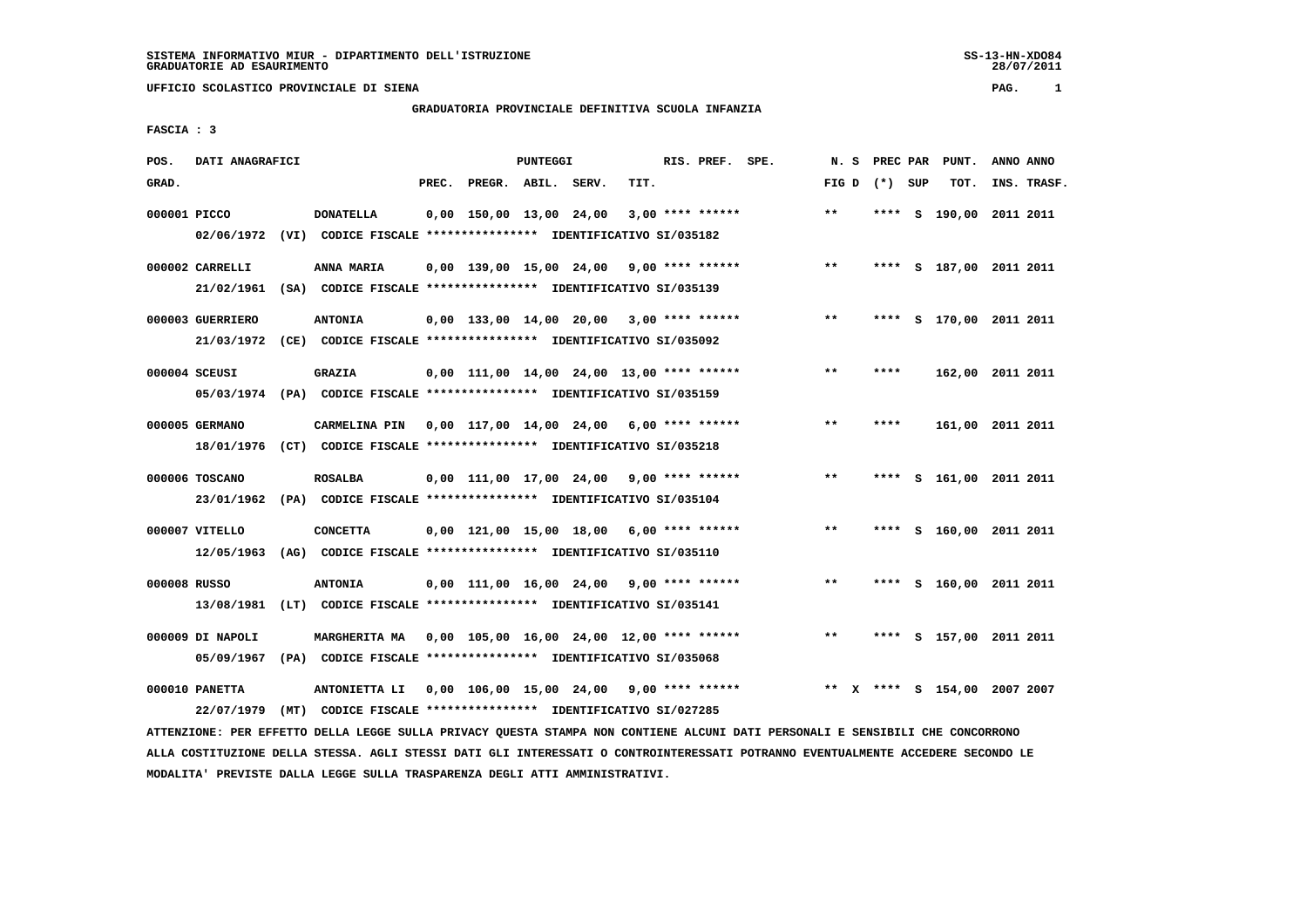# **GRADUATORIA PROVINCIALE DEFINITIVA SCUOLA INFANZIA**

 **FASCIA : 3**

| POS.         | DATI ANAGRAFICI  |                                                                          |       |                                             | <b>PUNTEGGI</b> |      | RIS. PREF. SPE.    | N.S          |         | PREC PAR PUNT.            | ANNO ANNO |             |
|--------------|------------------|--------------------------------------------------------------------------|-------|---------------------------------------------|-----------------|------|--------------------|--------------|---------|---------------------------|-----------|-------------|
| GRAD.        |                  |                                                                          | PREC. | PREGR. ABIL. SERV.                          |                 | TIT. |                    | FIG D        | (*) SUP | TOT.                      |           | INS. TRASF. |
| 000001 PICCO |                  | <b>DONATELLA</b>                                                         |       | 0,00 150,00 13,00 24,00                     |                 |      | $3,00$ **** ****** | $\star\star$ |         | **** S 190,00 2011 2011   |           |             |
|              |                  | 02/06/1972 (VI) CODICE FISCALE *************** IDENTIFICATIVO SI/035182  |       |                                             |                 |      |                    |              |         |                           |           |             |
|              | 000002 CARRELLI  | ANNA MARIA                                                               |       | $0,00$ 139,00 15,00 24,00 9,00 **** ******  |                 |      |                    | $***$        |         | **** S 187,00 2011 2011   |           |             |
|              |                  | 21/02/1961 (SA) CODICE FISCALE **************** IDENTIFICATIVO SI/035139 |       |                                             |                 |      |                    |              |         |                           |           |             |
|              | 000003 GUERRIERO | <b>ANTONIA</b>                                                           |       | $0.00$ 133.00 14.00 20.00 3.00 **** ******  |                 |      |                    | $***$        | ****    | S 170,00 2011 2011        |           |             |
|              |                  | 21/03/1972 (CE) CODICE FISCALE *************** IDENTIFICATIVO SI/035092  |       |                                             |                 |      |                    |              |         |                           |           |             |
|              | 000004 SCEUSI    | <b>GRAZIA</b>                                                            |       | $0,00$ 111,00 14,00 24,00 13,00 **** ****** |                 |      |                    | $\star\star$ | ****    | 162,00 2011 2011          |           |             |
|              |                  | 05/03/1974 (PA) CODICE FISCALE *************** IDENTIFICATIVO SI/035159  |       |                                             |                 |      |                    |              |         |                           |           |             |
|              | 000005 GERMANO   | CARMELINA PIN                                                            |       | $0,00$ 117,00 14,00 24,00 6,00 **** ******  |                 |      |                    | $* *$        | ****    | 161,00 2011 2011          |           |             |
|              | 18/01/1976       | (CT) CODICE FISCALE **************** IDENTIFICATIVO SI/035218            |       |                                             |                 |      |                    |              |         |                           |           |             |
|              | 000006 TOSCANO   | <b>ROSALBA</b>                                                           |       | $0,00$ 111,00 17,00 24,00 9,00 **** ******  |                 |      |                    | **           | ****    | S 161,00 2011 2011        |           |             |
|              | 23/01/1962       | (PA) CODICE FISCALE **************** IDENTIFICATIVO SI/035104            |       |                                             |                 |      |                    |              |         |                           |           |             |
|              | 000007 VITELLO   | <b>CONCETTA</b>                                                          |       | $0,00$ 121,00 15,00 18,00 6,00 **** ******  |                 |      |                    | **           |         | **** S 160,00 2011 2011   |           |             |
|              | 12/05/1963       | (AG) CODICE FISCALE **************** IDENTIFICATIVO SI/035110            |       |                                             |                 |      |                    |              |         |                           |           |             |
| 000008 RUSSO |                  | <b>ANTONIA</b>                                                           |       | $0,00$ 111,00 16,00 24,00 9,00 **** ******  |                 |      |                    | $* *$        |         | **** S 160,00 2011 2011   |           |             |
|              | 13/08/1981       | (LT) CODICE FISCALE **************** IDENTIFICATIVO SI/035141            |       |                                             |                 |      |                    |              |         |                           |           |             |
|              | 000009 DI NAPOLI | MARGHERITA MA                                                            |       | 0,00 105,00 16,00 24,00 12,00 **** ******   |                 |      |                    | $* *$        |         | **** S 157,00 2011 2011   |           |             |
|              | 05/09/1967       | (PA) CODICE FISCALE **************** IDENTIFICATIVO SI/035068            |       |                                             |                 |      |                    |              |         |                           |           |             |
|              | 000010 PANETTA   | ANTONIETTA LI                                                            |       | $0,00$ 106,00 15,00 24,00 9,00 **** ******  |                 |      |                    |              |         | X **** S 154,00 2007 2007 |           |             |
|              | 22/07/1979       | (MT) CODICE FISCALE **************** IDENTIFICATIVO SI/027285            |       |                                             |                 |      |                    |              |         |                           |           |             |

 **ATTENZIONE: PER EFFETTO DELLA LEGGE SULLA PRIVACY QUESTA STAMPA NON CONTIENE ALCUNI DATI PERSONALI E SENSIBILI CHE CONCORRONO ALLA COSTITUZIONE DELLA STESSA. AGLI STESSI DATI GLI INTERESSATI O CONTROINTERESSATI POTRANNO EVENTUALMENTE ACCEDERE SECONDO LE MODALITA' PREVISTE DALLA LEGGE SULLA TRASPARENZA DEGLI ATTI AMMINISTRATIVI.**

SS-13-HN-XDO84<br>28/07/2011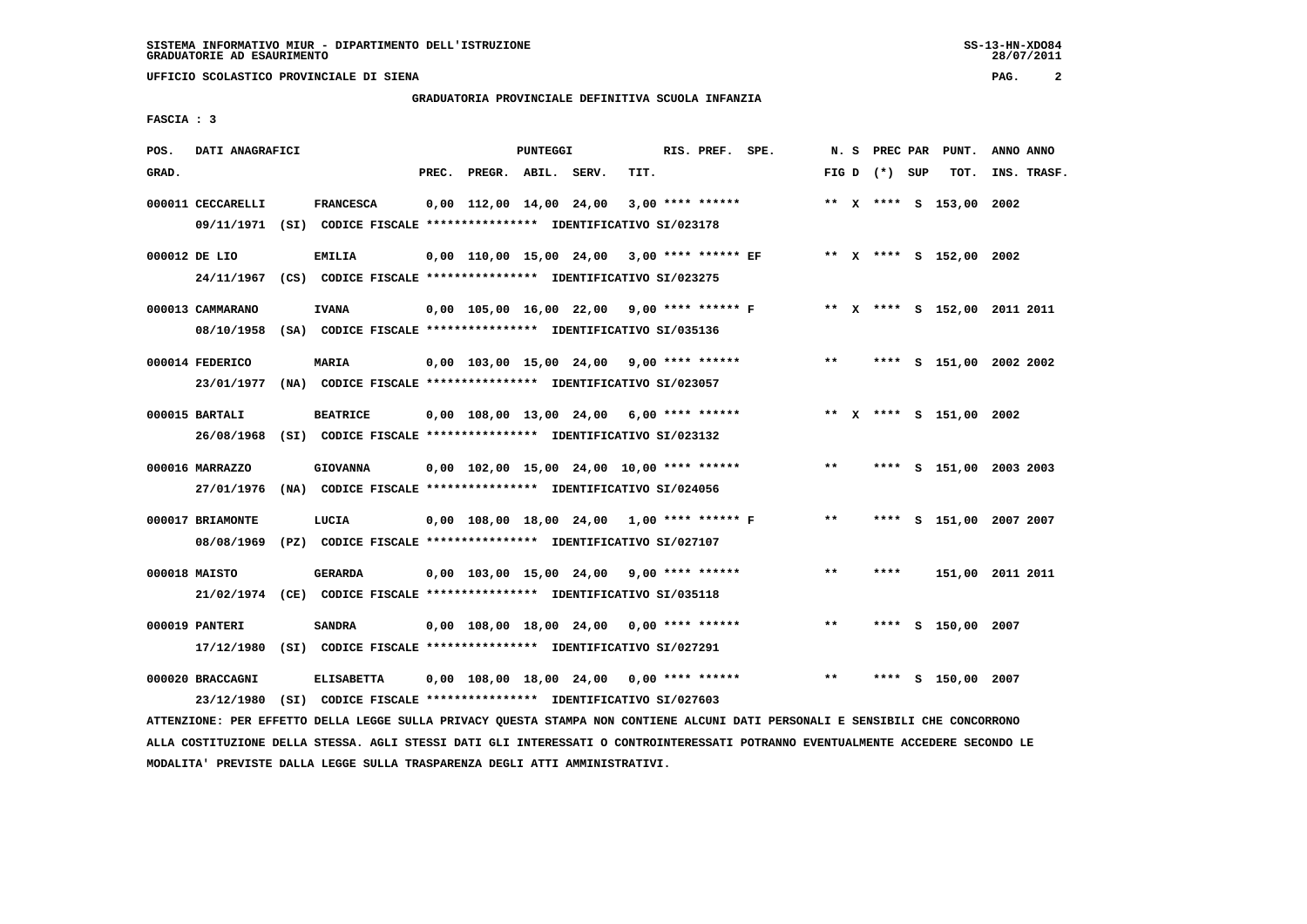# **GRADUATORIA PROVINCIALE DEFINITIVA SCUOLA INFANZIA**

 **FASCIA : 3**

| POS.  | DATI ANAGRAFICI                                                                              |                                                                                    |       |                                                         | PUNTEGGI |      | RIS. PREF. SPE. |                                             |       |                 | N. S PREC PAR PUNT.     | ANNO ANNO                    |  |
|-------|----------------------------------------------------------------------------------------------|------------------------------------------------------------------------------------|-------|---------------------------------------------------------|----------|------|-----------------|---------------------------------------------|-------|-----------------|-------------------------|------------------------------|--|
| GRAD. |                                                                                              |                                                                                    | PREC. | PREGR. ABIL. SERV.                                      |          | TIT. |                 |                                             |       | FIG D $(*)$ SUP | TOT.                    | INS. TRASF.                  |  |
|       | 000011 CECCARELLI<br>09/11/1971 (SI) CODICE FISCALE *************** IDENTIFICATIVO SI/023178 | <b>FRANCESCA</b>                                                                   |       | $0,00$ 112,00 14,00 24,00 3,00 **** ******              |          |      |                 |                                             |       |                 | ** X **** S 153,00 2002 |                              |  |
|       | 000012 DE LIO<br>24/11/1967 (CS) CODICE FISCALE *************** IDENTIFICATIVO SI/023275     | EMILIA                                                                             |       |                                                         |          |      |                 | 0,00 110,00 15,00 24,00 3,00 **** ****** EF |       |                 | ** X **** S 152,00 2002 |                              |  |
|       | 000013 CAMMARANO<br>08/10/1958 (SA) CODICE FISCALE *************** IDENTIFICATIVO SI/035136  | <b>IVANA</b>                                                                       |       | 0,00 105,00 16,00 22,00 9,00 **** ****** F              |          |      |                 |                                             |       |                 |                         | ** X **** S 152,00 2011 2011 |  |
|       | 000014 FEDERICO<br>23/01/1977 (NA) CODICE FISCALE *************** IDENTIFICATIVO SI/023057   | MARIA                                                                              |       | $0.00$ 103.00 15.00 24.00 9.00 **** ******              |          |      |                 |                                             | $***$ |                 |                         | **** S 151,00 2002 2002      |  |
|       | 000015 BARTALI<br>26/08/1968 (SI) CODICE FISCALE *************** IDENTIFICATIVO SI/023132    | <b>BEATRICE</b>                                                                    |       | $0,00$ $108,00$ $13,00$ $24,00$ $6,00$ $***$ **** ***** |          |      |                 |                                             |       |                 | ** X **** S 151,00 2002 |                              |  |
|       | 000016 MARRAZZO<br>27/01/1976 (NA) CODICE FISCALE *************** IDENTIFICATIVO SI/024056   | <b>GIOVANNA</b>                                                                    |       | $0,00$ 102,00 15,00 24,00 10,00 **** ******             |          |      |                 |                                             | $* *$ |                 |                         | **** S 151,00 2003 2003      |  |
|       | 000017 BRIAMONTE<br>08/08/1969                                                               | LUCIA<br>(PZ) CODICE FISCALE **************** IDENTIFICATIVO SI/027107             |       | 0,00 108,00 18,00 24,00 1,00 **** ****** F              |          |      |                 |                                             | $***$ |                 |                         | **** S 151,00 2007 2007      |  |
|       | 000018 MAISTO<br>21/02/1974 (CE) CODICE FISCALE *************** IDENTIFICATIVO SI/035118     | <b>GERARDA</b>                                                                     |       | $0,00$ 103,00 15,00 24,00 9,00 **** ******              |          |      |                 |                                             | $* *$ | ****            |                         | 151,00 2011 2011             |  |
|       | 000019 PANTERI<br>17/12/1980 (SI) CODICE FISCALE *************** IDENTIFICATIVO SI/027291    | <b>SANDRA</b>                                                                      |       | $0,00$ 108,00 18,00 24,00 0,00 **** ******              |          |      |                 |                                             | **    |                 | **** S 150,00 2007      |                              |  |
|       | 000020 BRACCAGNI<br>23/12/1980                                                               | <b>ELISABETTA</b><br>(SI) CODICE FISCALE **************** IDENTIFICATIVO SI/027603 |       | $0,00$ 108,00 18,00 24,00 0,00 **** ******              |          |      |                 |                                             | $***$ | ****            | S 150,00 2007           |                              |  |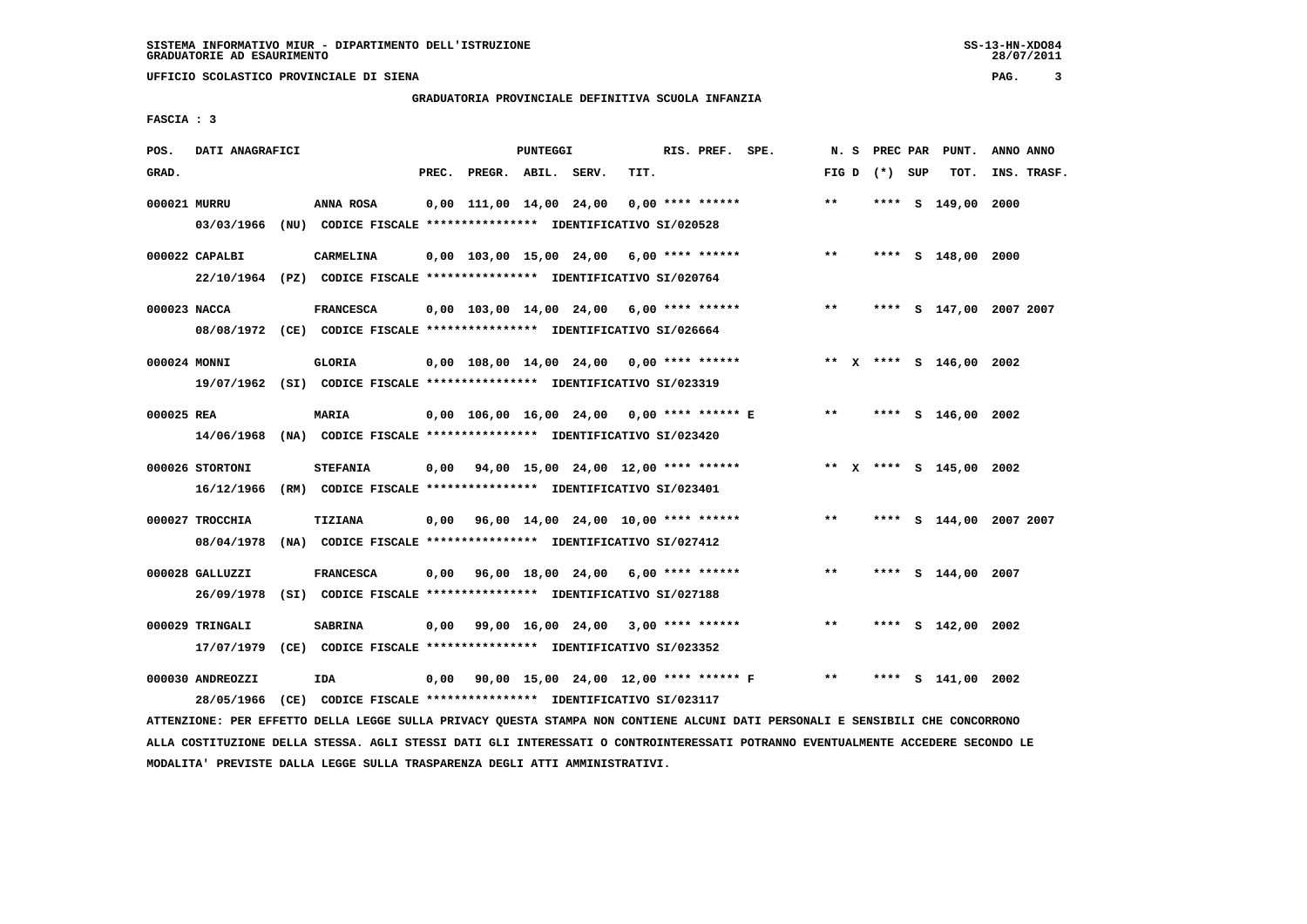**UFFICIO SCOLASTICO PROVINCIALE DI SIENA PAG. 3**

# **GRADUATORIA PROVINCIALE DEFINITIVA SCUOLA INFANZIA**

 **FASCIA : 3**

| POS.<br>DATI ANAGRAFICI<br>PUNTEGGI<br>RIS. PREF. SPE.<br>PUNT.<br>N. S<br>PREC PAR<br>GRAD.<br>PREC.<br>PREGR. ABIL. SERV.<br>TIT.<br>TOT.<br>FIG D $(*)$ SUP<br>000021 MURRU<br>$0,00$ 111,00 14,00 24,00 0,00 **** ******<br>$* *$<br>**** S 149,00 2000<br>ANNA ROSA | ANNO ANNO<br>INS. TRASF. |
|--------------------------------------------------------------------------------------------------------------------------------------------------------------------------------------------------------------------------------------------------------------------------|--------------------------|
|                                                                                                                                                                                                                                                                          |                          |
|                                                                                                                                                                                                                                                                          |                          |
|                                                                                                                                                                                                                                                                          |                          |
| 03/03/1966 (NU) CODICE FISCALE **************** IDENTIFICATIVO SI/020528                                                                                                                                                                                                 |                          |
|                                                                                                                                                                                                                                                                          |                          |
| 000022 CAPALBI<br>CARMELINA<br>$0,00$ 103,00 15,00 24,00 6,00 **** ******<br>$* *$<br>**** S 148,00 2000                                                                                                                                                                 |                          |
| 22/10/1964 (PZ) CODICE FISCALE **************** IDENTIFICATIVO SI/020764                                                                                                                                                                                                 |                          |
| 000023 NACCA<br><b>FRANCESCA</b><br>$* *$                                                                                                                                                                                                                                |                          |
| $0,00$ 103,00 14,00 24,00 6,00 **** ******<br>**** S 147,00 2007 2007                                                                                                                                                                                                    |                          |
| 08/08/1972 (CE) CODICE FISCALE *************** IDENTIFICATIVO SI/026664                                                                                                                                                                                                  |                          |
| 000024 MONNI<br>GLORIA<br>$0,00$ 108,00 14,00 24,00 0,00 **** ******<br>** X **** S 146,00 2002                                                                                                                                                                          |                          |
| 19/07/1962 (SI) CODICE FISCALE **************** IDENTIFICATIVO SI/023319                                                                                                                                                                                                 |                          |
|                                                                                                                                                                                                                                                                          |                          |
| 0,00 106,00 16,00 24,00 0,00 **** ****** E<br>**<br>000025 REA<br><b>MARIA</b><br>**** S 146,00 2002                                                                                                                                                                     |                          |
| 14/06/1968 (NA) CODICE FISCALE **************** IDENTIFICATIVO SI/023420                                                                                                                                                                                                 |                          |
|                                                                                                                                                                                                                                                                          |                          |
| $0,00$ $94,00$ $15,00$ $24,00$ $12,00$ $***$ **** ******<br>** X **** S 145,00 2002<br>000026 STORTONI<br><b>STEFANIA</b>                                                                                                                                                |                          |
| 16/12/1966 (RM) CODICE FISCALE **************** IDENTIFICATIVO SI/023401                                                                                                                                                                                                 |                          |
|                                                                                                                                                                                                                                                                          |                          |
| 000027 TROCCHIA<br>TIZIANA<br>$0,00$ $96,00$ $14,00$ $24,00$ $10,00$ **** ******<br>$***$<br>**** S 144,00 2007 2007                                                                                                                                                     |                          |
| 08/04/1978<br>(NA) CODICE FISCALE **************** IDENTIFICATIVO SI/027412                                                                                                                                                                                              |                          |
|                                                                                                                                                                                                                                                                          |                          |
| 000028 GALLUZZI<br><b>FRANCESCA</b><br>$0,00$ $96,00$ $18,00$ $24,00$ $6,00$ **** ******<br>$* *$<br>**** S 144,00 2007                                                                                                                                                  |                          |
| 26/09/1978 (SI) CODICE FISCALE *************** IDENTIFICATIVO SI/027188                                                                                                                                                                                                  |                          |
| 000029 TRINGALI<br><b>SABRINA</b><br>$0,00$ 99,00 16,00 24,00 3,00 **** ******<br>$***$<br>**** S 142,00 2002                                                                                                                                                            |                          |
|                                                                                                                                                                                                                                                                          |                          |
| 17/07/1979 (CE) CODICE FISCALE *************** IDENTIFICATIVO SI/023352                                                                                                                                                                                                  |                          |
| 0,00 90,00 15,00 24,00 12,00 **** ****** F<br>000030 ANDREOZZI<br>IDA<br>$***$<br>**** S 141,00 2002                                                                                                                                                                     |                          |
| (CE) CODICE FISCALE **************** IDENTIFICATIVO SI/023117<br>28/05/1966                                                                                                                                                                                              |                          |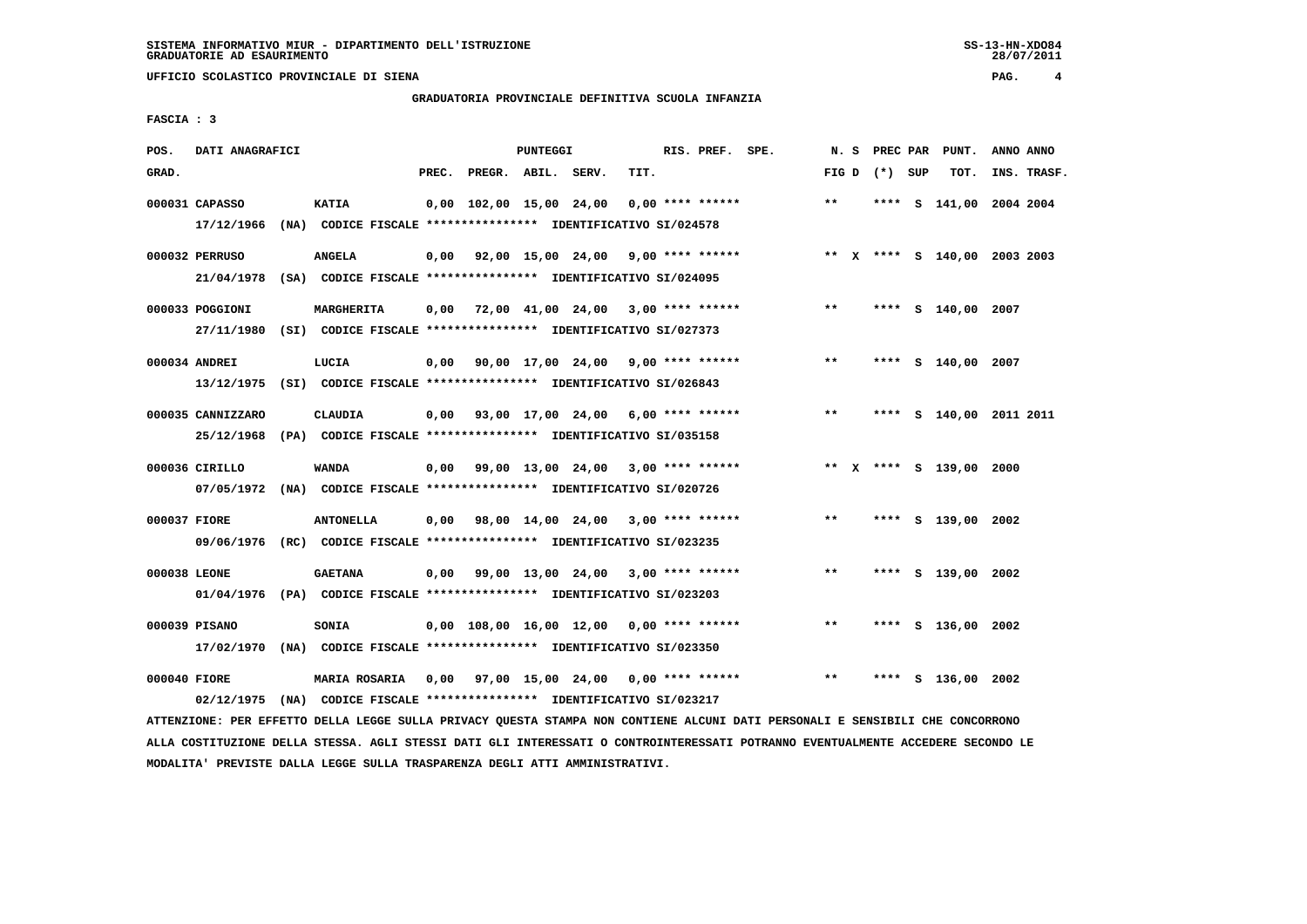**GRADUATORIA PROVINCIALE DEFINITIVA SCUOLA INFANZIA**

 **FASCIA : 3**

| POS.         | DATI ANAGRAFICI   |                                                                                                                                   |                          | PUNTEGGI |                                                         | RIS. PREF. SPE. |       |                 | N. S PREC PAR PUNT.     | ANNO ANNO                    |
|--------------|-------------------|-----------------------------------------------------------------------------------------------------------------------------------|--------------------------|----------|---------------------------------------------------------|-----------------|-------|-----------------|-------------------------|------------------------------|
| GRAD.        |                   |                                                                                                                                   | PREC. PREGR. ABIL. SERV. |          | TIT.                                                    |                 |       | FIG D $(*)$ SUP | тот.                    | INS. TRASF.                  |
|              | 000031 CAPASSO    | <b>KATIA</b><br>17/12/1966 (NA) CODICE FISCALE *************** IDENTIFICATIVO SI/024578                                           |                          |          | 0,00 102,00 15,00 24,00 0,00 **** ******                |                 | $***$ |                 |                         | **** S 141,00 2004 2004      |
|              | 000032 PERRUSO    | ANGELA<br>21/04/1978 (SA) CODICE FISCALE *************** IDENTIFICATIVO SI/024095                                                 |                          |          | 0,00 92,00 15,00 24,00 9,00 **** ******                 |                 |       |                 |                         | ** X **** S 140,00 2003 2003 |
|              | 000033 POGGIONI   | MARGHERITA<br>27/11/1980 (SI) CODICE FISCALE *************** IDENTIFICATIVO SI/027373                                             |                          |          | $0,00$ 72,00 41,00 24,00 3,00 **** ******               |                 | $***$ |                 | **** S 140,00 2007      |                              |
|              | 000034 ANDREI     | LUCIA<br>13/12/1975 (SI) CODICE FISCALE *************** IDENTIFICATIVO SI/026843                                                  |                          |          | $0,00$ 90,00 17,00 24,00 9,00 **** ******               |                 | $***$ |                 | **** S 140,00 2007      |                              |
|              | 000035 CANNIZZARO | <b>CLAUDIA</b><br>25/12/1968 (PA) CODICE FISCALE *************** IDENTIFICATIVO SI/035158                                         |                          |          | $0,00$ $93,00$ $17,00$ $24,00$ $6,00$ $***$ **** ****** |                 | $***$ |                 |                         | **** S 140,00 2011 2011      |
|              | 000036 CIRILLO    | WANDA<br>07/05/1972 (NA) CODICE FISCALE *************** IDENTIFICATIVO SI/020726                                                  |                          |          | $0,00$ 99,00 13,00 24,00 3,00 **** ******               |                 |       |                 | ** X **** S 139,00 2000 |                              |
| 000037 FIORE |                   | <b>ANTONELLA</b><br>09/06/1976 (RC) CODICE FISCALE *************** IDENTIFICATIVO SI/023235                                       |                          |          | $0,00$ 98,00 14,00 24,00 3,00 **** ******               |                 | $***$ |                 | **** S 139,00 2002      |                              |
| 000038 LEONE |                   | <b>GAETANA</b><br>01/04/1976 (PA) CODICE FISCALE **************** IDENTIFICATIVO SI/023203                                        |                          |          | $0,00$ 99,00 13,00 24,00 3,00 **** ******               |                 | $***$ |                 | **** S 139,00 2002      |                              |
|              | 000039 PISANO     | SONIA<br>17/02/1970 (NA) CODICE FISCALE *************** IDENTIFICATIVO SI/023350                                                  |                          |          | $0,00$ 108,00 16,00 12,00 0,00 **** ******              |                 | **    |                 | **** S 136,00 2002      |                              |
| 000040 FIORE |                   | MARIA ROSARIA 0,00 97,00 15,00 24,00 0,00 **** ******<br>02/12/1975 (NA) CODICE FISCALE **************** IDENTIFICATIVO SI/023217 |                          |          |                                                         |                 | $***$ | ****            | S 136,00 2002           |                              |

 **ATTENZIONE: PER EFFETTO DELLA LEGGE SULLA PRIVACY QUESTA STAMPA NON CONTIENE ALCUNI DATI PERSONALI E SENSIBILI CHE CONCORRONO ALLA COSTITUZIONE DELLA STESSA. AGLI STESSI DATI GLI INTERESSATI O CONTROINTERESSATI POTRANNO EVENTUALMENTE ACCEDERE SECONDO LE MODALITA' PREVISTE DALLA LEGGE SULLA TRASPARENZA DEGLI ATTI AMMINISTRATIVI.**

28/07/2011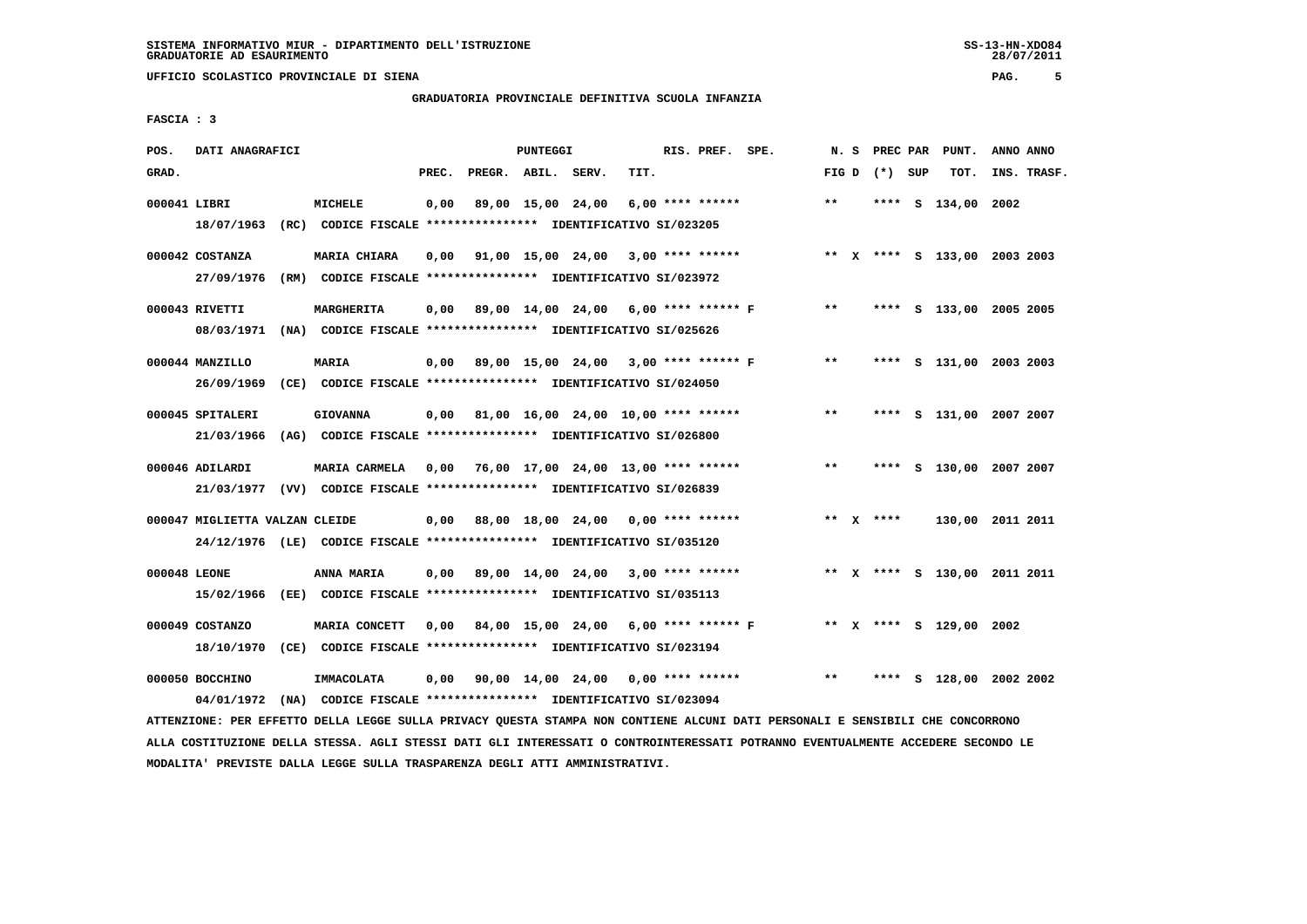# **GRADUATORIA PROVINCIALE DEFINITIVA SCUOLA INFANZIA**

 **FASCIA : 3**

| POS.         | DATI ANAGRAFICI                |                                                                          |       |                                                   | <b>PUNTEGGI</b> |                   |      | RIS. PREF. SPE.    |                                                              |       | N. S | PREC PAR        |   | PUNT.                        | ANNO ANNO |             |
|--------------|--------------------------------|--------------------------------------------------------------------------|-------|---------------------------------------------------|-----------------|-------------------|------|--------------------|--------------------------------------------------------------|-------|------|-----------------|---|------------------------------|-----------|-------------|
| GRAD.        |                                |                                                                          | PREC. | PREGR. ABIL. SERV.                                |                 |                   | TIT. |                    |                                                              |       |      | FIG D $(*)$ SUP |   | TOT.                         |           | INS. TRASF. |
|              |                                |                                                                          |       |                                                   |                 |                   |      |                    |                                                              |       |      |                 |   |                              |           |             |
| 000041 LIBRI |                                | <b>MICHELE</b>                                                           | 0,00  |                                                   |                 | 89,00 15,00 24,00 |      | $6,00$ **** ****** |                                                              | $***$ |      |                 |   | **** S 134,00 2002           |           |             |
|              |                                | 18/07/1963 (RC) CODICE FISCALE *************** IDENTIFICATIVO SI/023205  |       |                                                   |                 |                   |      |                    |                                                              |       |      |                 |   |                              |           |             |
|              | 000042 COSTANZA                | <b>MARIA CHIARA</b>                                                      |       | $0,00$ $91,00$ $15,00$ $24,00$ $3,00$ **** ****** |                 |                   |      |                    |                                                              |       |      |                 |   | ** X **** S 133,00 2003 2003 |           |             |
|              |                                | 27/09/1976 (RM) CODICE FISCALE *************** IDENTIFICATIVO SI/023972  |       |                                                   |                 |                   |      |                    |                                                              |       |      |                 |   |                              |           |             |
|              |                                |                                                                          |       |                                                   |                 |                   |      |                    |                                                              |       |      |                 |   |                              |           |             |
|              | 000043 RIVETTI                 | MARGHERITA                                                               |       | 0,00 89,00 14,00 24,00 6,00 **** ****** F         |                 |                   |      |                    |                                                              | $* *$ |      |                 |   | **** S 133,00 2005 2005      |           |             |
|              |                                | 08/03/1971 (NA) CODICE FISCALE *************** IDENTIFICATIVO SI/025626  |       |                                                   |                 |                   |      |                    |                                                              |       |      |                 |   |                              |           |             |
|              |                                |                                                                          |       |                                                   |                 |                   |      |                    |                                                              |       |      |                 |   |                              |           |             |
|              | 000044 MANZILLO                | <b>MARIA</b>                                                             |       | 0,00 89,00 15,00 24,00 3,00 **** ****** F         |                 |                   |      |                    |                                                              | $***$ |      |                 |   | **** S 131,00 2003 2003      |           |             |
|              |                                | 26/09/1969 (CE) CODICE FISCALE *************** IDENTIFICATIVO SI/024050  |       |                                                   |                 |                   |      |                    |                                                              |       |      |                 |   |                              |           |             |
|              |                                |                                                                          |       |                                                   |                 |                   |      |                    |                                                              | $***$ |      |                 |   |                              |           |             |
|              | 000045 SPITALERI               | <b>GIOVANNA</b>                                                          |       | $0,00$ 81,00 16,00 24,00 10,00 **** ******        |                 |                   |      |                    |                                                              |       |      |                 |   | **** S 131,00 2007 2007      |           |             |
|              | 21/03/1966                     | (AG) CODICE FISCALE **************** IDENTIFICATIVO SI/026800            |       |                                                   |                 |                   |      |                    |                                                              |       |      |                 |   |                              |           |             |
|              | 000046 ADILARDI                | <b>MARIA CARMELA</b>                                                     | 0,00  | 76,00 17,00 24,00 13,00 **** ******               |                 |                   |      |                    |                                                              | $***$ |      | ****            |   | S 130,00 2007 2007           |           |             |
|              |                                | 21/03/1977 (VV) CODICE FISCALE *************** IDENTIFICATIVO SI/026839  |       |                                                   |                 |                   |      |                    |                                                              |       |      |                 |   |                              |           |             |
|              |                                |                                                                          |       |                                                   |                 |                   |      |                    |                                                              |       |      |                 |   |                              |           |             |
|              | 000047 MIGLIETTA VALZAN CLEIDE |                                                                          |       | $0,00$ 88,00 18,00 24,00 0,00 **** ******         |                 |                   |      |                    |                                                              |       |      | ** X ****       |   | 130,00 2011 2011             |           |             |
|              |                                | 24/12/1976 (LE) CODICE FISCALE **************** IDENTIFICATIVO SI/035120 |       |                                                   |                 |                   |      |                    |                                                              |       |      |                 |   |                              |           |             |
|              |                                |                                                                          |       |                                                   |                 |                   |      |                    |                                                              |       |      |                 |   |                              |           |             |
| 000048 LEONE |                                | ANNA MARIA                                                               |       | $0,00$ 89,00 14,00 24,00 3,00 **** ******         |                 |                   |      |                    |                                                              |       |      |                 |   | ** X **** S 130,00 2011 2011 |           |             |
|              |                                | 15/02/1966 (EE) CODICE FISCALE *************** IDENTIFICATIVO SI/035113  |       |                                                   |                 |                   |      |                    |                                                              |       |      |                 |   |                              |           |             |
|              | 000049 COSTANZO                | MARIA CONCETT                                                            | 0,00  |                                                   |                 |                   |      |                    | 84,00 15,00 24,00 6,00 **** ****** F ** X **** S 129,00 2002 |       |      |                 |   |                              |           |             |
|              | 18/10/1970                     | (CE) CODICE FISCALE **************** IDENTIFICATIVO SI/023194            |       |                                                   |                 |                   |      |                    |                                                              |       |      |                 |   |                              |           |             |
|              |                                |                                                                          |       |                                                   |                 |                   |      |                    |                                                              |       |      |                 |   |                              |           |             |
|              | 000050 BOCCHINO                | IMMACOLATA                                                               |       | $0.00$ 90.00 14.00 24.00 0.00 **** ******         |                 |                   |      |                    |                                                              | $* *$ |      | ****            | s | 128,00 2002 2002             |           |             |
|              | 04/01/1972                     | (NA) CODICE FISCALE *************** IDENTIFICATIVO SI/023094             |       |                                                   |                 |                   |      |                    |                                                              |       |      |                 |   |                              |           |             |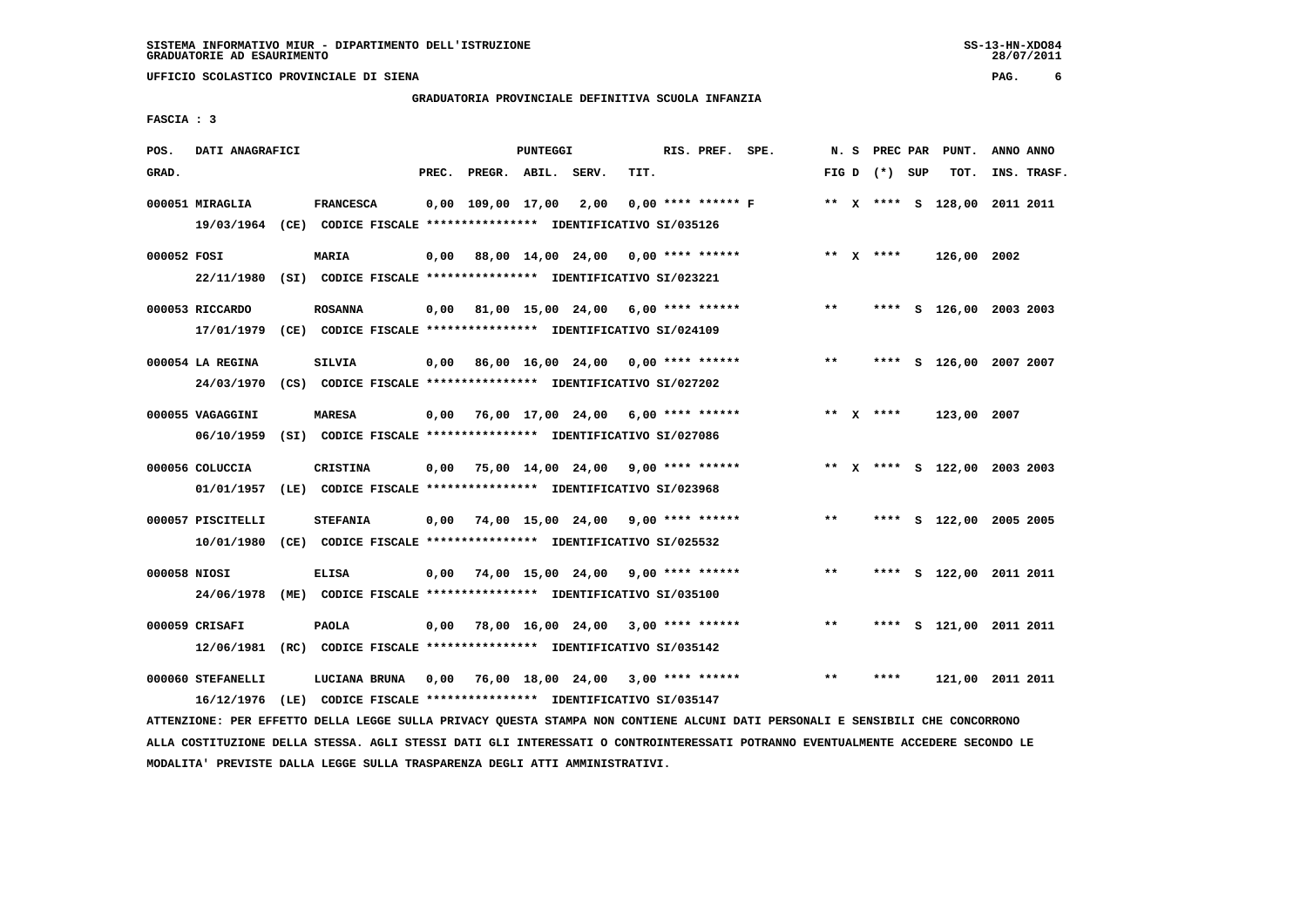**UFFICIO SCOLASTICO PROVINCIALE DI SIENA PAG. 6**

# **GRADUATORIA PROVINCIALE DEFINITIVA SCUOLA INFANZIA**

 **FASCIA : 3**

| POS.  | DATI ANAGRAFICI                                                         |                                                               |       |                                           | <b>PUNTEGGI</b> |       |      | RIS. PREF. SPE.    |                      |       | N. S PREC PAR   | PUNT.                        | ANNO ANNO |             |
|-------|-------------------------------------------------------------------------|---------------------------------------------------------------|-------|-------------------------------------------|-----------------|-------|------|--------------------|----------------------|-------|-----------------|------------------------------|-----------|-------------|
| GRAD. |                                                                         |                                                               | PREC. | PREGR. ABIL.                              |                 | SERV. | TIT. |                    |                      |       | FIG D $(*)$ SUP | TOT.                         |           | INS. TRASF. |
|       |                                                                         |                                                               |       |                                           |                 |       |      |                    |                      |       |                 |                              |           |             |
|       | 000051 MIRAGLIA                                                         | <b>FRANCESCA</b>                                              |       | $0,00$ $109,00$ $17,00$ $2,00$            |                 |       |      |                    | $0.00$ **** ****** F |       |                 | ** X **** S 128,00 2011 2011 |           |             |
|       | 19/03/1964 (CE) CODICE FISCALE *************** IDENTIFICATIVO SI/035126 |                                                               |       |                                           |                 |       |      |                    |                      |       |                 |                              |           |             |
|       | 000052 FOSI                                                             | MARIA                                                         | 0,00  | 88,00 14,00 24,00                         |                 |       |      | $0.00$ **** ****** |                      |       | ** x ****       | 126,00 2002                  |           |             |
|       | 22/11/1980                                                              | (SI) CODICE FISCALE **************** IDENTIFICATIVO SI/023221 |       |                                           |                 |       |      |                    |                      |       |                 |                              |           |             |
|       |                                                                         |                                                               |       |                                           |                 |       |      |                    |                      |       |                 |                              |           |             |
|       | 000053 RICCARDO                                                         | <b>ROSANNA</b>                                                |       | $0,00$ 81,00 15,00 24,00 6,00 **** ****** |                 |       |      |                    |                      | $***$ |                 | **** S 126,00 2003 2003      |           |             |
|       | 17/01/1979                                                              | (CE) CODICE FISCALE **************** IDENTIFICATIVO SI/024109 |       |                                           |                 |       |      |                    |                      |       |                 |                              |           |             |
|       | 000054 LA REGINA                                                        | <b>SILVIA</b>                                                 |       | 86,00 16,00 24,00 0,00 **** ******        |                 |       |      |                    |                      | $***$ |                 | **** S 126,00 2007 2007      |           |             |
|       |                                                                         |                                                               | 0,00  |                                           |                 |       |      |                    |                      |       |                 |                              |           |             |
|       | 24/03/1970                                                              | (CS) CODICE FISCALE **************** IDENTIFICATIVO SI/027202 |       |                                           |                 |       |      |                    |                      |       |                 |                              |           |             |
|       | 000055 VAGAGGINI                                                        | <b>MARESA</b>                                                 |       | $0,00$ 76,00 17,00 24,00 6,00 **** ****** |                 |       |      |                    |                      |       | ** $X$ ****     | 123,00 2007                  |           |             |
|       | 06/10/1959                                                              | (SI) CODICE FISCALE **************** IDENTIFICATIVO SI/027086 |       |                                           |                 |       |      |                    |                      |       |                 |                              |           |             |
|       |                                                                         |                                                               |       |                                           |                 |       |      |                    |                      |       |                 |                              |           |             |
|       | 000056 COLUCCIA                                                         | <b>CRISTINA</b>                                               | 0,00  | 75,00 14,00 24,00 9,00 **** ******        |                 |       |      |                    |                      |       |                 | ** X **** S 122,00 2003 2003 |           |             |
|       | 01/01/1957 (LE) CODICE FISCALE *************** IDENTIFICATIVO SI/023968 |                                                               |       |                                           |                 |       |      |                    |                      |       |                 |                              |           |             |
|       | 000057 PISCITELLI                                                       | <b>STEFANIA</b>                                               | 0,00  | 74,00 15,00 24,00 9,00 **** ******        |                 |       |      |                    |                      | $***$ |                 | **** S 122,00 2005 2005      |           |             |
|       | 10/01/1980                                                              | (CE) CODICE FISCALE **************** IDENTIFICATIVO SI/025532 |       |                                           |                 |       |      |                    |                      |       |                 |                              |           |             |
|       |                                                                         |                                                               |       |                                           |                 |       |      |                    |                      |       |                 |                              |           |             |
|       | 000058 NIOSI                                                            | <b>ELISA</b>                                                  | 0,00  | 74,00 15,00 24,00 9,00 **** ******        |                 |       |      |                    |                      | $* *$ | ****            | S 122,00 2011 2011           |           |             |
|       | 24/06/1978 (ME) CODICE FISCALE *************** IDENTIFICATIVO SI/035100 |                                                               |       |                                           |                 |       |      |                    |                      |       |                 |                              |           |             |
|       |                                                                         |                                                               |       |                                           |                 |       |      |                    |                      |       |                 |                              |           |             |
|       | 000059 CRISAFI                                                          | <b>PAOLA</b>                                                  | 0,00  | 78,00 16,00 24,00 3,00 **** ******        |                 |       |      |                    |                      | $***$ |                 | **** S 121,00 2011 2011      |           |             |
|       | 12/06/1981 (RC) CODICE FISCALE *************** IDENTIFICATIVO SI/035142 |                                                               |       |                                           |                 |       |      |                    |                      |       |                 |                              |           |             |
|       | 000060 STEFANELLI                                                       | LUCIANA BRUNA                                                 |       | $0,00$ 76,00 18,00 24,00 3,00 **** ****** |                 |       |      |                    |                      | $* *$ | ****            | 121,00 2011 2011             |           |             |
|       | 16/12/1976 (LE) CODICE FISCALE *************** IDENTIFICATIVO SI/035147 |                                                               |       |                                           |                 |       |      |                    |                      |       |                 |                              |           |             |
|       |                                                                         |                                                               |       |                                           |                 |       |      |                    |                      |       |                 |                              |           |             |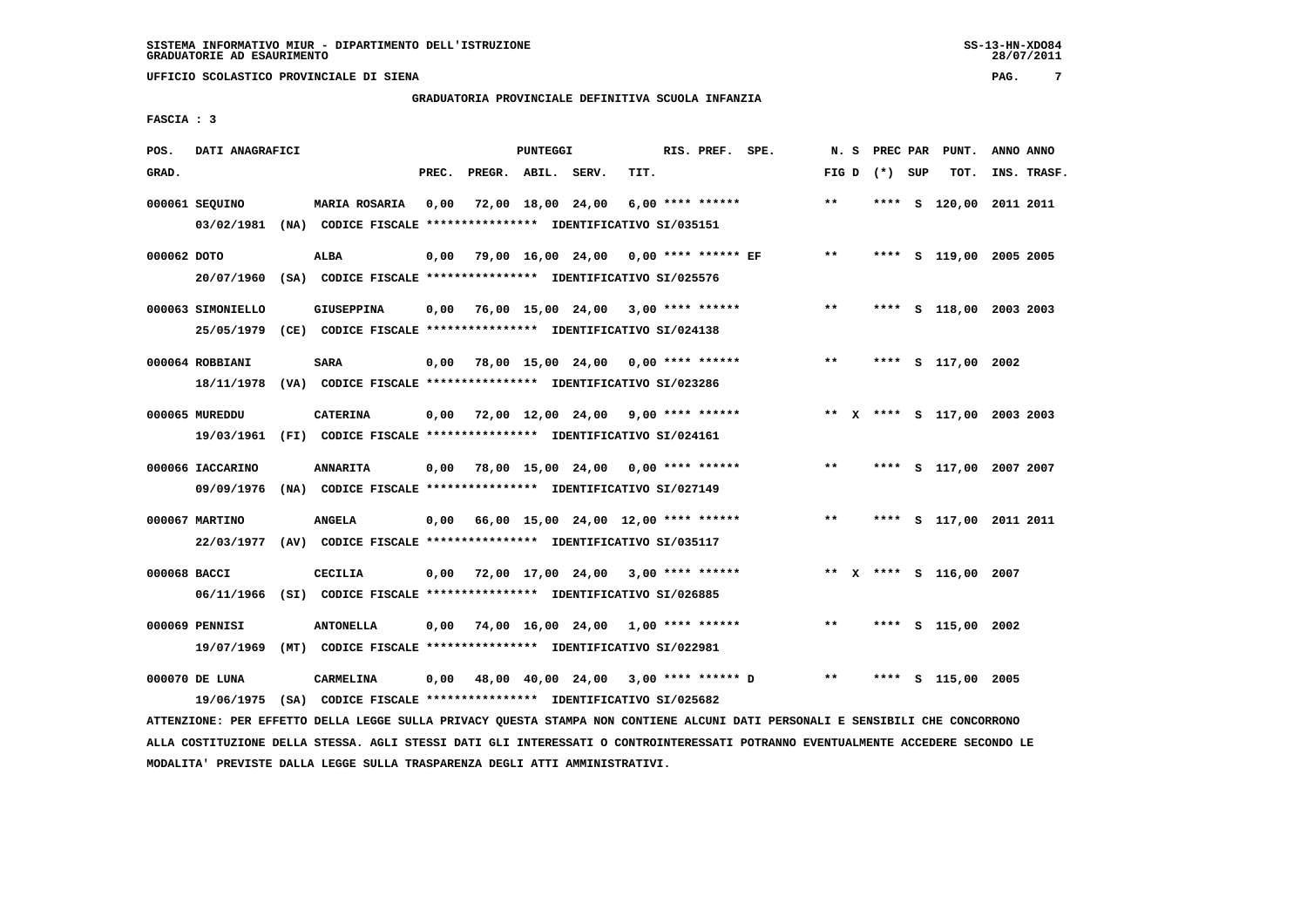# **GRADUATORIA PROVINCIALE DEFINITIVA SCUOLA INFANZIA**

 **FASCIA : 3**

| POS.         | DATI ANAGRAFICI   |                                                                                                 |       |                    | PUNTEGGI |                                                         | RIS. PREF. SPE. |       |                 | N. S PREC PAR PUNT.     | ANNO ANNO                    |
|--------------|-------------------|-------------------------------------------------------------------------------------------------|-------|--------------------|----------|---------------------------------------------------------|-----------------|-------|-----------------|-------------------------|------------------------------|
| GRAD.        |                   |                                                                                                 | PREC. | PREGR. ABIL. SERV. |          | TIT.                                                    |                 |       | FIG D $(*)$ SUP | TOT.                    | INS. TRASF.                  |
|              | 000061 SEQUINO    | <b>MARIA ROSARIA</b><br>03/02/1981 (NA) CODICE FISCALE *************** IDENTIFICATIVO SI/035151 | 0,00  |                    |          | 72,00 18,00 24,00 6,00 **** ******                      |                 | $***$ | ****            |                         | s 120,00 2011 2011           |
| 000062 DOTO  |                   | ALBA<br>20/07/1960 (SA) CODICE FISCALE *************** IDENTIFICATIVO SI/025576                 |       |                    |          | 0,00 79,00 16,00 24,00 0,00 **** ****** EF              |                 | $***$ |                 |                         | **** S 119,00 2005 2005      |
|              | 000063 SIMONIELLO | <b>GIUSEPPINA</b><br>25/05/1979 (CE) CODICE FISCALE *************** IDENTIFICATIVO SI/024138    |       |                    |          | $0,00$ 76,00 15,00 24,00 3,00 **** ******               |                 | $***$ |                 |                         | **** S 118,00 2003 2003      |
|              | 000064 ROBBIANI   | SARA<br>18/11/1978 (VA) CODICE FISCALE **************** IDENTIFICATIVO SI/023286                |       |                    |          | $0,00$ 78,00 15,00 24,00 0,00 **** ******               |                 | $***$ |                 | **** S 117,00 2002      |                              |
|              | 000065 MUREDDU    | <b>CATERINA</b><br>19/03/1961 (FI) CODICE FISCALE **************** IDENTIFICATIVO SI/024161     |       |                    |          | $0,00$ $72,00$ $12,00$ $24,00$ $9,00$ $***$ **** ****** |                 |       |                 |                         | ** X **** S 117,00 2003 2003 |
|              | 000066 IACCARINO  | <b>ANNARITA</b><br>09/09/1976 (NA) CODICE FISCALE *************** IDENTIFICATIVO SI/027149      |       |                    |          | $0,00$ 78,00 15,00 24,00 0,00 **** ******               |                 | $***$ |                 |                         | **** S 117,00 2007 2007      |
|              | 000067 MARTINO    | <b>ANGELA</b><br>22/03/1977 (AV) CODICE FISCALE *************** IDENTIFICATIVO SI/035117        |       |                    |          | $0,00$ 66,00 15,00 24,00 12,00 **** ******              |                 | **    |                 |                         | **** S 117,00 2011 2011      |
| 000068 BACCI |                   | CECILIA<br>06/11/1966 (SI) CODICE FISCALE *************** IDENTIFICATIVO SI/026885              |       |                    |          | $0,00$ 72,00 17,00 24,00 3,00 **** ******               |                 |       |                 | ** X **** S 116,00 2007 |                              |
|              | 000069 PENNISI    | <b>ANTONELLA</b><br>19/07/1969 (MT) CODICE FISCALE **************** IDENTIFICATIVO SI/022981    |       |                    |          | $0,00$ 74,00 16,00 24,00 1,00 **** ******               |                 | **    |                 | **** S 115,00 2002      |                              |
|              | 000070 DE LUNA    | CARMELINA<br>19/06/1975 (SA) CODICE FISCALE *************** IDENTIFICATIVO SI/025682            |       |                    |          | 0,00 48,00 40,00 24,00 3,00 **** ****** D               |                 | $* *$ | ****            | S 115,00 2005           |                              |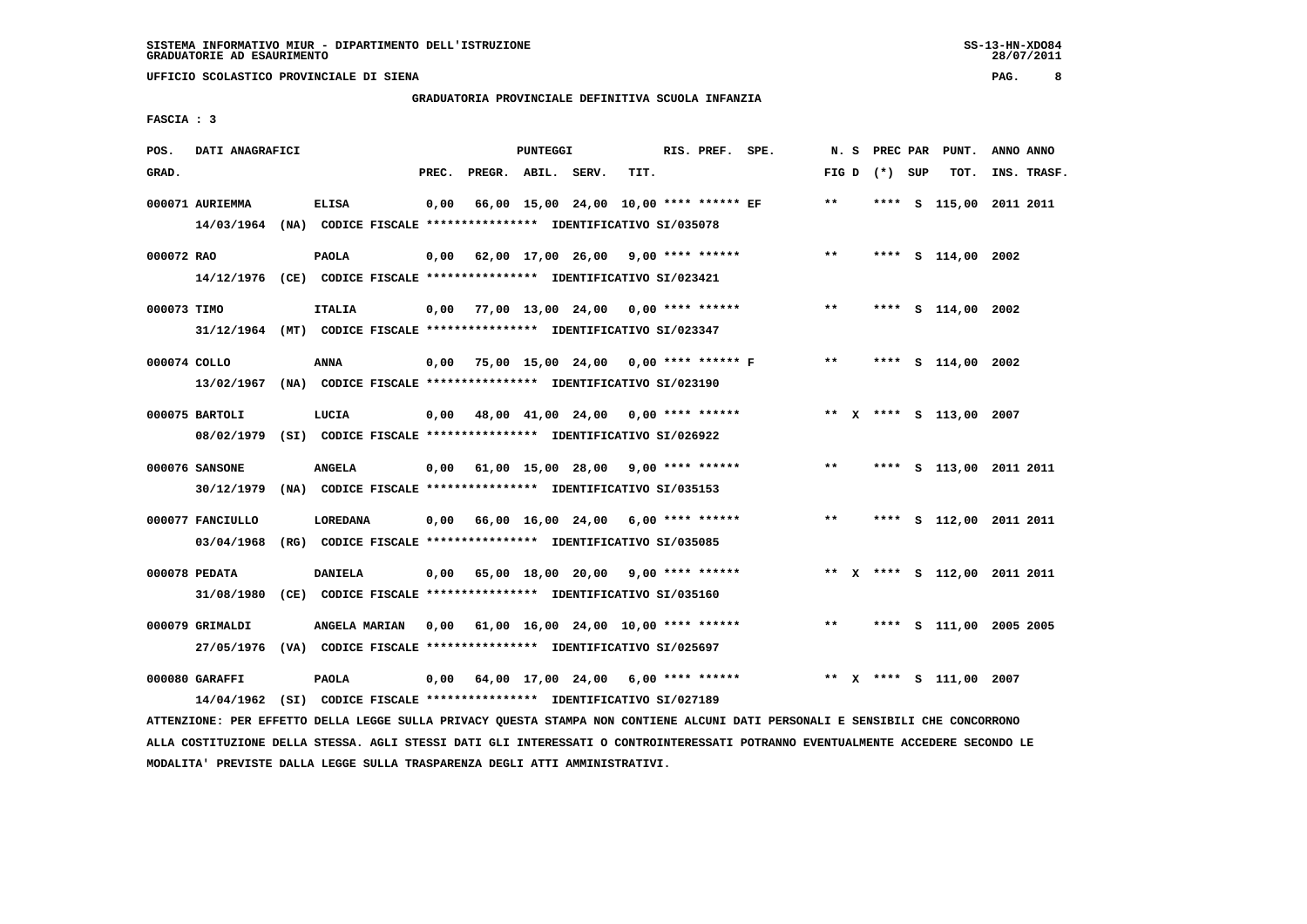# **GRADUATORIA PROVINCIALE DEFINITIVA SCUOLA INFANZIA**

 **FASCIA : 3**

| POS.         | DATI ANAGRAFICI                                                                             |                |       |                    | <b>PUNTEGGI</b> |                                                    |      | RIS. PREF. SPE. |       | N.S |                 | PREC PAR PUNT.               | ANNO ANNO |             |
|--------------|---------------------------------------------------------------------------------------------|----------------|-------|--------------------|-----------------|----------------------------------------------------|------|-----------------|-------|-----|-----------------|------------------------------|-----------|-------------|
| GRAD.        |                                                                                             |                | PREC. | PREGR. ABIL. SERV. |                 |                                                    | TIT. |                 |       |     | FIG D $(*)$ SUP | TOT.                         |           | INS. TRASF. |
|              | 000071 AURIEMMA<br>14/03/1964 (NA) CODICE FISCALE *************** IDENTIFICATIVO SI/035078  | <b>ELISA</b>   | 0,00  |                    |                 | 66,00 15,00 24,00 10,00 **** ****** EF             |      |                 | $***$ |     |                 | **** S 115,00 2011 2011      |           |             |
| 000072 RAO   | 14/12/1976 (CE) CODICE FISCALE *************** IDENTIFICATIVO SI/023421                     | <b>PAOLA</b>   |       |                    |                 | $0,00$ 62,00 17,00 26,00 9,00 **** ******          |      |                 | **    |     |                 | **** S 114,00 2002           |           |             |
| 000073 TIMO  | 31/12/1964 (MT) CODICE FISCALE *************** IDENTIFICATIVO SI/023347                     | <b>ITALIA</b>  |       |                    |                 | $0,00$ 77,00 13,00 24,00 0,00 **** ******          |      |                 | $***$ |     |                 | **** S 114,00 2002           |           |             |
| 000074 COLLO | 13/02/1967 (NA) CODICE FISCALE *************** IDENTIFICATIVO SI/023190                     | ANNA           |       |                    |                 | $0,00$ 75,00 15,00 24,00 0,00 **** ****** F        |      |                 | $**$  |     |                 | **** S 114,00 2002           |           |             |
|              | 000075 BARTOLI<br>08/02/1979 (SI) CODICE FISCALE **************** IDENTIFICATIVO SI/026922  | LUCIA          |       |                    |                 | $0.00$ 48.00 41.00 24.00 0.00 **** ******          |      |                 |       |     |                 | ** X **** S 113,00 2007      |           |             |
|              | 000076 SANSONE<br>30/12/1979 (NA) CODICE FISCALE *************** IDENTIFICATIVO SI/035153   | <b>ANGELA</b>  |       |                    |                 | $0,00$ 61,00 15,00 28,00 9,00 **** ******          |      |                 | $***$ |     |                 | **** S 113,00 2011 2011      |           |             |
|              | 000077 FANCIULLO<br>03/04/1968 (RG) CODICE FISCALE *************** IDENTIFICATIVO SI/035085 | LOREDANA       |       |                    |                 | $0,00$ 66,00 16,00 24,00 6,00 **** ******          |      |                 | $***$ |     |                 | **** S 112,00 2011 2011      |           |             |
|              | 000078 PEDATA<br>31/08/1980 (CE) CODICE FISCALE *************** IDENTIFICATIVO SI/035160    | <b>DANIELA</b> |       |                    |                 | $0,00$ 65,00 18,00 20,00 9,00 **** ******          |      |                 |       |     |                 | ** X **** S 112,00 2011 2011 |           |             |
|              | 000079 GRIMALDI<br>27/05/1976 (VA) CODICE FISCALE *************** IDENTIFICATIVO SI/025697  | ANGELA MARIAN  |       |                    |                 | $0,00$ $61,00$ $16,00$ $24,00$ $10,00$ **** ****** |      |                 | $***$ |     |                 | **** S 111,00 2005 2005      |           |             |
|              | 000080 GARAFFI                                                                              | <b>PAOLA</b>   |       |                    |                 | $0,00$ 64,00 17,00 24,00 6,00 **** ******          |      |                 |       |     |                 | ** X **** S 111,00 2007      |           |             |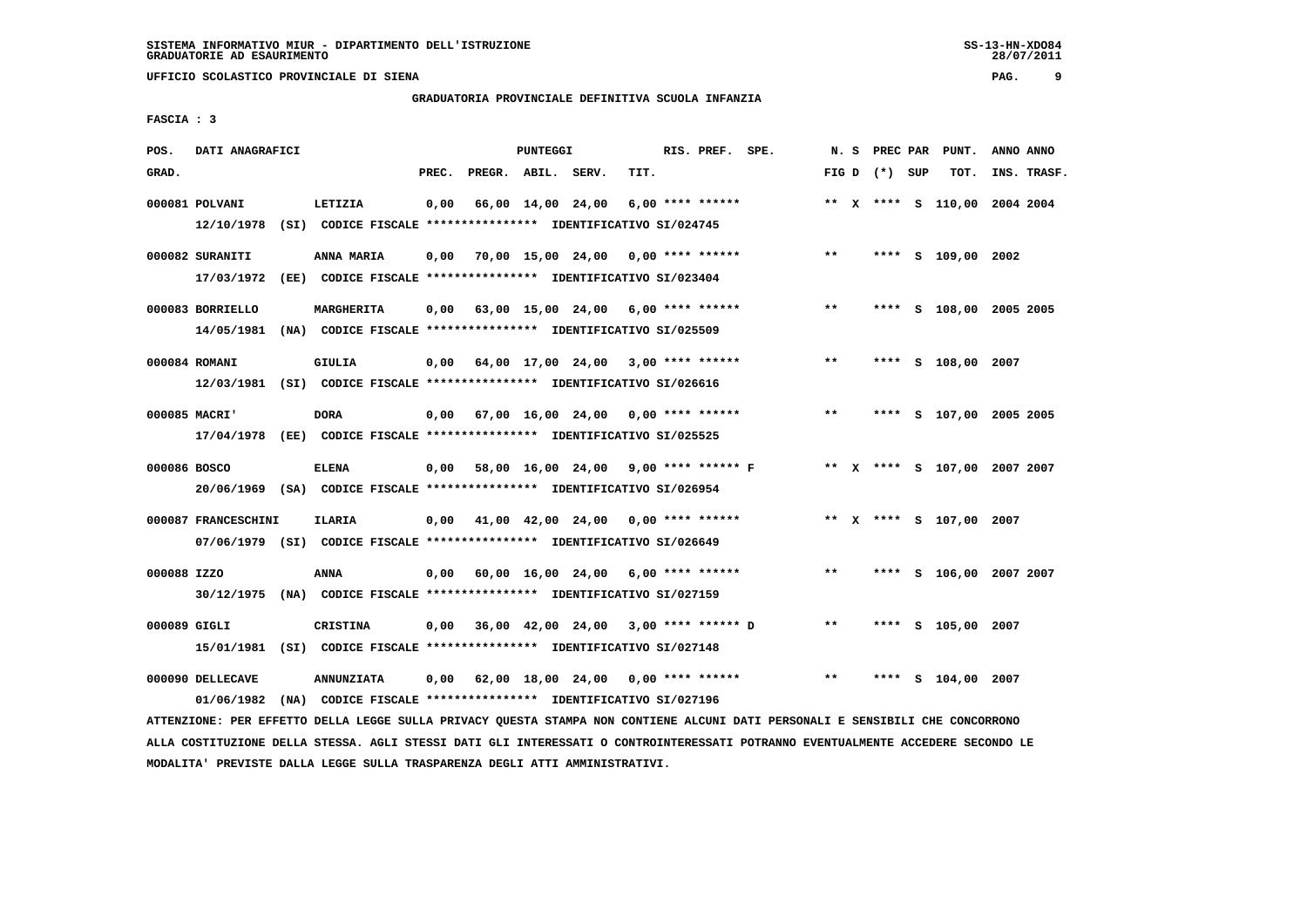# **GRADUATORIA PROVINCIALE DEFINITIVA SCUOLA INFANZIA**

 **FASCIA : 3**

| POS.         | DATI ANAGRAFICI                                                                                |                                                                                    |       |                    | PUNTEGGI |                                           |      | RIS. PREF. SPE. |       |                 | N. S PREC PAR PUNT.          | ANNO ANNO |             |
|--------------|------------------------------------------------------------------------------------------------|------------------------------------------------------------------------------------|-------|--------------------|----------|-------------------------------------------|------|-----------------|-------|-----------------|------------------------------|-----------|-------------|
| GRAD.        |                                                                                                |                                                                                    | PREC. | PREGR. ABIL. SERV. |          |                                           | TIT. |                 |       | FIG D $(*)$ SUP | тот.                         |           | INS. TRASF. |
|              | 000081 POLVANI<br>12/10/1978 (SI) CODICE FISCALE *************** IDENTIFICATIVO SI/024745      | LETIZIA                                                                            |       |                    |          | $0,00$ 66,00 14,00 24,00 6,00 **** ****** |      |                 |       |                 | ** X **** S 110,00 2004 2004 |           |             |
|              | 000082 SURANITI<br>17/03/1972 (EE) CODICE FISCALE *************** IDENTIFICATIVO SI/023404     | <b>ANNA MARIA</b>                                                                  |       |                    |          | $0,00$ 70,00 15,00 24,00 0,00 **** ****** |      |                 | $***$ |                 | **** S 109,00 2002           |           |             |
|              | 000083 BORRIELLO<br>14/05/1981 (NA) CODICE FISCALE **************** IDENTIFICATIVO SI/025509   | MARGHERITA                                                                         |       |                    |          | $0,00$ 63,00 15,00 24,00 6,00 **** ****** |      |                 | $***$ |                 | **** S 108,00 2005 2005      |           |             |
|              | 000084 ROMANI<br>12/03/1981 (SI) CODICE FISCALE *************** IDENTIFICATIVO SI/026616       | GIULIA                                                                             |       |                    |          | $0,00$ 64,00 17,00 24,00 3,00 **** ****** |      |                 | $***$ |                 | **** S 108,00 2007           |           |             |
|              | 000085 MACRI'<br>17/04/1978 (EE) CODICE FISCALE *************** IDENTIFICATIVO SI/025525       | <b>DORA</b>                                                                        |       |                    |          | $0,00$ 67,00 16,00 24,00 0,00 **** ****** |      |                 | $***$ |                 | **** S 107,00 2005 2005      |           |             |
| 000086 BOSCO | 20/06/1969 (SA) CODICE FISCALE *************** IDENTIFICATIVO SI/026954                        | ELENA                                                                              |       |                    |          | 0,00 58,00 16,00 24,00 9,00 **** ****** F |      |                 |       |                 | ** x **** s 107,00 2007 2007 |           |             |
|              | 000087 FRANCESCHINI<br>07/06/1979 (SI) CODICE FISCALE *************** IDENTIFICATIVO SI/026649 | <b>ILARIA</b>                                                                      |       |                    |          | $0,00$ 41,00 42,00 24,00 0,00 **** ****** |      |                 |       |                 | ** x **** s 107,00 2007      |           |             |
| 000088 IZZO  | 30/12/1975 (NA) CODICE FISCALE *************** IDENTIFICATIVO SI/027159                        | <b>ANNA</b>                                                                        |       |                    |          | $0,00$ 60,00 16,00 24,00 6,00 **** ****** |      |                 | $***$ |                 | **** S 106,00 2007 2007      |           |             |
| 000089 GIGLI | 15/01/1981 (SI) CODICE FISCALE *************** IDENTIFICATIVO SI/027148                        | <b>CRISTINA</b>                                                                    |       |                    |          | 0,00 36,00 42,00 24,00 3,00 **** ****** D |      |                 | $* *$ |                 | **** S 105,00 2007           |           |             |
|              | 000090 DELLECAVE<br>01/06/1982                                                                 | <b>ANNUNZIATA</b><br>(NA) CODICE FISCALE **************** IDENTIFICATIVO SI/027196 |       |                    |          | $0,00$ 62,00 18,00 24,00 0,00 **** ****** |      |                 | $***$ |                 | **** S 104,00 2007           |           |             |

 **ATTENZIONE: PER EFFETTO DELLA LEGGE SULLA PRIVACY QUESTA STAMPA NON CONTIENE ALCUNI DATI PERSONALI E SENSIBILI CHE CONCORRONO ALLA COSTITUZIONE DELLA STESSA. AGLI STESSI DATI GLI INTERESSATI O CONTROINTERESSATI POTRANNO EVENTUALMENTE ACCEDERE SECONDO LE MODALITA' PREVISTE DALLA LEGGE SULLA TRASPARENZA DEGLI ATTI AMMINISTRATIVI.**

28/07/2011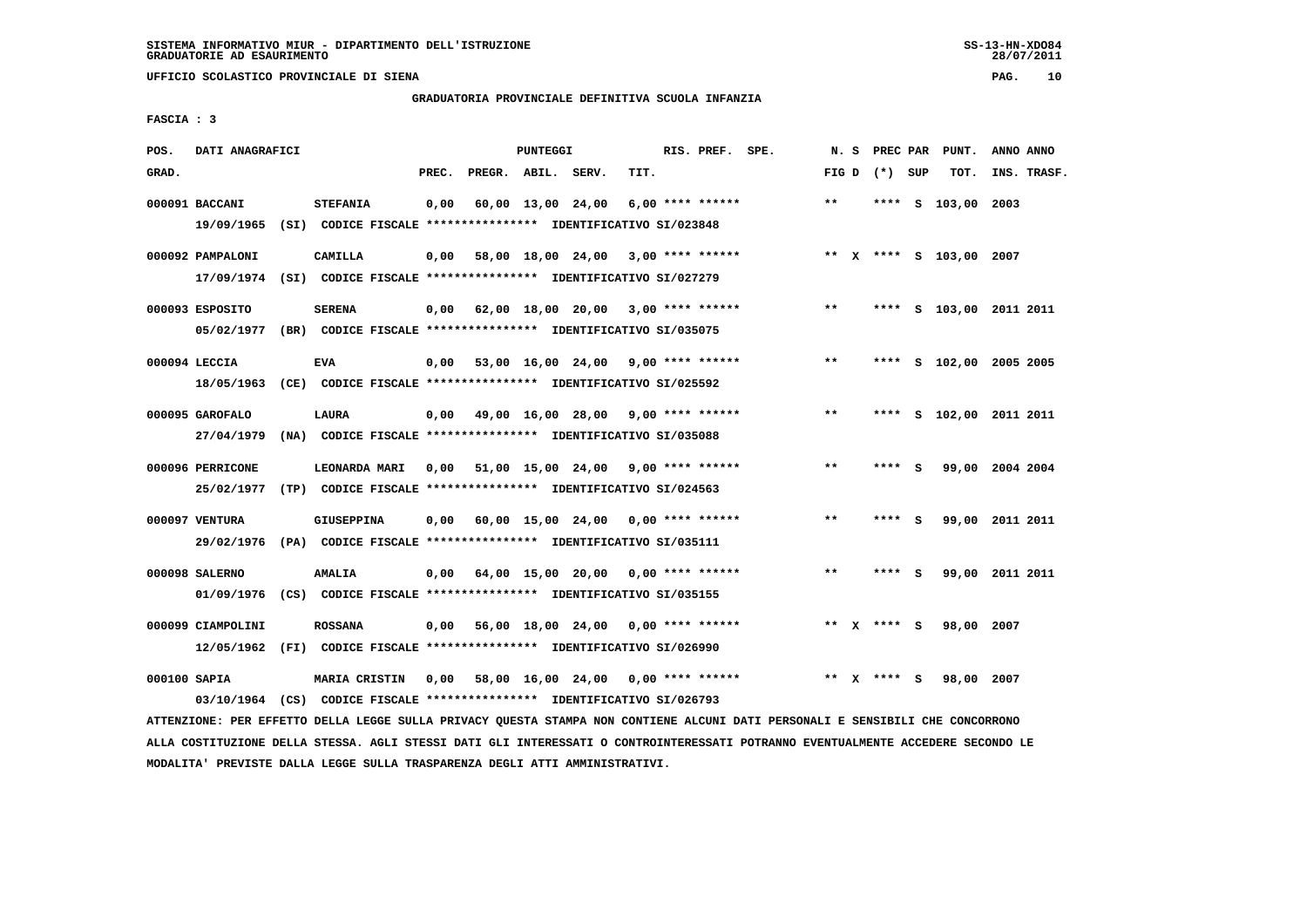**UFFICIO SCOLASTICO PROVINCIALE DI SIENA PAG. 10**

# **GRADUATORIA PROVINCIALE DEFINITIVA SCUOLA INFANZIA**

 **FASCIA : 3**

| POS.         | DATI ANAGRAFICI               |                                                                                            |       |                                           | <b>PUNTEGGI</b> |                                    |      | RIS. PREF. SPE.    | N.S   | PREC PAR    |     | PUNT.                   | ANNO ANNO               |
|--------------|-------------------------------|--------------------------------------------------------------------------------------------|-------|-------------------------------------------|-----------------|------------------------------------|------|--------------------|-------|-------------|-----|-------------------------|-------------------------|
| GRAD.        |                               |                                                                                            | PREC. | PREGR. ABIL. SERV.                        |                 |                                    | TIT. |                    | FIG D | (*) SUP     |     | TOT.                    | INS. TRASF.             |
|              | 000091 BACCANI<br>19/09/1965  | <b>STEFANIA</b><br>(SI) CODICE FISCALE **************** IDENTIFICATIVO SI/023848           | 0,00  |                                           |                 | 60,00 13,00 24,00                  |      | $6,00$ **** ****** | $* *$ | ****        | - S | 103,00 2003             |                         |
|              | 000092 PAMPALONI              | CAMILLA<br>17/09/1974 (SI) CODICE FISCALE *************** IDENTIFICATIVO SI/027279         | 0,00  |                                           |                 | 58,00 18,00 24,00                  |      | $3,00$ **** ****** |       |             |     | ** X **** S 103,00 2007 |                         |
|              | 000093 ESPOSITO               | <b>SERENA</b><br>05/02/1977 (BR) CODICE FISCALE *************** IDENTIFICATIVO SI/035075   |       | $0,00$ $62,00$ $18,00$ $20,00$            |                 |                                    |      | $3,00$ **** ****** | $***$ |             |     |                         | **** S 103,00 2011 2011 |
|              | 000094 LECCIA<br>18/05/1963   | <b>EVA</b><br>(CE) CODICE FISCALE **************** IDENTIFICATIVO SI/025592                |       | $0,00$ 53,00 16,00 24,00 9,00 **** ****** |                 |                                    |      |                    | $***$ |             |     |                         | **** S 102,00 2005 2005 |
|              | 000095 GAROFALO<br>27/04/1979 | <b>LAURA</b><br>(NA) CODICE FISCALE **************** IDENTIFICATIVO SI/035088              |       | $0,00$ 49,00 16,00 28,00 9,00 **** ****** |                 |                                    |      |                    | $* *$ |             |     |                         | **** S 102,00 2011 2011 |
|              | 000096 PERRICONE              | LEONARDA MARI<br>25/02/1977 (TP) CODICE FISCALE *************** IDENTIFICATIVO SI/024563   | 0.00  | 51,00 15,00 24,00 9,00 **** ******        |                 |                                    |      |                    | **    | **** S      |     |                         | 99,00 2004 2004         |
|              | 000097 VENTURA                | GIUSEPPINA<br>29/02/1976 (PA) CODICE FISCALE *************** IDENTIFICATIVO SI/035111      | 0,00  | 60,00 15,00 24,00 0,00 **** ******        |                 |                                    |      |                    | $* *$ | **** S      |     |                         | 99,00 2011 2011         |
|              | 000098 SALERNO                | <b>AMALIA</b><br>01/09/1976 (CS) CODICE FISCALE *************** IDENTIFICATIVO SI/035155   | 0,00  | 64,00 15,00 20,00 0,00 **** ******        |                 |                                    |      |                    | **    | $***$ S     |     |                         | 99,00 2011 2011         |
|              | 000099 CIAMPOLINI             | <b>ROSSANA</b><br>12/05/1962 (FI) CODICE FISCALE **************** IDENTIFICATIVO SI/026990 | 0,00  |                                           |                 | 56,00 18,00 24,00 0,00 **** ****** |      |                    |       | ** x **** S |     | 98,00 2007              |                         |
| 000100 SAPIA |                               | MARIA CRISTIN                                                                              | 0,00  |                                           |                 | 58,00 16,00 24,00                  |      | $0.00$ **** ****** |       | ** X **** S |     | 98,00 2007              |                         |

 **ATTENZIONE: PER EFFETTO DELLA LEGGE SULLA PRIVACY QUESTA STAMPA NON CONTIENE ALCUNI DATI PERSONALI E SENSIBILI CHE CONCORRONO ALLA COSTITUZIONE DELLA STESSA. AGLI STESSI DATI GLI INTERESSATI O CONTROINTERESSATI POTRANNO EVENTUALMENTE ACCEDERE SECONDO LE MODALITA' PREVISTE DALLA LEGGE SULLA TRASPARENZA DEGLI ATTI AMMINISTRATIVI.**

 **03/10/1964 (CS) CODICE FISCALE \*\*\*\*\*\*\*\*\*\*\*\*\*\*\*\* IDENTIFICATIVO SI/026793**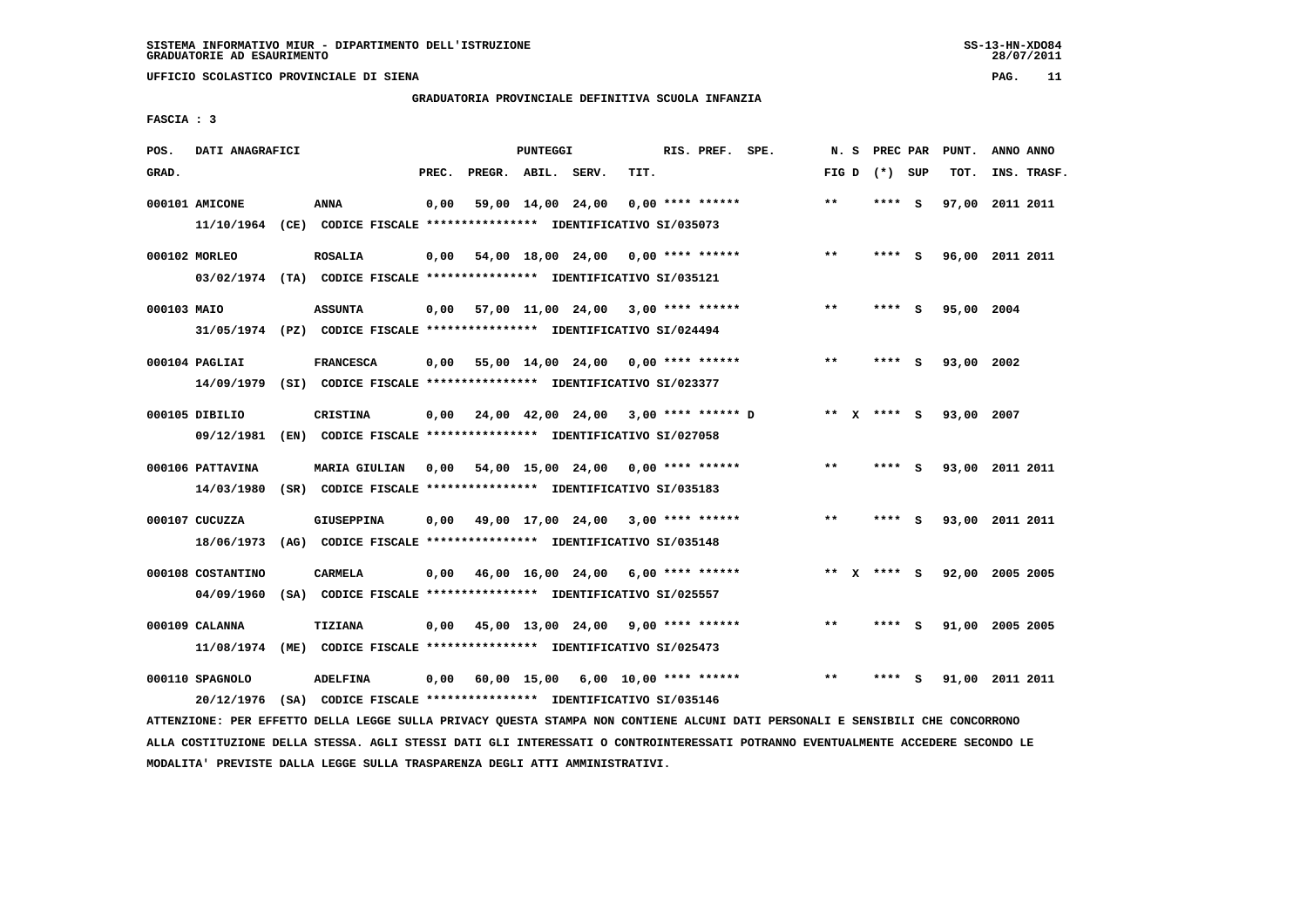**UFFICIO SCOLASTICO PROVINCIALE DI SIENA PAG. 11**

# **GRADUATORIA PROVINCIALE DEFINITIVA SCUOLA INFANZIA**

 **FASCIA : 3**

| POS.        | DATI ANAGRAFICI   |                                                                         |       |                    | PUNTEGGI |                   |                                           | RIS. PREF. SPE. | N. S            | PREC PAR |     | PUNT.      | ANNO ANNO       |
|-------------|-------------------|-------------------------------------------------------------------------|-------|--------------------|----------|-------------------|-------------------------------------------|-----------------|-----------------|----------|-----|------------|-----------------|
| GRAD.       |                   |                                                                         | PREC. | PREGR. ABIL. SERV. |          |                   | TIT.                                      |                 | FIG D $(*)$ SUP |          |     | TOT.       | INS. TRASF.     |
|             |                   |                                                                         |       |                    |          |                   |                                           |                 |                 |          |     |            |                 |
|             | 000101 AMICONE    | <b>ANNA</b>                                                             | 0,00  |                    |          | 59,00 14,00 24,00 | $0.00$ **** ******                        |                 | $***$           | $***$ S  |     |            | 97,00 2011 2011 |
|             |                   | 11/10/1964 (CE) CODICE FISCALE *************** IDENTIFICATIVO SI/035073 |       |                    |          |                   |                                           |                 |                 |          |     |            |                 |
|             | 000102 MORLEO     | <b>ROSALIA</b>                                                          | 0,00  |                    |          |                   | 54,00 18,00 24,00 0,00 **** ******        |                 | $**$            | **** S   |     |            | 96,00 2011 2011 |
|             |                   | 03/02/1974 (TA) CODICE FISCALE *************** IDENTIFICATIVO SI/035121 |       |                    |          |                   |                                           |                 |                 |          |     |            |                 |
|             |                   |                                                                         |       |                    |          |                   |                                           |                 |                 |          |     |            |                 |
| 000103 MAIO |                   | <b>ASSUNTA</b>                                                          | 0,00  |                    |          |                   | 57,00 11,00 24,00 3,00 **** ******        |                 | $**$            | **** S   |     | 95,00 2004 |                 |
|             |                   | 31/05/1974 (PZ) CODICE FISCALE *************** IDENTIFICATIVO SI/024494 |       |                    |          |                   |                                           |                 |                 |          |     |            |                 |
|             | 000104 PAGLIAI    | <b>FRANCESCA</b>                                                        | 0,00  |                    |          |                   | 55,00 14,00 24,00 0,00 **** ******        |                 | $***$           | **** S   |     | 93,00 2002 |                 |
|             |                   | 14/09/1979 (SI) CODICE FISCALE *************** IDENTIFICATIVO SI/023377 |       |                    |          |                   |                                           |                 |                 |          |     |            |                 |
|             |                   |                                                                         |       |                    |          |                   |                                           |                 |                 |          |     |            |                 |
|             | 000105 DIBILIO    | <b>CRISTINA</b>                                                         | 0,00  |                    |          |                   | 24,00 42,00 24,00 3,00 **** ****** D      |                 | ** x **** S     |          |     | 93,00 2007 |                 |
|             |                   | 09/12/1981 (EN) CODICE FISCALE *************** IDENTIFICATIVO SI/027058 |       |                    |          |                   |                                           |                 |                 |          |     |            |                 |
|             | 000106 PATTAVINA  | MARIA GIULIAN 0,00 54,00 15,00 24,00 0,00 **** ******                   |       |                    |          |                   |                                           |                 | $**$            | ****     | - S |            | 93,00 2011 2011 |
|             | 14/03/1980        | (SR) CODICE FISCALE **************** IDENTIFICATIVO SI/035183           |       |                    |          |                   |                                           |                 |                 |          |     |            |                 |
|             |                   |                                                                         |       |                    |          |                   |                                           |                 |                 |          |     |            |                 |
|             | 000107 CUCUZZA    | GIUSEPPINA                                                              | 0,00  |                    |          |                   | 49,00 17,00 24,00 3,00 **** ******        |                 | **              | **** S   |     |            | 93,00 2011 2011 |
|             | 18/06/1973        | (AG) CODICE FISCALE **************** IDENTIFICATIVO SI/035148           |       |                    |          |                   |                                           |                 |                 |          |     |            |                 |
|             | 000108 COSTANTINO | <b>CARMELA</b>                                                          | 0.00  |                    |          |                   | 46,00 16,00 24,00 6,00 **** ******        |                 | ** $X$ **** S   |          |     |            | 92,00 2005 2005 |
|             |                   |                                                                         |       |                    |          |                   |                                           |                 |                 |          |     |            |                 |
|             | 04/09/1960        | (SA) CODICE FISCALE **************** IDENTIFICATIVO SI/025557           |       |                    |          |                   |                                           |                 |                 |          |     |            |                 |
|             | 000109 CALANNA    | <b>TIZIANA</b>                                                          | 0,00  |                    |          |                   | 45,00 13,00 24,00 9,00 **** ******        |                 | $* *$           | **** S   |     |            | 91,00 2005 2005 |
|             | 11/08/1974        | (ME) CODICE FISCALE **************** IDENTIFICATIVO SI/025473           |       |                    |          |                   |                                           |                 |                 |          |     |            |                 |
|             |                   |                                                                         |       |                    |          |                   |                                           |                 |                 |          |     |            |                 |
|             | 000110 SPAGNOLO   | <b>ADELFINA</b>                                                         |       |                    |          |                   | $0,00$ 60,00 15,00 6,00 10,00 **** ****** |                 | $**$            |          | s   |            | 91,00 2011 2011 |
|             | 20/12/1976        | (SA) CODICE FISCALE **************** IDENTIFICATIVO SI/035146           |       |                    |          |                   |                                           |                 |                 |          |     |            |                 |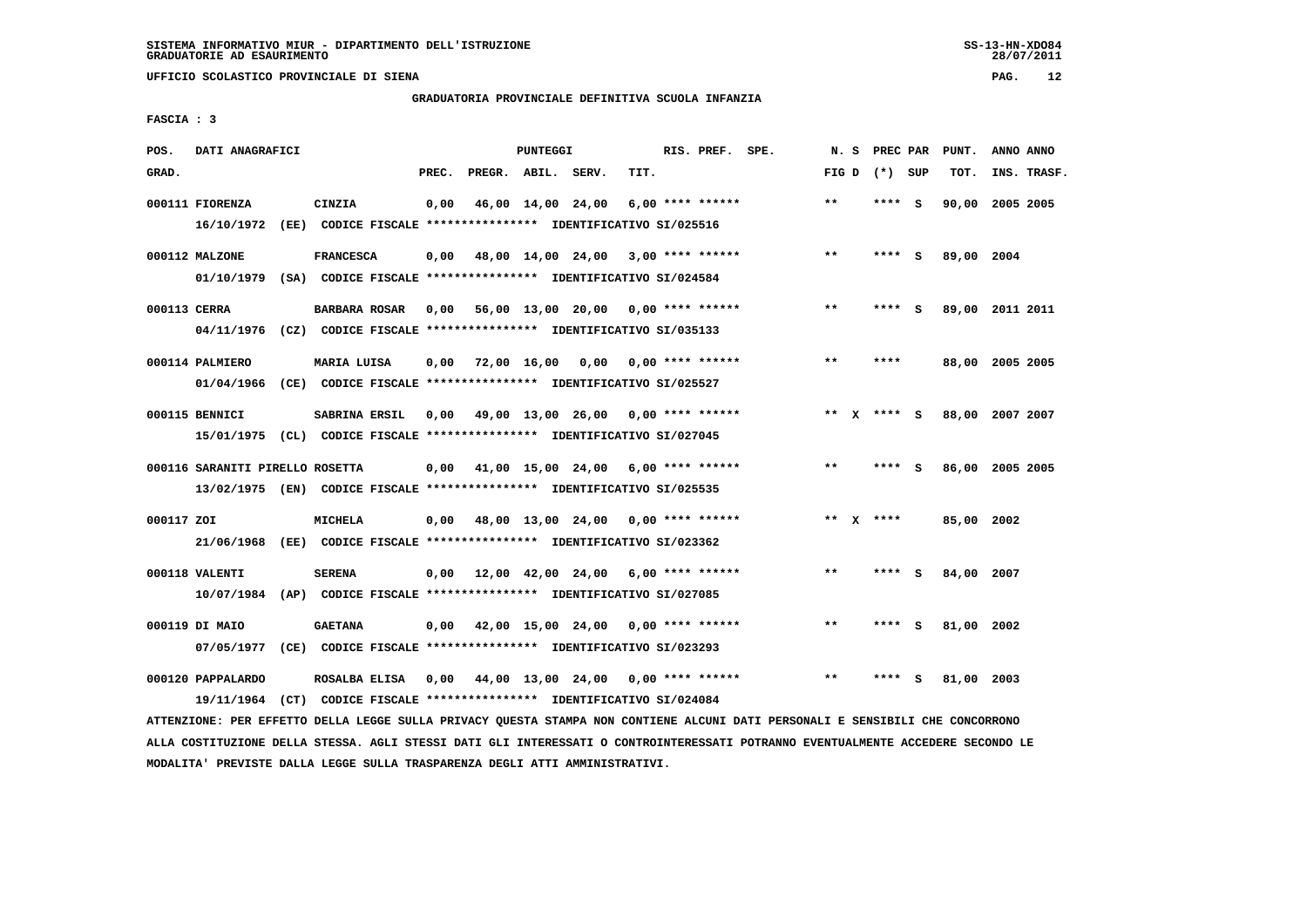**UFFICIO SCOLASTICO PROVINCIALE DI SIENA PAG. 12**

# **GRADUATORIA PROVINCIALE DEFINITIVA SCUOLA INFANZIA**

 **FASCIA : 3**

| POS.         | DATI ANAGRAFICI                                                         |                      |       |                    | PUNTEGGI |                                           |      | RIS. PREF. SPE.  |       | N. S | PREC PAR        | PUNT.           | ANNO ANNO |             |
|--------------|-------------------------------------------------------------------------|----------------------|-------|--------------------|----------|-------------------------------------------|------|------------------|-------|------|-----------------|-----------------|-----------|-------------|
| GRAD.        |                                                                         |                      | PREC. | PREGR. ABIL. SERV. |          |                                           | TIT. |                  |       |      | FIG D $(*)$ SUP | TOT.            |           | INS. TRASF. |
|              |                                                                         |                      |       |                    |          |                                           |      |                  |       |      |                 |                 |           |             |
|              | 000111 FIORENZA                                                         | CINZIA               |       |                    |          | 0,00 46,00 14,00 24,00                    |      | 6,00 **** ****** | $* *$ |      | **** S          | 90,00 2005 2005 |           |             |
|              | 16/10/1972 (EE) CODICE FISCALE *************** IDENTIFICATIVO SI/025516 |                      |       |                    |          |                                           |      |                  |       |      |                 |                 |           |             |
|              |                                                                         |                      |       |                    |          |                                           |      |                  |       |      |                 |                 |           |             |
|              | 000112 MALZONE                                                          | <b>FRANCESCA</b>     |       |                    |          | $0,00$ 48,00 14,00 24,00 3,00 **** ****** |      |                  | **    |      | **** S          | 89,00 2004      |           |             |
|              | 01/10/1979 (SA) CODICE FISCALE *************** IDENTIFICATIVO SI/024584 |                      |       |                    |          |                                           |      |                  |       |      |                 |                 |           |             |
| 000113 CERRA |                                                                         | <b>BARBARA ROSAR</b> |       |                    |          | 0,00 56,00 13,00 20,00 0,00 **** ******   |      |                  | $***$ |      | **** S          | 89,00 2011 2011 |           |             |
|              |                                                                         |                      |       |                    |          |                                           |      |                  |       |      |                 |                 |           |             |
|              | 04/11/1976 (CZ) CODICE FISCALE *************** IDENTIFICATIVO SI/035133 |                      |       |                    |          |                                           |      |                  |       |      |                 |                 |           |             |
|              | 000114 PALMIERO                                                         | MARIA LUISA          |       |                    |          | $0,00$ 72,00 16,00 0,00 0,00 **** ******  |      |                  | $***$ |      | ****            | 88,00 2005 2005 |           |             |
|              | 01/04/1966 (CE) CODICE FISCALE *************** IDENTIFICATIVO SI/025527 |                      |       |                    |          |                                           |      |                  |       |      |                 |                 |           |             |
|              |                                                                         |                      |       |                    |          |                                           |      |                  |       |      |                 |                 |           |             |
|              | 000115 BENNICI                                                          | SABRINA ERSIL        |       |                    |          | 0,00 49,00 13,00 26,00 0,00 **** ******   |      |                  |       |      | ** $X$ **** S   | 88,00 2007 2007 |           |             |
|              | 15/01/1975 (CL) CODICE FISCALE *************** IDENTIFICATIVO SI/027045 |                      |       |                    |          |                                           |      |                  |       |      |                 |                 |           |             |
|              |                                                                         |                      |       |                    |          |                                           |      |                  |       |      |                 |                 |           |             |
|              | 000116 SARANITI PIRELLO ROSETTA                                         |                      |       |                    |          | $0,00$ 41,00 15,00 24,00 6,00 **** ****** |      |                  | $***$ |      | **** S          | 86,00 2005 2005 |           |             |
|              | 13/02/1975 (EN) CODICE FISCALE *************** IDENTIFICATIVO SI/025535 |                      |       |                    |          |                                           |      |                  |       |      |                 |                 |           |             |
|              |                                                                         |                      |       |                    |          |                                           |      |                  |       |      |                 |                 |           |             |
| 000117 ZOI   |                                                                         | <b>MICHELA</b>       |       |                    |          | $0,00$ 48,00 13,00 24,00 0,00 **** ****** |      |                  |       |      | ** $X$ ****     | 85,00 2002      |           |             |
|              | 21/06/1968 (EE) CODICE FISCALE *************** IDENTIFICATIVO SI/023362 |                      |       |                    |          |                                           |      |                  |       |      |                 |                 |           |             |
|              |                                                                         |                      |       |                    |          |                                           |      |                  |       |      |                 |                 |           |             |
|              | 000118 VALENTI                                                          | <b>SERENA</b>        |       |                    |          | $0,00$ 12,00 42,00 24,00 6,00 **** ****** |      |                  | $***$ |      | **** S          | 84,00 2007      |           |             |
|              | 10/07/1984 (AP) CODICE FISCALE *************** IDENTIFICATIVO SI/027085 |                      |       |                    |          |                                           |      |                  |       |      |                 |                 |           |             |
|              |                                                                         |                      |       |                    |          |                                           |      |                  |       |      |                 |                 |           |             |
|              | 000119 DI MAIO                                                          | <b>GAETANA</b>       |       |                    |          | $0,00$ 42,00 15,00 24,00 0,00 **** ****** |      |                  | $* *$ |      | **** S          | 81,00 2002      |           |             |
|              | 07/05/1977 (CE) CODICE FISCALE *************** IDENTIFICATIVO SI/023293 |                      |       |                    |          |                                           |      |                  |       |      |                 |                 |           |             |
|              |                                                                         |                      |       |                    |          |                                           |      |                  |       |      |                 |                 |           |             |
|              | 000120 PAPPALARDO                                                       | ROSALBA ELISA        |       |                    |          | $0,00$ 44,00 13,00 24,00 0,00 **** ****** |      |                  | $***$ |      | **** S          | 81,00 2003      |           |             |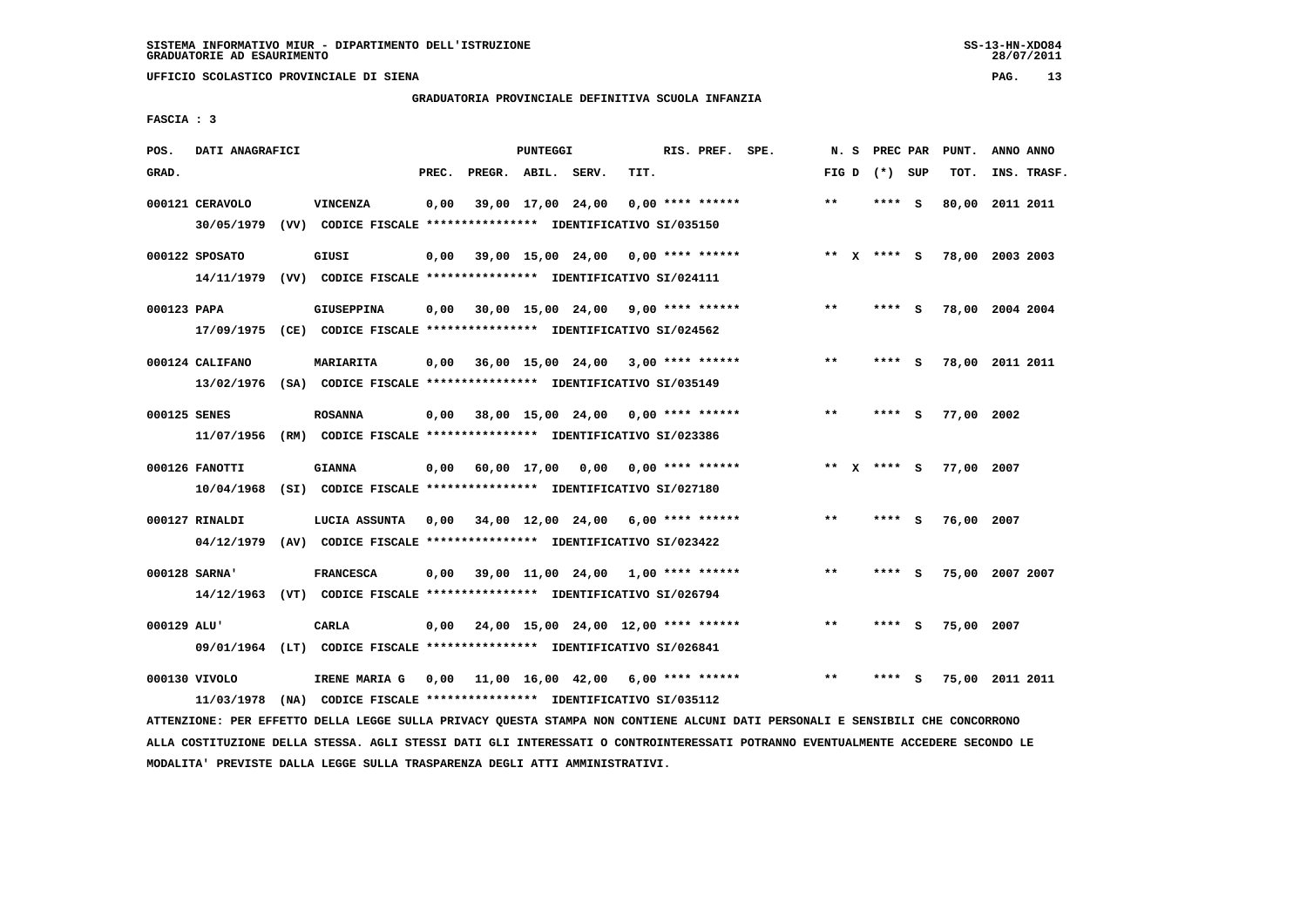**UFFICIO SCOLASTICO PROVINCIALE DI SIENA PAG. 13**

# **GRADUATORIA PROVINCIALE DEFINITIVA SCUOLA INFANZIA**

 **FASCIA : 3**

| POS.         | DATI ANAGRAFICI |                                                                          |       |                                            | PUNTEGGI |                                      |      | RIS. PREF. SPE.    | N.S   | PREC PAR        |     | PUNT.           | ANNO ANNO |             |
|--------------|-----------------|--------------------------------------------------------------------------|-------|--------------------------------------------|----------|--------------------------------------|------|--------------------|-------|-----------------|-----|-----------------|-----------|-------------|
| GRAD.        |                 |                                                                          | PREC. | PREGR. ABIL. SERV.                         |          |                                      | TIT. |                    |       | FIG D $(*)$ SUP |     | TOT.            |           | INS. TRASF. |
|              | 000121 CERAVOLO | VINCENZA                                                                 | 0,00  |                                            |          | 39,00 17,00 24,00                    |      | $0,00$ **** ****** | **    | **** S          |     | 80,00 2011 2011 |           |             |
|              | 30/05/1979      | (VV) CODICE FISCALE **************** IDENTIFICATIVO SI/035150            |       |                                            |          |                                      |      |                    |       |                 |     |                 |           |             |
|              | 000122 SPOSATO  | GIUSI                                                                    | 0,00  |                                            |          | $39,00$ 15,00 24,00 0,00 **** ****** |      |                    |       | ** x **** S     |     | 78,00 2003 2003 |           |             |
|              |                 | 14/11/1979 (VV) CODICE FISCALE *************** IDENTIFICATIVO SI/024111  |       |                                            |          |                                      |      |                    |       |                 |     |                 |           |             |
| 000123 PAPA  |                 | <b>GIUSEPPINA</b>                                                        | 0,00  | 30,00 15,00 24,00 9,00 **** ******         |          |                                      |      |                    | **    | **** S          |     | 78,00 2004 2004 |           |             |
|              |                 | 17/09/1975 (CE) CODICE FISCALE *************** IDENTIFICATIVO SI/024562  |       |                                            |          |                                      |      |                    |       |                 |     |                 |           |             |
|              | 000124 CALIFANO | <b>MARIARITA</b>                                                         | 0,00  | 36,00 15,00 24,00 3,00 **** ******         |          |                                      |      |                    | **    | **** S          |     | 78,00 2011 2011 |           |             |
|              |                 | 13/02/1976 (SA) CODICE FISCALE *************** IDENTIFICATIVO SI/035149  |       |                                            |          |                                      |      |                    |       |                 |     |                 |           |             |
| 000125 SENES |                 | <b>ROSANNA</b>                                                           | 0,00  | 38,00 15,00 24,00 0,00 **** ******         |          |                                      |      |                    | $***$ | ****            | - S | 77,00 2002      |           |             |
|              |                 | 11/07/1956 (RM) CODICE FISCALE *************** IDENTIFICATIVO SI/023386  |       |                                            |          |                                      |      |                    |       |                 |     |                 |           |             |
|              | 000126 FANOTTI  | <b>GIANNA</b>                                                            | 0,00  | 60,00 17,00 0,00 0,00 **** ******          |          |                                      |      |                    | ** X  | **** S          |     | 77,00 2007      |           |             |
|              |                 | 10/04/1968 (SI) CODICE FISCALE **************** IDENTIFICATIVO SI/027180 |       |                                            |          |                                      |      |                    |       |                 |     |                 |           |             |
|              | 000127 RINALDI  | LUCIA ASSUNTA                                                            | 0,00  | 34,00 12,00 24,00 6,00 **** ******         |          |                                      |      |                    | $* *$ | **** S          |     | 76,00 2007      |           |             |
|              |                 | 04/12/1979 (AV) CODICE FISCALE *************** IDENTIFICATIVO SI/023422  |       |                                            |          |                                      |      |                    |       |                 |     |                 |           |             |
|              | 000128 SARNA'   | <b>FRANCESCA</b>                                                         | 0,00  | 39,00 11,00 24,00 1,00 **** ******         |          |                                      |      |                    | $***$ | **** S          |     | 75,00 2007 2007 |           |             |
|              |                 | 14/12/1963 (VT) CODICE FISCALE *************** IDENTIFICATIVO SI/026794  |       |                                            |          |                                      |      |                    |       |                 |     |                 |           |             |
| 000129 ALU'  |                 | CARLA                                                                    | 0,00  | 24,00 15,00 24,00 12,00 **** ******        |          |                                      |      |                    | $* *$ | ****            | - S | 75,00 2007      |           |             |
|              |                 | 09/01/1964 (LT) CODICE FISCALE *************** IDENTIFICATIVO SI/026841  |       |                                            |          |                                      |      |                    |       |                 |     |                 |           |             |
|              | 000130 VIVOLO   | IRENE MARIA G                                                            | 0,00  | $11,00$ $16,00$ $42,00$ $6,00$ **** ****** |          |                                      |      |                    | **    | **** S          |     | 75,00 2011 2011 |           |             |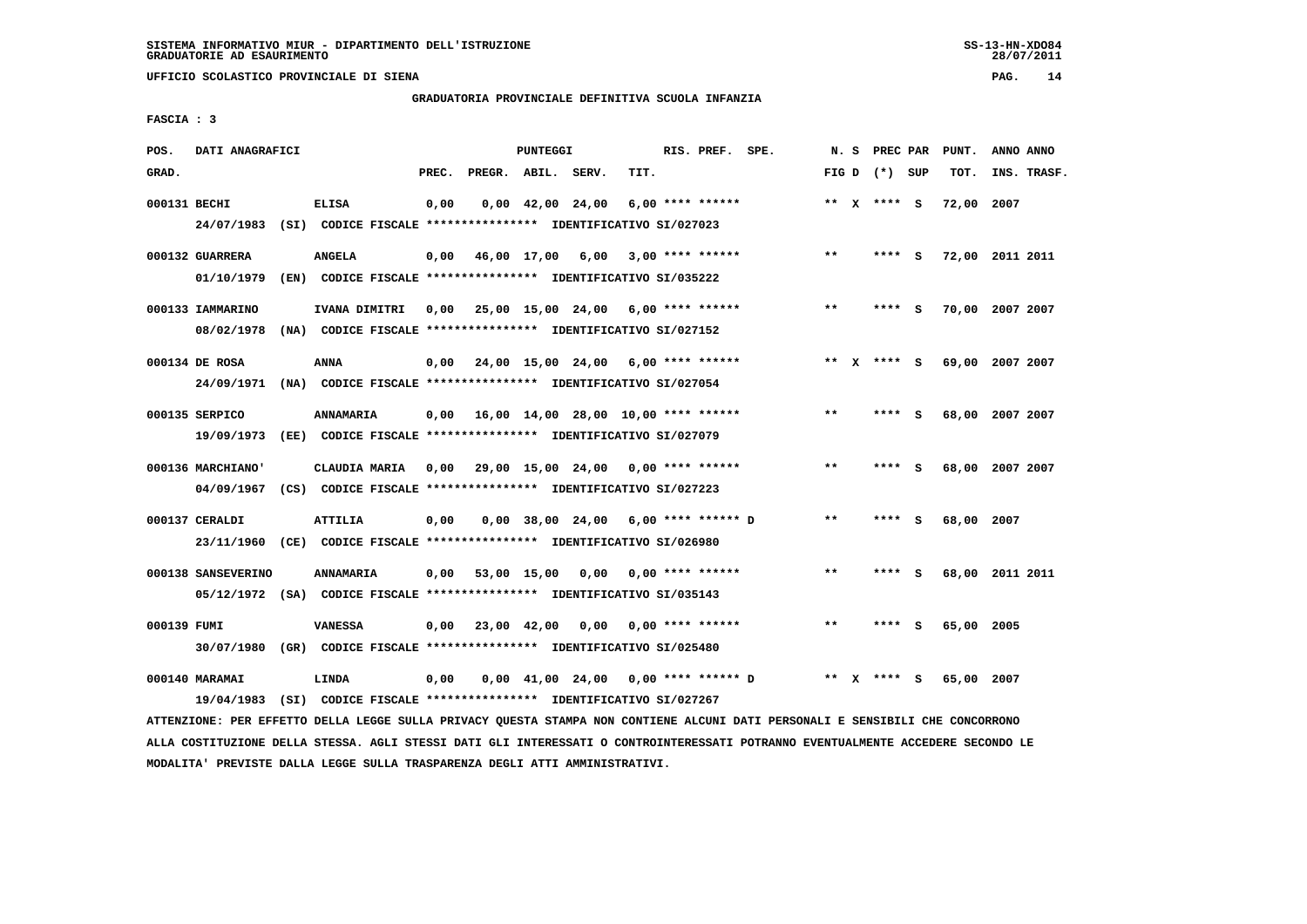# **GRADUATORIA PROVINCIALE DEFINITIVA SCUOLA INFANZIA**

 **FASCIA : 3**

| POS.         | DATI ANAGRAFICI    |                                                                         |       |                    | PUNTEGGI |                                |                                                                       | RIS. PREF. SPE. |       | N. S PREC PAR   | PUNT.      | ANNO ANNO       |
|--------------|--------------------|-------------------------------------------------------------------------|-------|--------------------|----------|--------------------------------|-----------------------------------------------------------------------|-----------------|-------|-----------------|------------|-----------------|
| GRAD.        |                    |                                                                         | PREC. | PREGR. ABIL. SERV. |          |                                | TIT.                                                                  |                 |       | FIG D $(*)$ SUP | TOT.       | INS. TRASF.     |
| 000131 BECHI |                    | <b>ELISA</b>                                                            | 0,00  |                    |          | $0,00 \quad 42,00 \quad 24,00$ | $6,00$ **** ******                                                    |                 |       | ** X **** S     | 72,00 2007 |                 |
|              | 24/07/1983         | (SI) CODICE FISCALE **************** IDENTIFICATIVO SI/027023           |       |                    |          |                                |                                                                       |                 |       |                 |            |                 |
|              | 000132 GUARRERA    | <b>ANGELA</b>                                                           | 0,00  | 46,00 17,00 6,00   |          |                                | $3,00$ **** ******                                                    |                 | $* *$ | **** S          |            | 72,00 2011 2011 |
|              | 01/10/1979         | (EN) CODICE FISCALE **************** IDENTIFICATIVO SI/035222           |       |                    |          |                                |                                                                       |                 |       |                 |            |                 |
|              | 000133 IAMMARINO   | IVANA DIMITRI                                                           | 0.00  |                    |          |                                | 25,00 15,00 24,00 6,00 **** ******                                    |                 | **    | **** S          |            | 70,00 2007 2007 |
|              | 08/02/1978         | (NA) CODICE FISCALE **************** IDENTIFICATIVO SI/027152           |       |                    |          |                                |                                                                       |                 |       |                 |            |                 |
|              | 000134 DE ROSA     | ANNA                                                                    |       |                    |          |                                | $0,00$ $24,00$ $15,00$ $24,00$ $6,00$ **** ******                     |                 |       | ** x **** S     |            | 69,00 2007 2007 |
|              |                    | 24/09/1971 (NA) CODICE FISCALE *************** IDENTIFICATIVO SI/027054 |       |                    |          |                                |                                                                       |                 |       |                 |            |                 |
|              | 000135 SERPICO     | <b>ANNAMARIA</b>                                                        |       |                    |          |                                | $0,00$ 16,00 14,00 28,00 10,00 **** ******                            |                 | $***$ | **** S          |            | 68,00 2007 2007 |
|              |                    | 19/09/1973 (EE) CODICE FISCALE *************** IDENTIFICATIVO SI/027079 |       |                    |          |                                |                                                                       |                 |       |                 |            |                 |
|              |                    |                                                                         |       |                    |          |                                |                                                                       |                 |       |                 |            |                 |
|              | 000136 MARCHIANO'  | CLAUDIA MARIA                                                           |       |                    |          |                                | $0,00$ 29,00 15,00 24,00 0,00 **** ******                             |                 | $***$ | **** S          |            | 68,00 2007 2007 |
|              |                    | 04/09/1967 (CS) CODICE FISCALE *************** IDENTIFICATIVO SI/027223 |       |                    |          |                                |                                                                       |                 |       |                 |            |                 |
|              | 000137 CERALDI     | <b>ATTILIA</b>                                                          | 0,00  |                    |          |                                | $0,00$ 38,00 24,00 6,00 **** ****** D                                 |                 | $***$ | **** S          | 68,00 2007 |                 |
|              |                    | 23/11/1960 (CE) CODICE FISCALE *************** IDENTIFICATIVO SI/026980 |       |                    |          |                                |                                                                       |                 |       |                 |            |                 |
|              | 000138 SANSEVERINO | <b>ANNAMARIA</b>                                                        |       |                    |          |                                | $0.00$ 53.00 15.00 0.00 0.00 **** ******                              |                 | $**$  | **** S          |            | 68,00 2011 2011 |
|              |                    | 05/12/1972 (SA) CODICE FISCALE *************** IDENTIFICATIVO SI/035143 |       |                    |          |                                |                                                                       |                 |       |                 |            |                 |
| 000139 FUMI  |                    | <b>VANESSA</b>                                                          |       | 0,00 23,00 42,00   |          |                                | $0,00$ $0,00$ **** ******                                             |                 | $* *$ | **** S          | 65,00 2005 |                 |
|              |                    | 30/07/1980 (GR) CODICE FISCALE *************** IDENTIFICATIVO SI/025480 |       |                    |          |                                |                                                                       |                 |       |                 |            |                 |
|              |                    |                                                                         |       |                    |          |                                |                                                                       |                 |       |                 |            |                 |
|              | 000140 MARAMAI     | LINDA                                                                   | 0,00  |                    |          |                                | $0.00 \quad 41.00 \quad 24.00 \quad 0.00 \quad *** \quad *** \quad D$ |                 | $***$ | **** S          | 65,00 2007 |                 |
|              | 19/04/1983         | (SI) CODICE FISCALE **************** IDENTIFICATIVO SI/027267           |       |                    |          |                                |                                                                       |                 |       |                 |            |                 |

 **ATTENZIONE: PER EFFETTO DELLA LEGGE SULLA PRIVACY QUESTA STAMPA NON CONTIENE ALCUNI DATI PERSONALI E SENSIBILI CHE CONCORRONO ALLA COSTITUZIONE DELLA STESSA. AGLI STESSI DATI GLI INTERESSATI O CONTROINTERESSATI POTRANNO EVENTUALMENTE ACCEDERE SECONDO LE MODALITA' PREVISTE DALLA LEGGE SULLA TRASPARENZA DEGLI ATTI AMMINISTRATIVI.**

 $28/07/2011$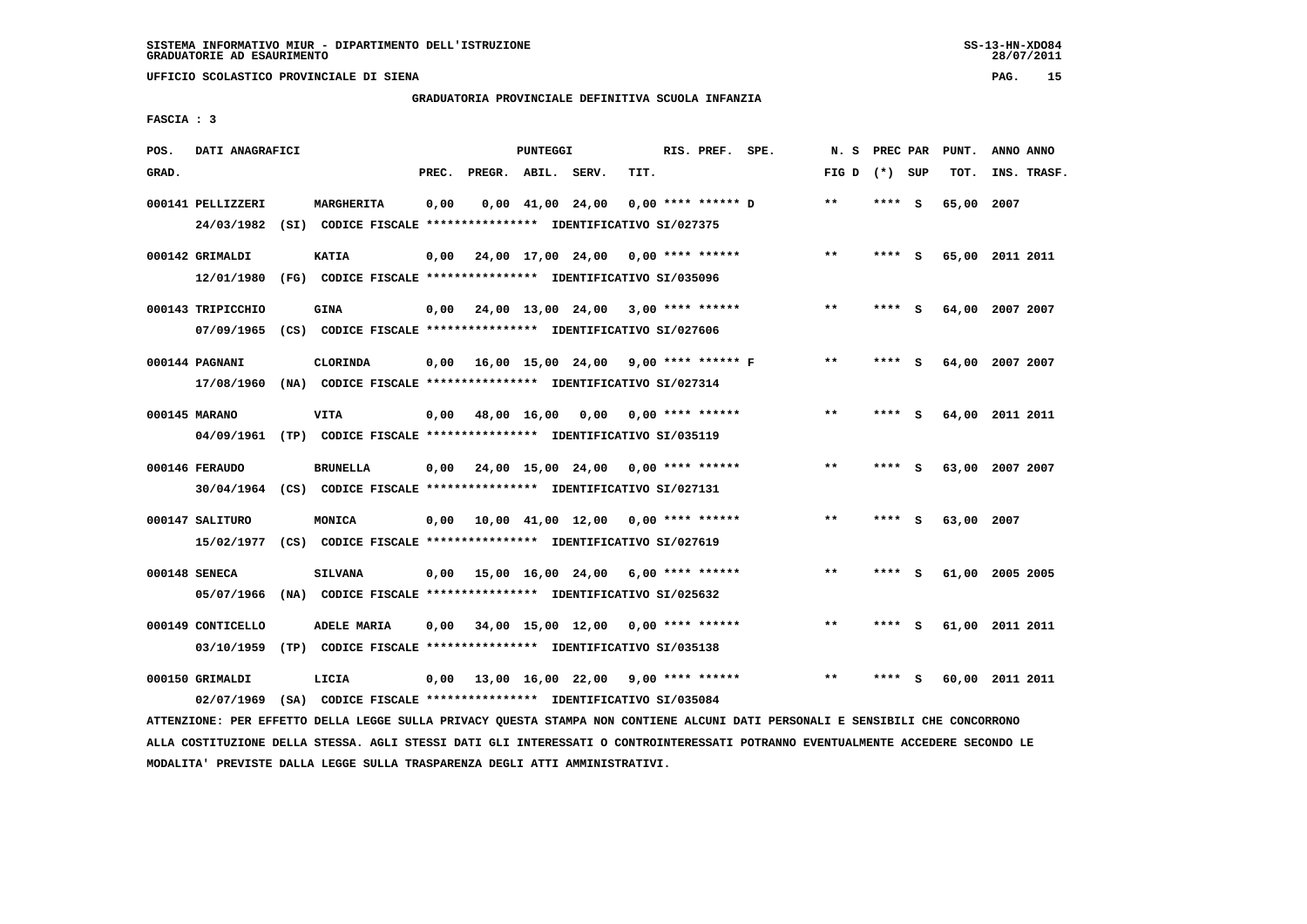**UFFICIO SCOLASTICO PROVINCIALE DI SIENA PAG. 15**

# **GRADUATORIA PROVINCIALE DEFINITIVA SCUOLA INFANZIA**

 **FASCIA : 3**

| POS.  | DATI ANAGRAFICI   |                                                                                       |       |                    | PUNTEGGI |                                           |                      | RIS. PREF. SPE. | N. S            | PREC PAR |     | PUNT.      | ANNO ANNO       |
|-------|-------------------|---------------------------------------------------------------------------------------|-------|--------------------|----------|-------------------------------------------|----------------------|-----------------|-----------------|----------|-----|------------|-----------------|
| GRAD. |                   |                                                                                       | PREC. | PREGR. ABIL. SERV. |          |                                           | TIT.                 |                 | FIG D $(*)$ SUP |          |     | TOT.       | INS. TRASF.     |
|       | 000141 PELLIZZERI | MARGHERITA<br>24/03/1982 (SI) CODICE FISCALE *************** IDENTIFICATIVO SI/027375 | 0,00  |                    |          | $0,00 \quad 41,00 \quad 24,00$            | $0.00$ **** ****** D |                 | $***$           | ****     | - S | 65,00      | 2007            |
|       | 000142 GRIMALDI   | <b>KATIA</b>                                                                          | 0,00  |                    |          | 24,00 17,00 24,00 0,00 **** ******        |                      |                 | $**$            | **** S   |     |            | 65,00 2011 2011 |
|       | 12/01/1980        | (FG) CODICE FISCALE *************** IDENTIFICATIVO SI/035096                          |       |                    |          |                                           |                      |                 |                 |          |     |            |                 |
|       | 000143 TRIPICCHIO | <b>GINA</b>                                                                           | 0,00  |                    |          | 24,00 13,00 24,00 3,00 **** ******        |                      |                 | $**$            | **** S   |     |            | 64,00 2007 2007 |
|       |                   | 07/09/1965 (CS) CODICE FISCALE *************** IDENTIFICATIVO SI/027606               |       |                    |          |                                           |                      |                 |                 |          |     |            |                 |
|       | 000144 PAGNANI    | CLORINDA                                                                              | 0,00  |                    |          | 16,00 15,00 24,00 9,00 **** ****** F      |                      |                 | $***$           | **** S   |     |            | 64,00 2007 2007 |
|       |                   | 17/08/1960 (NA) CODICE FISCALE *************** IDENTIFICATIVO SI/027314               |       |                    |          |                                           |                      |                 |                 |          |     |            |                 |
|       | 000145 MARANO     | <b>VITA</b>                                                                           | 0,00  |                    |          | 48,00 16,00 0,00 0,00 **** ******         |                      |                 | $***$           | **** S   |     |            | 64,00 2011 2011 |
|       |                   | 04/09/1961 (TP) CODICE FISCALE *************** IDENTIFICATIVO SI/035119               |       |                    |          |                                           |                      |                 |                 |          |     |            |                 |
|       | 000146 FERAUDO    | <b>BRUNELLA</b>                                                                       |       |                    |          | $0.00$ 24.00 15.00 24.00 0.00 **** ****** |                      |                 | $**$            | ****     | - S |            | 63,00 2007 2007 |
|       |                   | 30/04/1964 (CS) CODICE FISCALE *************** IDENTIFICATIVO SI/027131               |       |                    |          |                                           |                      |                 |                 |          |     |            |                 |
|       | 000147 SALITURO   | MONICA                                                                                | 0,00  |                    |          | 10,00 41,00 12,00 0,00 **** ******        |                      |                 | $* *$           | ****     | - S | 63,00 2007 |                 |
|       |                   | 15/02/1977 (CS) CODICE FISCALE *************** IDENTIFICATIVO SI/027619               |       |                    |          |                                           |                      |                 |                 |          |     |            |                 |
|       | 000148 SENECA     | <b>SILVANA</b>                                                                        | 0.00  |                    |          | 15,00 16,00 24,00 6,00 **** ******        |                      |                 | $**$            | ****     | - S |            | 61,00 2005 2005 |
|       | 05/07/1966        | (NA) CODICE FISCALE **************** IDENTIFICATIVO SI/025632                         |       |                    |          |                                           |                      |                 |                 |          |     |            |                 |
|       | 000149 CONTICELLO | ADELE MARIA                                                                           | 0.00  |                    |          | 34,00 15,00 12,00 0,00 **** ******        |                      |                 | $* *$           | **** S   |     |            | 61,00 2011 2011 |
|       | 03/10/1959        | (TP) CODICE FISCALE **************** IDENTIFICATIVO SI/035138                         |       |                    |          |                                           |                      |                 |                 |          |     |            |                 |
|       | 000150 GRIMALDI   | LICIA                                                                                 |       |                    |          | $0,00$ 13,00 16,00 22,00 9,00 **** ****** |                      |                 | $**$            |          | s   |            | 60,00 2011 2011 |
|       | 02/07/1969        | (SA) CODICE FISCALE **************** IDENTIFICATIVO SI/035084                         |       |                    |          |                                           |                      |                 |                 |          |     |            |                 |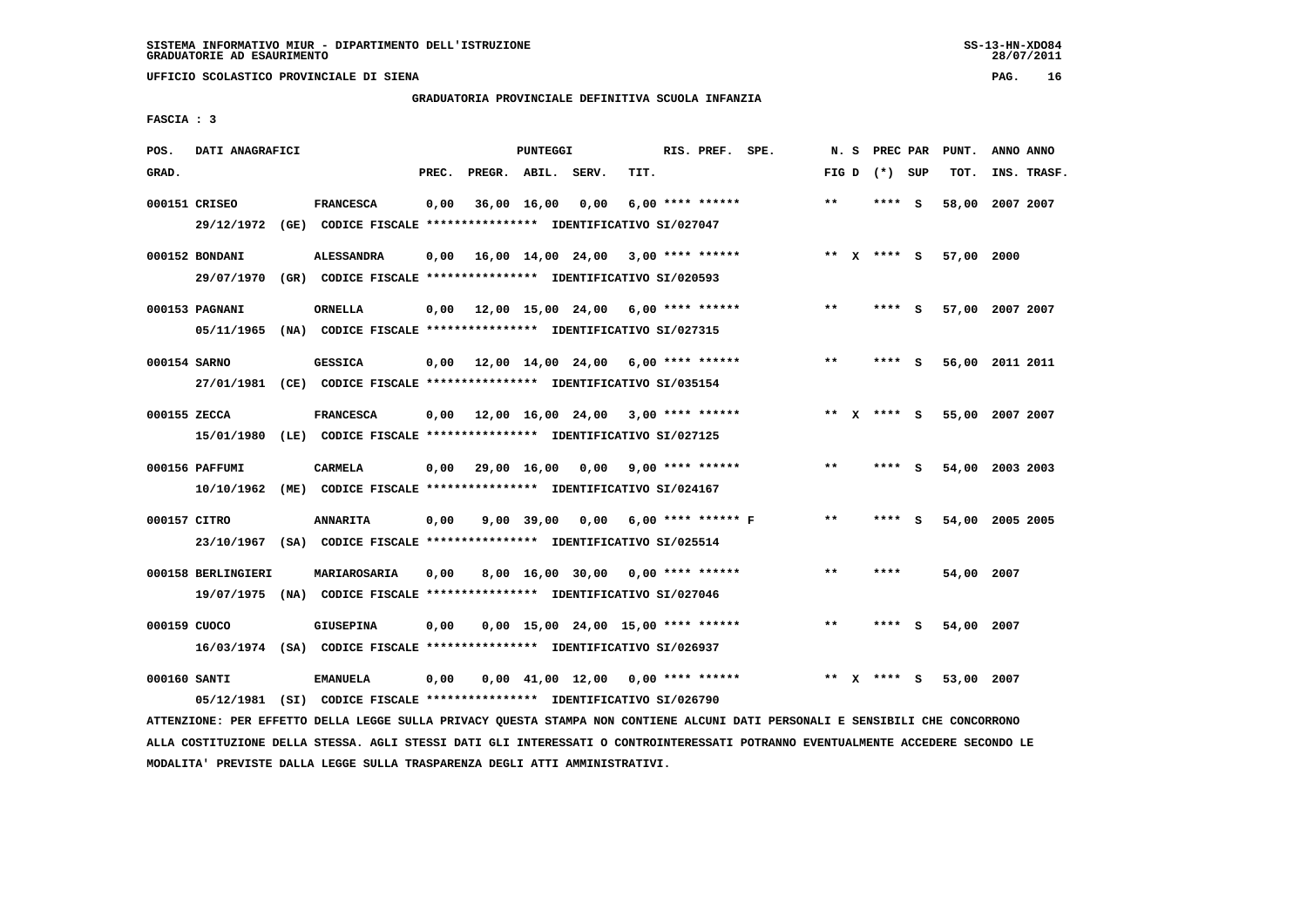**UFFICIO SCOLASTICO PROVINCIALE DI SIENA PAG. 16**

# **GRADUATORIA PROVINCIALE DEFINITIVA SCUOLA INFANZIA**

 **FASCIA : 3**

| POS.         | DATI ANAGRAFICI    |                                                                                            |       |                         | PUNTEGGI |                  |                                           | RIS. PREF. SPE.    |       | N. S | PREC PAR        | PUNT.      | ANNO ANNO       |
|--------------|--------------------|--------------------------------------------------------------------------------------------|-------|-------------------------|----------|------------------|-------------------------------------------|--------------------|-------|------|-----------------|------------|-----------------|
| GRAD.        |                    |                                                                                            | PREC. | PREGR. ABIL. SERV.      |          |                  | TIT.                                      |                    |       |      | FIG D $(*)$ SUP | TOT.       | INS. TRASF.     |
|              |                    |                                                                                            |       |                         |          |                  |                                           |                    |       |      |                 |            |                 |
|              | 000151 CRISEO      | <b>FRANCESCA</b>                                                                           | 0,00  |                         |          | 36,00 16,00 0,00 |                                           | $6.00$ **** ****** | $***$ |      | **** S          |            | 58,00 2007 2007 |
|              |                    | 29/12/1972 (GE) CODICE FISCALE *************** IDENTIFICATIVO SI/027047                    |       |                         |          |                  |                                           |                    |       |      |                 |            |                 |
|              | 000152 BONDANI     | <b>ALESSANDRA</b>                                                                          |       |                         |          |                  | $0,00$ 16,00 14,00 24,00 3,00 **** ****** |                    |       |      | ** x **** s     | 57,00 2000 |                 |
|              |                    |                                                                                            |       |                         |          |                  |                                           |                    |       |      |                 |            |                 |
|              |                    | 29/07/1970 (GR) CODICE FISCALE *************** IDENTIFICATIVO SI/020593                    |       |                         |          |                  |                                           |                    |       |      |                 |            |                 |
|              | 000153 PAGNANI     | ORNELLA                                                                                    |       |                         |          |                  | $0,00$ 12,00 15,00 24,00 6,00 **** ****** |                    | **    |      | **** S          |            | 57,00 2007 2007 |
|              |                    | 05/11/1965 (NA) CODICE FISCALE *************** IDENTIFICATIVO SI/027315                    |       |                         |          |                  |                                           |                    |       |      |                 |            |                 |
|              |                    |                                                                                            |       |                         |          |                  |                                           |                    |       |      |                 |            |                 |
| 000154 SARNO |                    | <b>GESSICA</b>                                                                             |       |                         |          |                  | $0.00$ 12.00 14.00 24.00 6.00 **** ****** |                    | $***$ |      | $***$ S         |            | 56,00 2011 2011 |
|              |                    | 27/01/1981 (CE) CODICE FISCALE *************** IDENTIFICATIVO SI/035154                    |       |                         |          |                  |                                           |                    |       |      |                 |            |                 |
|              |                    |                                                                                            |       |                         |          |                  |                                           |                    |       |      |                 |            |                 |
| 000155 ZECCA |                    | <b>FRANCESCA</b>                                                                           |       |                         |          |                  | $0,00$ 12,00 16,00 24,00 3,00 **** ****** |                    |       |      | ** x **** S     |            | 55,00 2007 2007 |
|              |                    | 15/01/1980 (LE) CODICE FISCALE *************** IDENTIFICATIVO SI/027125                    |       |                         |          |                  |                                           |                    |       |      |                 |            |                 |
|              | 000156 PAFFUMI     | <b>CARMELA</b>                                                                             |       | $0,00$ 29,00 16,00 0,00 |          |                  |                                           | $9,00$ **** ****** | $* *$ |      | **** S          |            | 54,00 2003 2003 |
|              |                    | 10/10/1962 (ME) CODICE FISCALE *************** IDENTIFICATIVO SI/024167                    |       |                         |          |                  |                                           |                    |       |      |                 |            |                 |
|              |                    |                                                                                            |       |                         |          |                  |                                           |                    |       |      |                 |            |                 |
| 000157 CITRO |                    | <b>ANNARITA</b>                                                                            | 0,00  |                         |          |                  | $9,00$ 39,00 0,00 6,00 **** ****** F      |                    | $* *$ |      | **** S          |            | 54,00 2005 2005 |
|              |                    | 23/10/1967 (SA) CODICE FISCALE *************** IDENTIFICATIVO SI/025514                    |       |                         |          |                  |                                           |                    |       |      |                 |            |                 |
|              |                    |                                                                                            |       |                         |          |                  |                                           |                    |       |      |                 |            |                 |
|              | 000158 BERLINGIERI | <b>MARIAROSARIA</b>                                                                        | 0,00  |                         |          |                  | $8,00$ 16,00 30,00 0,00 **** ******       |                    | $* *$ |      | ****            | 54,00 2007 |                 |
|              |                    | 19/07/1975 (NA) CODICE FISCALE *************** IDENTIFICATIVO SI/027046                    |       |                         |          |                  |                                           |                    |       |      |                 |            |                 |
|              |                    |                                                                                            |       |                         |          |                  |                                           |                    |       |      |                 |            |                 |
| 000159 CUOCO |                    | <b>GIUSEPINA</b>                                                                           | 0,00  |                         |          |                  | $0,00$ 15,00 24,00 15,00 **** ******      |                    | $* *$ |      | **** S          | 54,00 2007 |                 |
|              |                    | 16/03/1974 (SA) CODICE FISCALE **************** IDENTIFICATIVO SI/026937                   |       |                         |          |                  |                                           |                    |       |      |                 |            |                 |
|              |                    |                                                                                            |       |                         |          |                  |                                           |                    | **    |      |                 |            |                 |
|              |                    |                                                                                            |       |                         |          |                  |                                           |                    |       |      |                 |            |                 |
| 000160 SANTI |                    | <b>EMANUELA</b><br>05/12/1981 (SI) CODICE FISCALE *************** IDENTIFICATIVO SI/026790 | 0,00  |                         |          |                  | $0,00$ 41,00 12,00 0,00 **** ******       |                    |       |      | **** S          | 53,00      | 2007            |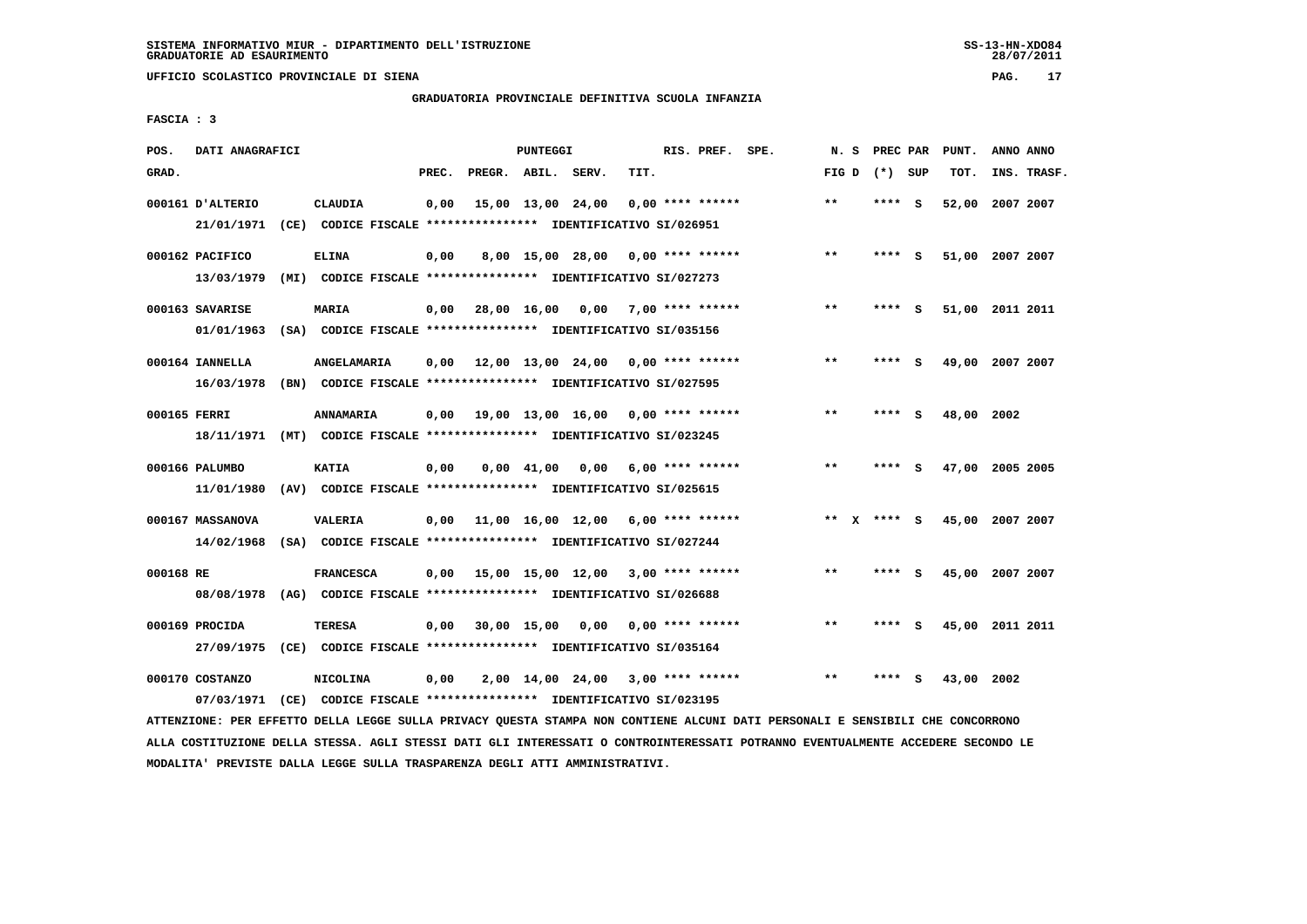**UFFICIO SCOLASTICO PROVINCIALE DI SIENA PAG. 17**

# **GRADUATORIA PROVINCIALE DEFINITIVA SCUOLA INFANZIA**

 **FASCIA : 3**

| POS.         | DATI ANAGRAFICI                |                                                                                             |       |                                    | PUNTEGGI           |                                     |      | RIS. PREF. SPE.    | N.S          | PREC PAR |     | PUNT.           | ANNO ANNO |             |
|--------------|--------------------------------|---------------------------------------------------------------------------------------------|-------|------------------------------------|--------------------|-------------------------------------|------|--------------------|--------------|----------|-----|-----------------|-----------|-------------|
| GRAD.        |                                |                                                                                             | PREC. | PREGR. ABIL. SERV.                 |                    |                                     | TIT. |                    | FIG D        | (*) SUP  |     | TOT.            |           | INS. TRASF. |
|              | 000161 D'ALTERIO<br>21/01/1971 | <b>CLAUDIA</b><br>(CE) CODICE FISCALE **************** IDENTIFICATIVO SI/026951             | 0,00  |                                    | 15,00 13,00 24,00  |                                     |      | $0.00$ **** ****** | $* *$        | ****     | ్   | 52,00           | 2007 2007 |             |
|              | 000162 PACIFICO                | <b>ELINA</b>                                                                                | 0,00  |                                    |                    | 8,00 15,00 28,00                    |      | $0.00$ **** ****** | $* *$        | ****     | ్   | 51,00 2007 2007 |           |             |
|              | 13/03/1979<br>000163 SAVARISE  | (MI) CODICE FISCALE **************** IDENTIFICATIVO SI/027273<br>MARIA                      |       | $0,00$ 28,00 16,00                 |                    | 0,00                                |      | 7,00 **** ******   | $* *$        | **** S   |     | 51,00 2011 2011 |           |             |
|              | 01/01/1963<br>000164 IANNELLA  | (SA) CODICE FISCALE **************** IDENTIFICATIVO SI/035156<br>ANGELAMARIA                | 0,00  | 12,00 13,00 24,00                  |                    |                                     |      | $0.00$ **** ****** | $***$        | ****     | - 5 | 49,00           | 2007 2007 |             |
|              | 16/03/1978                     | (BN) CODICE FISCALE **************** IDENTIFICATIVO SI/027595                               |       |                                    |                    |                                     |      |                    |              |          |     |                 |           |             |
| 000165 FERRI | 18/11/1971                     | <b>ANNAMARIA</b>                                                                            | 0,00  | 19,00 13,00 16,00                  |                    |                                     |      | $0.00$ **** ****** | $**$         | ****     | - S | 48,00           | 2002      |             |
|              | 000166 PALUMBO<br>11/01/1980   | <b>KATIA</b><br>(AV) CODICE FISCALE **************** IDENTIFICATIVO SI/025615               | 0,00  |                                    | $0.00 \quad 41.00$ | 0,00                                |      | $6,00$ **** ****** | $* *$        | ****     | - S | 47,00 2005 2005 |           |             |
|              | 000167 MASSANOVA<br>14/02/1968 | VALERIA<br>(SA) CODICE FISCALE **************** IDENTIFICATIVO SI/027244                    | 0,00  | 11,00 16,00 12,00 6,00 **** ****** |                    |                                     |      |                    | $* *$        | **** S   |     | 45,00 2007 2007 |           |             |
| 000168 RE    |                                | <b>FRANCESCA</b><br>08/08/1978 (AG) CODICE FISCALE *************** IDENTIFICATIVO SI/026688 | 0,00  | 15,00 15,00 12,00 3,00 **** ****** |                    |                                     |      |                    | $\star\star$ | **** S   |     | 45,00 2007 2007 |           |             |
|              | 000169 PROCIDA                 | TERESA                                                                                      | 0,00  |                                    | $30,00$ 15,00      | 0.00                                |      | $0.00$ **** ****** | **           | ****     | s   | 45,00           | 2011 2011 |             |
|              | 000170 COSTANZO                | 27/09/1975 (CE) CODICE FISCALE *************** IDENTIFICATIVO SI/035164<br><b>NICOLINA</b>  | 0,00  |                                    |                    | $2,00$ 14,00 24,00 3,00 **** ****** |      |                    | $***$        | **** S   |     | 43,00 2002      |           |             |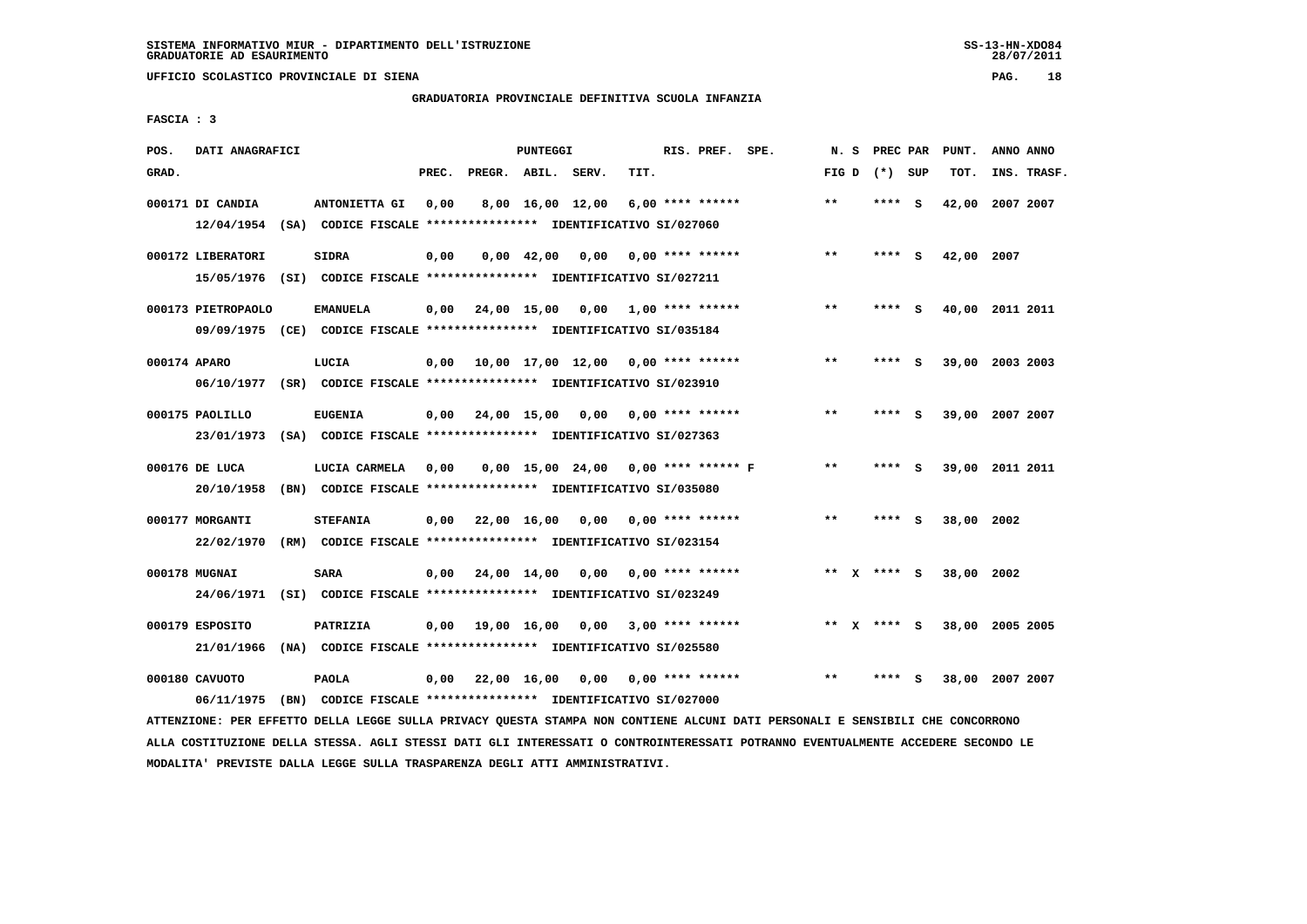**UFFICIO SCOLASTICO PROVINCIALE DI SIENA PAG. 18**

# **GRADUATORIA PROVINCIALE DEFINITIVA SCUOLA INFANZIA**

 **FASCIA : 3**

| POS.         | DATI ANAGRAFICI    |                                                                         |       |                    | PUNTEGGI           |                  |                                          | RIS. PREF. SPE. | N. S  | PREC PAR        |     | PUNT.      | ANNO ANNO       |
|--------------|--------------------|-------------------------------------------------------------------------|-------|--------------------|--------------------|------------------|------------------------------------------|-----------------|-------|-----------------|-----|------------|-----------------|
| GRAD.        |                    |                                                                         | PREC. | PREGR. ABIL. SERV. |                    |                  | TIT.                                     |                 |       | FIG D $(*)$ SUP |     | TOT.       | INS. TRASF.     |
|              |                    |                                                                         |       |                    |                    |                  |                                          |                 |       |                 |     |            |                 |
|              | 000171 DI CANDIA   | ANTONIETTA GI                                                           | 0,00  |                    |                    | 8,00 16,00 12,00 | $6,00$ **** ******                       |                 | $***$ | $***$ S         |     |            | 42,00 2007 2007 |
|              |                    | 12/04/1954 (SA) CODICE FISCALE *************** IDENTIFICATIVO SI/027060 |       |                    |                    |                  |                                          |                 |       |                 |     |            |                 |
|              | 000172 LIBERATORI  | <b>SIDRA</b>                                                            | 0,00  |                    | $0,00 \quad 42,00$ | 0,00             | $0.00$ **** ******                       |                 | $* *$ | **** S          |     | 42,00 2007 |                 |
|              |                    |                                                                         |       |                    |                    |                  |                                          |                 |       |                 |     |            |                 |
|              |                    | 15/05/1976 (SI) CODICE FISCALE *************** IDENTIFICATIVO SI/027211 |       |                    |                    |                  |                                          |                 |       |                 |     |            |                 |
|              | 000173 PIETROPAOLO | <b>EMANUELA</b>                                                         |       |                    |                    |                  | $0,00$ 24,00 15,00 0,00 1,00 **** ****** |                 | $**$  | **** S          |     |            | 40,00 2011 2011 |
|              |                    | 09/09/1975 (CE) CODICE FISCALE *************** IDENTIFICATIVO SI/035184 |       |                    |                    |                  |                                          |                 |       |                 |     |            |                 |
|              |                    |                                                                         |       |                    |                    |                  |                                          |                 |       |                 |     |            |                 |
| 000174 APARO |                    | LUCIA                                                                   | 0,00  |                    |                    |                  | 10,00 17,00 12,00 0,00 **** ******       |                 | **    | **** S          |     |            | 39,00 2003 2003 |
|              |                    | 06/10/1977 (SR) CODICE FISCALE *************** IDENTIFICATIVO SI/023910 |       |                    |                    |                  |                                          |                 |       |                 |     |            |                 |
|              |                    |                                                                         |       |                    |                    |                  |                                          |                 |       |                 |     |            |                 |
|              | 000175 PAOLILLO    | <b>EUGENIA</b>                                                          |       |                    |                    |                  | $0,00$ 24,00 15,00 0,00 0,00 **** ****** |                 | $* *$ | **** S          |     |            | 39,00 2007 2007 |
|              |                    | 23/01/1973 (SA) CODICE FISCALE *************** IDENTIFICATIVO SI/027363 |       |                    |                    |                  |                                          |                 |       |                 |     |            |                 |
|              |                    |                                                                         |       |                    |                    |                  |                                          |                 | $* *$ | ****            |     |            |                 |
|              | 000176 DE LUCA     | LUCIA CARMELA                                                           | 0.00  |                    |                    |                  | $0.00$ 15.00 24.00 0.00 **** ****** F    |                 |       |                 | - S |            | 39,00 2011 2011 |
|              | 20/10/1958         | (BN) CODICE FISCALE **************** IDENTIFICATIVO SI/035080           |       |                    |                    |                  |                                          |                 |       |                 |     |            |                 |
|              | 000177 MORGANTI    | <b>STEFANIA</b>                                                         | 0,00  | 22,00 16,00        |                    |                  | $0,00$ $0,00$ **** ******                |                 | $***$ | **** S          |     | 38,00 2002 |                 |
|              |                    | 22/02/1970 (RM) CODICE FISCALE *************** IDENTIFICATIVO SI/023154 |       |                    |                    |                  |                                          |                 |       |                 |     |            |                 |
|              |                    |                                                                         |       |                    |                    |                  |                                          |                 |       |                 |     |            |                 |
|              | 000178 MUGNAI      | <b>SARA</b>                                                             | 0.00  | 24,00 14,00 0,00   |                    |                  | $0.00$ **** ******                       |                 |       | ** $X$ **** S   |     | 38,00 2002 |                 |
|              |                    | 24/06/1971 (SI) CODICE FISCALE *************** IDENTIFICATIVO SI/023249 |       |                    |                    |                  |                                          |                 |       |                 |     |            |                 |
|              |                    |                                                                         |       |                    |                    |                  |                                          |                 |       |                 |     |            |                 |
|              | 000179 ESPOSITO    | <b>PATRIZIA</b>                                                         |       | $0,00$ 19,00 16,00 |                    | 0,00             | $3.00$ **** ******                       |                 |       | ** $X$ **** S   |     |            | 38,00 2005 2005 |
|              | 21/01/1966         | (NA) CODICE FISCALE **************** IDENTIFICATIVO SI/025580           |       |                    |                    |                  |                                          |                 |       |                 |     |            |                 |
|              |                    |                                                                         |       |                    |                    |                  |                                          |                 |       |                 |     |            |                 |
|              | 000180 CAVUOTO     | <b>PAOLA</b>                                                            |       | 0,00 22,00 16,00   |                    | 0,00             | $0.00$ **** ******                       |                 | **    |                 | s   |            | 38,00 2007 2007 |
|              | 06/11/1975         | (BN) CODICE FISCALE **************** IDENTIFICATIVO SI/027000           |       |                    |                    |                  |                                          |                 |       |                 |     |            |                 |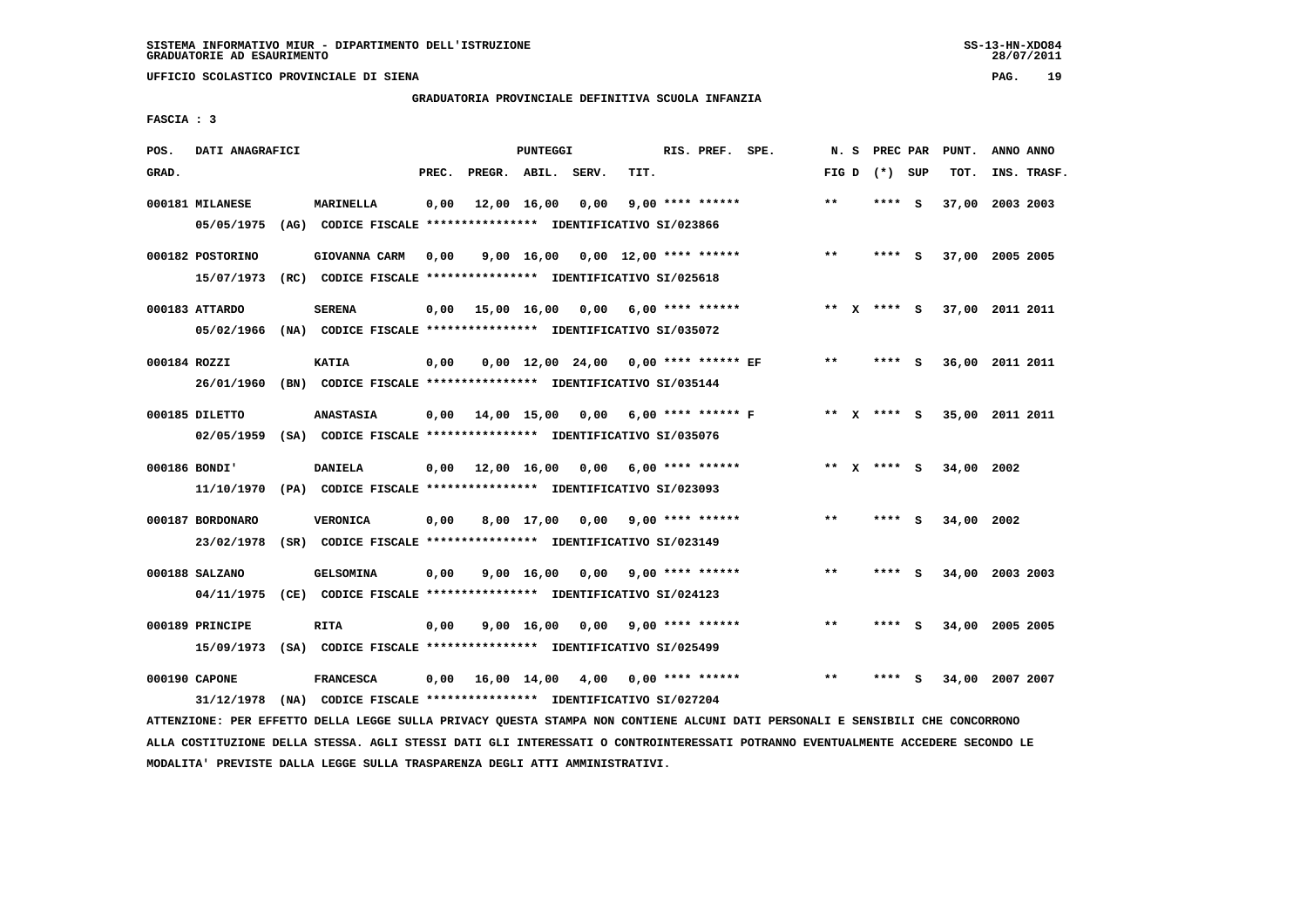**UFFICIO SCOLASTICO PROVINCIALE DI SIENA PAG. 19**

# **GRADUATORIA PROVINCIALE DEFINITIVA SCUOLA INFANZIA**

 **FASCIA : 3**

| POS.         | DATI ANAGRAFICI  |                                                                          |       |                        | PUNTEGGI   |      |                                            | RIS. PREF. SPE. |       | N. S PREC PAR   |     | PUNT.      | ANNO ANNO                   |  |
|--------------|------------------|--------------------------------------------------------------------------|-------|------------------------|------------|------|--------------------------------------------|-----------------|-------|-----------------|-----|------------|-----------------------------|--|
| GRAD.        |                  |                                                                          | PREC. | PREGR. ABIL. SERV.     |            |      | TIT.                                       |                 |       | FIG D $(*)$ SUP |     | TOT.       | INS. TRASF.                 |  |
|              | 000181 MILANESE  | <b>MARINELLA</b>                                                         | 0,00  | 12,00 16,00            |            | 0,00 | $9.00$ **** ******                         |                 | $***$ | ****            | - S |            | 37,00 2003 2003             |  |
|              | 05/05/1975       | (AG) CODICE FISCALE **************** IDENTIFICATIVO SI/023866            |       |                        |            |      |                                            |                 |       |                 |     |            |                             |  |
|              | 000182 POSTORINO | GIOVANNA CARM                                                            | 0,00  |                        | 9,00 16,00 |      | $0,00$ 12,00 **** ******                   |                 | $***$ | **** S          |     |            | 37,00 2005 2005             |  |
|              |                  |                                                                          |       |                        |            |      |                                            |                 |       |                 |     |            |                             |  |
|              |                  | 15/07/1973 (RC) CODICE FISCALE *************** IDENTIFICATIVO SI/025618  |       |                        |            |      |                                            |                 |       |                 |     |            |                             |  |
|              | 000183 ATTARDO   | <b>SERENA</b>                                                            |       |                        |            |      | $0,00$ 15,00 16,00 0,00 6,00 **** ******   |                 |       |                 |     |            | ** X **** S 37,00 2011 2011 |  |
|              |                  | 05/02/1966 (NA) CODICE FISCALE *************** IDENTIFICATIVO SI/035072  |       |                        |            |      |                                            |                 |       |                 |     |            |                             |  |
| 000184 ROZZI |                  | <b>KATIA</b>                                                             | 0,00  |                        |            |      | $0,00$ 12,00 24,00 0,00 **** ****** EF     |                 | $***$ | **** S          |     |            | 36,00 2011 2011             |  |
|              |                  | 26/01/1960 (BN) CODICE FISCALE *************** IDENTIFICATIVO SI/035144  |       |                        |            |      |                                            |                 |       |                 |     |            |                             |  |
|              |                  |                                                                          |       |                        |            |      |                                            |                 |       |                 |     |            |                             |  |
|              | 000185 DILETTO   | <b>ANASTASIA</b>                                                         |       |                        |            |      | $0,00$ 14,00 15,00 0,00 6,00 **** ****** F |                 |       | ** x **** S     |     |            | 35,00 2011 2011             |  |
|              |                  | 02/05/1959 (SA) CODICE FISCALE *************** IDENTIFICATIVO SI/035076  |       |                        |            |      |                                            |                 |       |                 |     |            |                             |  |
|              |                  |                                                                          |       |                        |            |      |                                            |                 |       |                 |     |            |                             |  |
|              | 000186 BONDI'    | <b>DANIELA</b>                                                           |       | $0.00$ $12.00$ $16.00$ |            | 0.00 | $6.00$ **** ******                         |                 |       | ** X **** S     |     | 34,00 2002 |                             |  |
|              |                  | 11/10/1970 (PA) CODICE FISCALE **************** IDENTIFICATIVO SI/023093 |       |                        |            |      |                                            |                 |       |                 |     |            |                             |  |
|              | 000187 BORDONARO | <b>VERONICA</b>                                                          | 0,00  |                        | 8,00 17,00 |      | $0,00$ 9,00 **** ******                    |                 | $***$ | **** S          |     | 34,00 2002 |                             |  |
|              | 23/02/1978       | (SR) CODICE FISCALE **************** IDENTIFICATIVO SI/023149            |       |                        |            |      |                                            |                 |       |                 |     |            |                             |  |
|              |                  |                                                                          |       |                        |            |      |                                            |                 |       |                 |     |            |                             |  |
|              | 000188 SALZANO   | <b>GELSOMINA</b>                                                         | 0,00  |                        | 9,00 16,00 | 0.00 | $9,00$ **** ******                         |                 | $***$ | ****            | - S |            | 34,00 2003 2003             |  |
|              |                  | 04/11/1975 (CE) CODICE FISCALE *************** IDENTIFICATIVO SI/024123  |       |                        |            |      |                                            |                 |       |                 |     |            |                             |  |
|              |                  |                                                                          |       |                        |            |      |                                            |                 |       |                 |     |            |                             |  |
|              | 000189 PRINCIPE  | <b>RITA</b>                                                              | 0,00  |                        | 9,00 16,00 | 0,00 | $9.00$ **** ******                         |                 | $***$ | **** S          |     |            | 34,00 2005 2005             |  |
|              |                  | 15/09/1973 (SA) CODICE FISCALE **************** IDENTIFICATIVO SI/025499 |       |                        |            |      |                                            |                 |       |                 |     |            |                             |  |
|              | 000190 CAPONE    | <b>FRANCESCA</b>                                                         |       | 0,00 16,00 14,00       |            | 4,00 | $0.00$ **** ******                         |                 | **    |                 | s   |            | 34,00 2007 2007             |  |
|              | 31/12/1978       | (NA) CODICE FISCALE **************** IDENTIFICATIVO SI/027204            |       |                        |            |      |                                            |                 |       |                 |     |            |                             |  |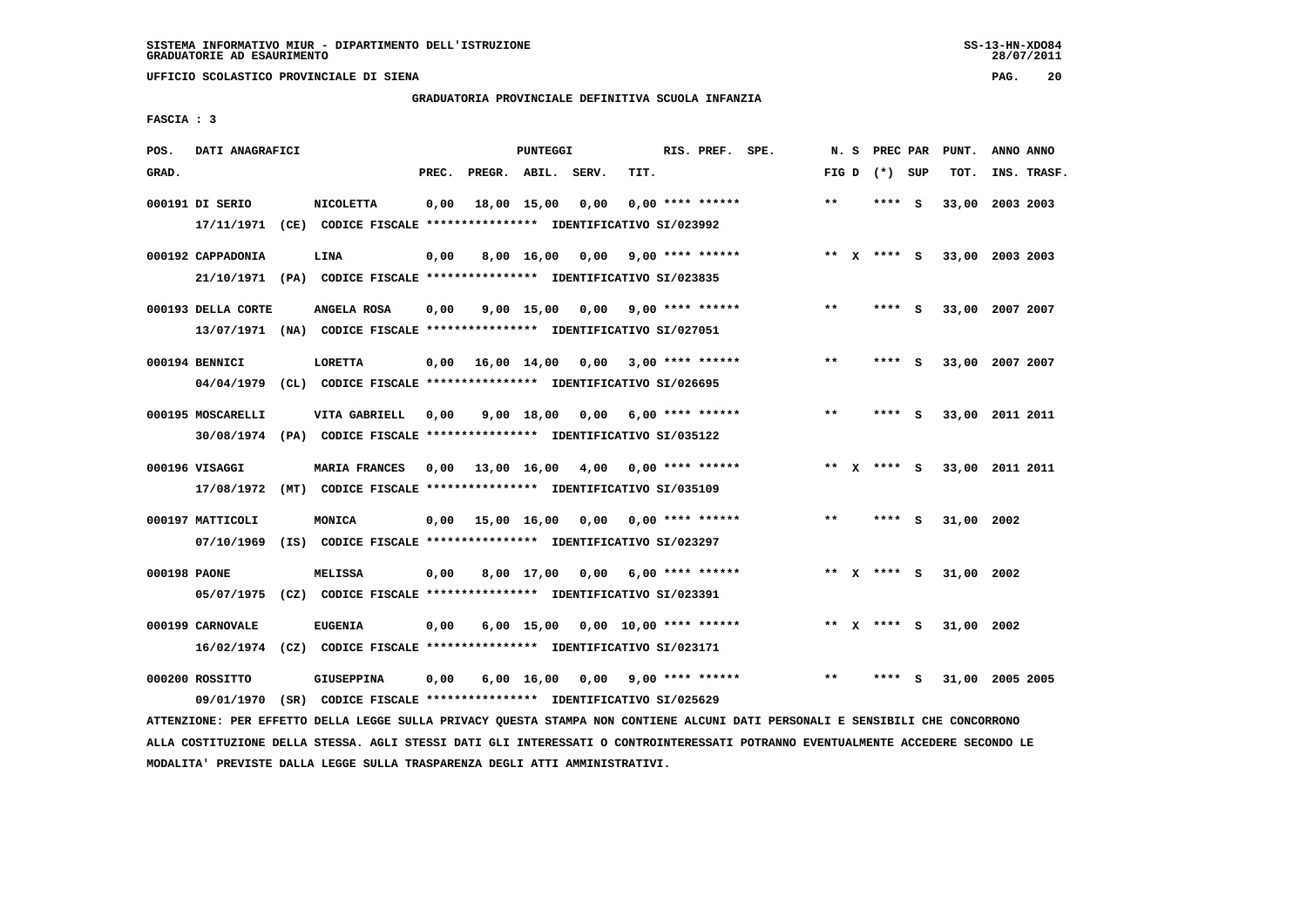**UFFICIO SCOLASTICO PROVINCIALE DI SIENA PAG. 20**

# **GRADUATORIA PROVINCIALE DEFINITIVA SCUOLA INFANZIA**

 **FASCIA : 3**

| GRAD.<br>PREC.<br>PREGR. ABIL. SERV.<br>TIT.<br>FIG D $(*)$ SUP<br>TOT.<br>INS. TRASF.<br><b>NICOLETTA</b><br>18,00 15,00<br>0,00<br>$0.00$ **** ******<br>$* *$<br>2003 2003<br>000191 DI SERIO<br>0,00<br>**** S<br>33,00<br>17/11/1971 (CE) CODICE FISCALE *************** IDENTIFICATIVO SI/023992<br>$9,00$ **** ******<br>33,00 2003 2003<br>000192 CAPPADONIA<br><b>LINA</b><br>0,00<br>8,00 16,00<br>0,00<br>** x **** s<br>21/10/1971 (PA) CODICE FISCALE *************** IDENTIFICATIVO SI/023835<br>$9,00$ 15,00 0,00 9,00 **** ******<br>$***$<br>000193 DELLA CORTE<br>ANGELA ROSA<br>0,00<br>$***$ S<br>33,00 2007 2007<br>13/07/1971 (NA) CODICE FISCALE **************** IDENTIFICATIVO SI/027051<br>000194 BENNICI<br><b>LORETTA</b><br>$0,00$ $16,00$ $14,00$ $0,00$<br>$3,00$ **** ******<br>$* *$<br>33,00 2007 2007<br>**** S<br>04/04/1979 (CL) CODICE FISCALE *************** IDENTIFICATIVO SI/026695<br>$***$<br>000195 MOSCARELLI<br>VITA GABRIELL<br>$9,00$ 18,00 0,00 6,00 **** ******<br>33,00 2011 2011<br>0,00<br>$***$ S<br>30/08/1974 (PA) CODICE FISCALE *************** IDENTIFICATIVO SI/035122<br>000196 VISAGGI<br>MARIA FRANCES<br>33,00 2011 2011<br>0,00<br>13,00 16,00 4,00<br>$0.00$ **** ******<br>** x **** s |
|------------------------------------------------------------------------------------------------------------------------------------------------------------------------------------------------------------------------------------------------------------------------------------------------------------------------------------------------------------------------------------------------------------------------------------------------------------------------------------------------------------------------------------------------------------------------------------------------------------------------------------------------------------------------------------------------------------------------------------------------------------------------------------------------------------------------------------------------------------------------------------------------------------------------------------------------------------------------------------------------------------------------------------------------------------------------------------------------------------------------------------------------------------------------------------------------------------------------------------------------------------|
|                                                                                                                                                                                                                                                                                                                                                                                                                                                                                                                                                                                                                                                                                                                                                                                                                                                                                                                                                                                                                                                                                                                                                                                                                                                            |
|                                                                                                                                                                                                                                                                                                                                                                                                                                                                                                                                                                                                                                                                                                                                                                                                                                                                                                                                                                                                                                                                                                                                                                                                                                                            |
|                                                                                                                                                                                                                                                                                                                                                                                                                                                                                                                                                                                                                                                                                                                                                                                                                                                                                                                                                                                                                                                                                                                                                                                                                                                            |
|                                                                                                                                                                                                                                                                                                                                                                                                                                                                                                                                                                                                                                                                                                                                                                                                                                                                                                                                                                                                                                                                                                                                                                                                                                                            |
|                                                                                                                                                                                                                                                                                                                                                                                                                                                                                                                                                                                                                                                                                                                                                                                                                                                                                                                                                                                                                                                                                                                                                                                                                                                            |
|                                                                                                                                                                                                                                                                                                                                                                                                                                                                                                                                                                                                                                                                                                                                                                                                                                                                                                                                                                                                                                                                                                                                                                                                                                                            |
|                                                                                                                                                                                                                                                                                                                                                                                                                                                                                                                                                                                                                                                                                                                                                                                                                                                                                                                                                                                                                                                                                                                                                                                                                                                            |
|                                                                                                                                                                                                                                                                                                                                                                                                                                                                                                                                                                                                                                                                                                                                                                                                                                                                                                                                                                                                                                                                                                                                                                                                                                                            |
|                                                                                                                                                                                                                                                                                                                                                                                                                                                                                                                                                                                                                                                                                                                                                                                                                                                                                                                                                                                                                                                                                                                                                                                                                                                            |
|                                                                                                                                                                                                                                                                                                                                                                                                                                                                                                                                                                                                                                                                                                                                                                                                                                                                                                                                                                                                                                                                                                                                                                                                                                                            |
|                                                                                                                                                                                                                                                                                                                                                                                                                                                                                                                                                                                                                                                                                                                                                                                                                                                                                                                                                                                                                                                                                                                                                                                                                                                            |
|                                                                                                                                                                                                                                                                                                                                                                                                                                                                                                                                                                                                                                                                                                                                                                                                                                                                                                                                                                                                                                                                                                                                                                                                                                                            |
|                                                                                                                                                                                                                                                                                                                                                                                                                                                                                                                                                                                                                                                                                                                                                                                                                                                                                                                                                                                                                                                                                                                                                                                                                                                            |
|                                                                                                                                                                                                                                                                                                                                                                                                                                                                                                                                                                                                                                                                                                                                                                                                                                                                                                                                                                                                                                                                                                                                                                                                                                                            |
|                                                                                                                                                                                                                                                                                                                                                                                                                                                                                                                                                                                                                                                                                                                                                                                                                                                                                                                                                                                                                                                                                                                                                                                                                                                            |
| 17/08/1972 (MT) CODICE FISCALE *************** IDENTIFICATIVO SI/035109                                                                                                                                                                                                                                                                                                                                                                                                                                                                                                                                                                                                                                                                                                                                                                                                                                                                                                                                                                                                                                                                                                                                                                                    |
|                                                                                                                                                                                                                                                                                                                                                                                                                                                                                                                                                                                                                                                                                                                                                                                                                                                                                                                                                                                                                                                                                                                                                                                                                                                            |
| 000197 MATTICOLI<br>MONICA<br>$0.00$ 15,00 16,00 0,00<br>0,00 **** ******<br>**<br>31,00 2002<br>**** S                                                                                                                                                                                                                                                                                                                                                                                                                                                                                                                                                                                                                                                                                                                                                                                                                                                                                                                                                                                                                                                                                                                                                    |
| 07/10/1969 (IS) CODICE FISCALE *************** IDENTIFICATIVO SI/023297                                                                                                                                                                                                                                                                                                                                                                                                                                                                                                                                                                                                                                                                                                                                                                                                                                                                                                                                                                                                                                                                                                                                                                                    |
| 000198 PAONE<br>0,00<br>8,00 17,00 0,00<br>$6,00$ **** ******<br>31,00 2002<br>MELISSA<br>** x **** S                                                                                                                                                                                                                                                                                                                                                                                                                                                                                                                                                                                                                                                                                                                                                                                                                                                                                                                                                                                                                                                                                                                                                      |
| 05/07/1975 (CZ) CODICE FISCALE *************** IDENTIFICATIVO SI/023391                                                                                                                                                                                                                                                                                                                                                                                                                                                                                                                                                                                                                                                                                                                                                                                                                                                                                                                                                                                                                                                                                                                                                                                    |
|                                                                                                                                                                                                                                                                                                                                                                                                                                                                                                                                                                                                                                                                                                                                                                                                                                                                                                                                                                                                                                                                                                                                                                                                                                                            |
| 000199 CARNOVALE<br><b>EUGENIA</b><br>6,00 15,00<br>$0.00$ 10.00 **** ******<br>** $X$ **** S<br>31,00 2002<br>0,00                                                                                                                                                                                                                                                                                                                                                                                                                                                                                                                                                                                                                                                                                                                                                                                                                                                                                                                                                                                                                                                                                                                                        |
| 16/02/1974 (CZ) CODICE FISCALE *************** IDENTIFICATIVO SI/023171                                                                                                                                                                                                                                                                                                                                                                                                                                                                                                                                                                                                                                                                                                                                                                                                                                                                                                                                                                                                                                                                                                                                                                                    |
| 000200 ROSSITTO<br><b>GIUSEPPINA</b><br>$9,00$ **** ******<br>$* *$<br>31,00 2005 2005<br>****<br>S                                                                                                                                                                                                                                                                                                                                                                                                                                                                                                                                                                                                                                                                                                                                                                                                                                                                                                                                                                                                                                                                                                                                                        |
| 0,00<br>6,00 16,00<br>0,00<br>09/01/1970<br>(SR) CODICE FISCALE **************** IDENTIFICATIVO SI/025629                                                                                                                                                                                                                                                                                                                                                                                                                                                                                                                                                                                                                                                                                                                                                                                                                                                                                                                                                                                                                                                                                                                                                  |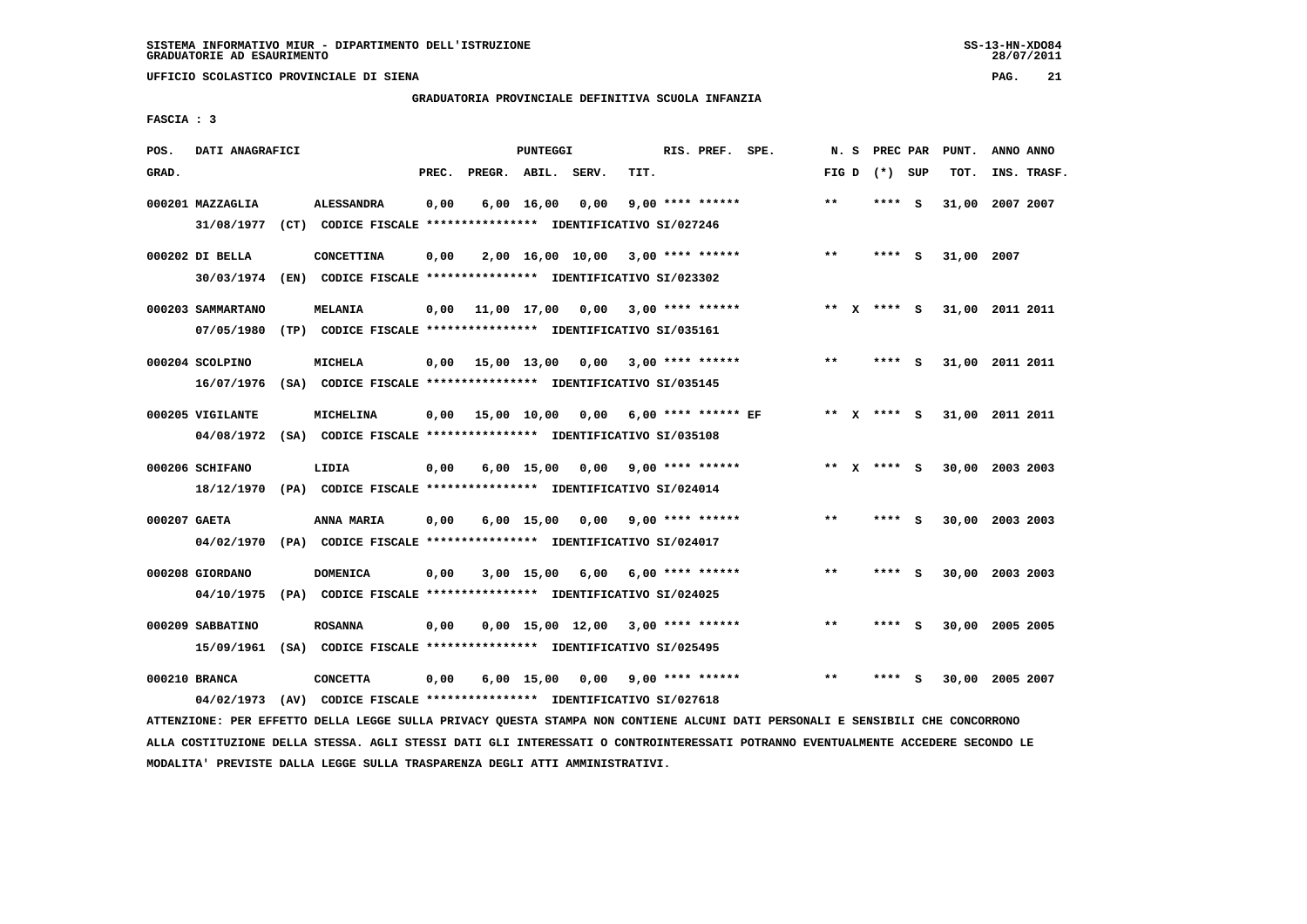**UFFICIO SCOLASTICO PROVINCIALE DI SIENA PAG. 21**

# **GRADUATORIA PROVINCIALE DEFINITIVA SCUOLA INFANZIA**

 **FASCIA : 3**

| POS.         | DATI ANAGRAFICI   |                                                                          |       |                    | PUNTEGGI           |                                      |                         | RIS. PREF. SPE. | N.S   | PREC PAR        |     | PUNT.           | ANNO ANNO |             |
|--------------|-------------------|--------------------------------------------------------------------------|-------|--------------------|--------------------|--------------------------------------|-------------------------|-----------------|-------|-----------------|-----|-----------------|-----------|-------------|
| GRAD.        |                   |                                                                          | PREC. | PREGR. ABIL. SERV. |                    |                                      | TIT.                    |                 |       | FIG D $(*)$ SUP |     | TOT.            |           | INS. TRASF. |
|              | 000201 MAZZAGLIA  | <b>ALESSANDRA</b>                                                        | 0,00  |                    | $6,00 \quad 16,00$ | 0,00                                 | $9.00$ **** ******      |                 | $* *$ | ****            | ్   | 31,00 2007 2007 |           |             |
|              | 31/08/1977        | (CT) CODICE FISCALE **************** IDENTIFICATIVO SI/027246            |       |                    |                    |                                      |                         |                 |       |                 |     |                 |           |             |
|              | 000202 DI BELLA   | CONCETTINA                                                               | 0,00  |                    |                    | $2,00$ 16,00 10,00 3,00 **** ******  |                         |                 | $**$  | $***$ S         |     | 31,00 2007      |           |             |
|              |                   | 30/03/1974 (EN) CODICE FISCALE *************** IDENTIFICATIVO SI/023302  |       |                    |                    |                                      |                         |                 |       |                 |     |                 |           |             |
|              | 000203 SAMMARTANO | <b>MELANIA</b>                                                           | 0,00  |                    |                    | 11,00 17,00 0,00 3,00 **** ******    |                         |                 |       | ** x **** S     |     | 31,00 2011 2011 |           |             |
|              | 07/05/1980        | (TP) CODICE FISCALE **************** IDENTIFICATIVO SI/035161            |       |                    |                    |                                      |                         |                 |       |                 |     |                 |           |             |
|              | 000204 SCOLPINO   |                                                                          |       |                    |                    |                                      | $3,00$ **** ******      |                 | $***$ | **** S          |     | 31,00 2011 2011 |           |             |
|              | 16/07/1976        | MICHELA<br>(SA) CODICE FISCALE **************** IDENTIFICATIVO SI/035145 | 0,00  | 15,00 13,00 0,00   |                    |                                      |                         |                 |       |                 |     |                 |           |             |
|              |                   |                                                                          |       |                    |                    |                                      |                         |                 |       |                 |     |                 |           |             |
|              | 000205 VIGILANTE  | <b>MICHELINA</b>                                                         | 0,00  |                    |                    | 15,00 10,00 0,00 6,00 **** ****** EF |                         |                 |       | ** x **** S     |     | 31,00 2011 2011 |           |             |
|              | 04/08/1972        | (SA) CODICE FISCALE **************** IDENTIFICATIVO SI/035108            |       |                    |                    |                                      |                         |                 |       |                 |     |                 |           |             |
|              | 000206 SCHIFANO   | LIDIA                                                                    | 0,00  |                    | $6,00$ 15,00       | 0.00                                 | $9,00$ **** ******      |                 |       | ** x **** S     |     | 30,00 2003 2003 |           |             |
|              | 18/12/1970        | (PA) CODICE FISCALE **************** IDENTIFICATIVO SI/024014            |       |                    |                    |                                      |                         |                 |       |                 |     |                 |           |             |
|              |                   |                                                                          |       |                    |                    |                                      |                         |                 |       |                 |     |                 |           |             |
| 000207 GAETA |                   | ANNA MARIA                                                               | 0,00  |                    | $6,00$ 15,00       |                                      | $0,00$ 9,00 **** ****** |                 | $* *$ | **** S          |     | 30,00 2003 2003 |           |             |
|              | 04/02/1970        | (PA) CODICE FISCALE **************** IDENTIFICATIVO SI/024017            |       |                    |                    |                                      |                         |                 |       |                 |     |                 |           |             |
|              | 000208 GIORDANO   | <b>DOMENICA</b>                                                          | 0,00  |                    |                    | 3,00 15,00 6,00                      | $6.00$ **** ******      |                 | $**$  | ****            | - S | 30,00 2003 2003 |           |             |
|              | 04/10/1975        | (PA) CODICE FISCALE **************** IDENTIFICATIVO SI/024025            |       |                    |                    |                                      |                         |                 |       |                 |     |                 |           |             |
|              | 000209 SABBATINO  | <b>ROSANNA</b>                                                           | 0,00  |                    |                    | 0,00 15,00 12,00                     | $3.00$ **** ******      |                 | $* *$ | **** S          |     | 30,00 2005 2005 |           |             |
|              | 15/09/1961        | (SA) CODICE FISCALE **************** IDENTIFICATIVO SI/025495            |       |                    |                    |                                      |                         |                 |       |                 |     |                 |           |             |
|              |                   |                                                                          |       |                    |                    |                                      |                         |                 |       |                 |     |                 |           |             |
|              | 000210 BRANCA     | <b>CONCETTA</b>                                                          | 0,00  |                    | $6,00$ 15,00       | 0,00                                 | $9,00$ **** ******      |                 | **    |                 | s   | 30,00 2005 2007 |           |             |
|              | 04/02/1973        | (AV) CODICE FISCALE **************** IDENTIFICATIVO SI/027618            |       |                    |                    |                                      |                         |                 |       |                 |     |                 |           |             |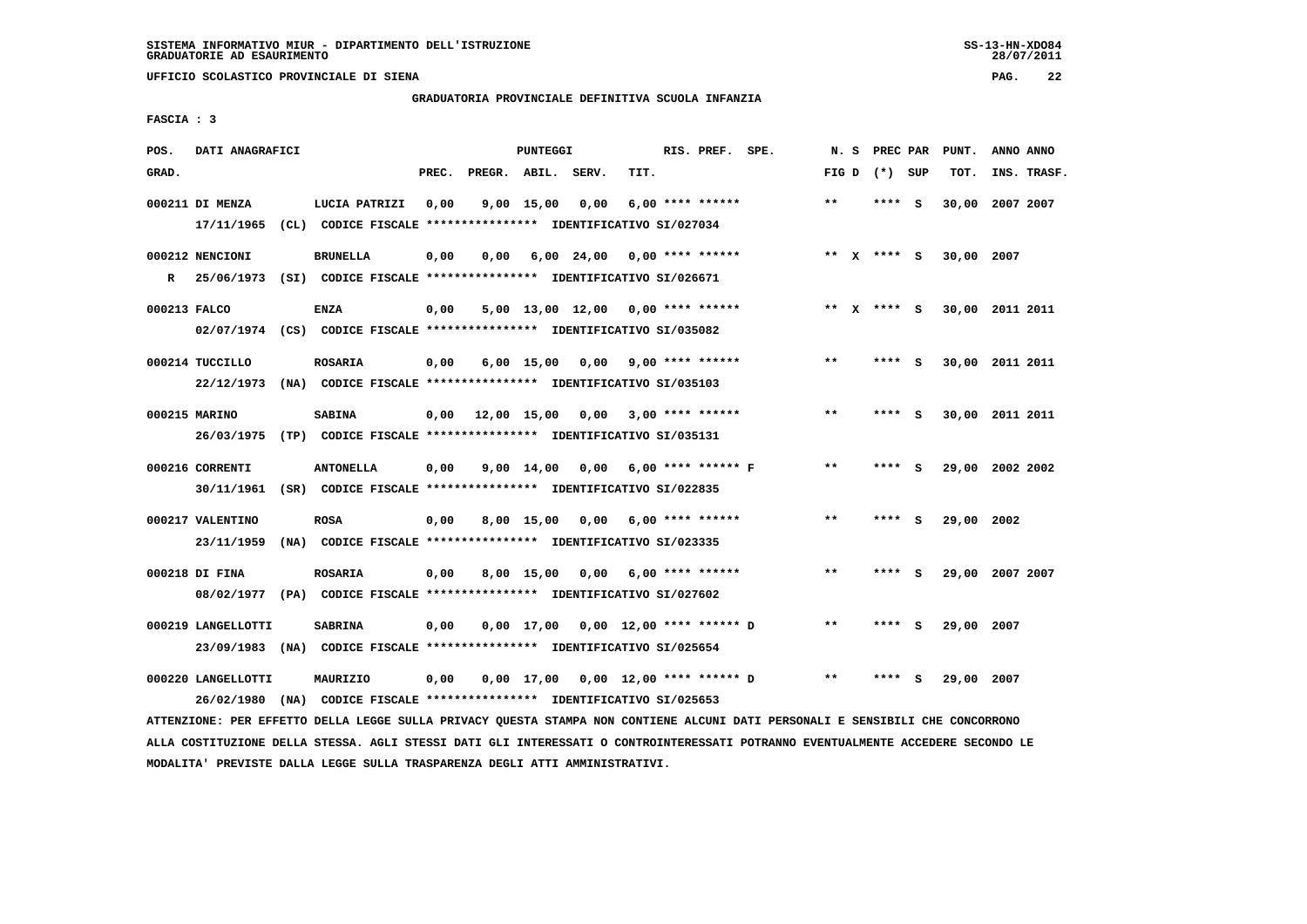**UFFICIO SCOLASTICO PROVINCIALE DI SIENA PAG. 22**

# **GRADUATORIA PROVINCIALE DEFINITIVA SCUOLA INFANZIA**

 **FASCIA : 3**

| POS.         | DATI ANAGRAFICI                                                         |                                                                          |       |                    | PUNTEGGI   |                       |                                          | RIS. PREF. SPE.    |       | N. S | PREC PAR        |              | PUNT.      | ANNO ANNO       |
|--------------|-------------------------------------------------------------------------|--------------------------------------------------------------------------|-------|--------------------|------------|-----------------------|------------------------------------------|--------------------|-------|------|-----------------|--------------|------------|-----------------|
| GRAD.        |                                                                         |                                                                          | PREC. | PREGR. ABIL. SERV. |            |                       | TIT.                                     |                    |       |      | FIG D $(*)$ SUP |              | TOT.       | INS. TRASF.     |
|              | 000211 DI MENZA                                                         | LUCIA PATRIZI                                                            | 0,00  |                    | 9,00 15,00 | 0,00                  |                                          | $6.00$ **** ****** | **    |      | **** S          |              |            | 30,00 2007 2007 |
|              |                                                                         | 17/11/1965 (CL) CODICE FISCALE **************** IDENTIFICATIVO SI/027034 |       |                    |            |                       |                                          |                    |       |      |                 |              |            |                 |
|              |                                                                         |                                                                          |       |                    |            |                       |                                          |                    |       |      |                 |              |            |                 |
|              | 000212 NENCIONI                                                         | <b>BRUNELLA</b>                                                          | 0,00  | 0,00               |            |                       | $6,00$ 24,00 0,00 **** ******            |                    |       |      | ** x **** s     |              | 30,00 2007 |                 |
| $\mathbb{R}$ | 25/06/1973 (SI) CODICE FISCALE *************** IDENTIFICATIVO SI/026671 |                                                                          |       |                    |            |                       |                                          |                    |       |      |                 |              |            |                 |
|              |                                                                         |                                                                          |       |                    |            |                       |                                          |                    |       |      |                 |              |            |                 |
| 000213 FALCO |                                                                         | <b>ENZA</b>                                                              | 0,00  |                    |            |                       | $5,00$ 13,00 12,00 0,00 **** ******      |                    |       |      | ** X **** S     |              |            | 30,00 2011 2011 |
|              |                                                                         | 02/07/1974 (CS) CODICE FISCALE *************** IDENTIFICATIVO SI/035082  |       |                    |            |                       |                                          |                    |       |      |                 |              |            |                 |
|              |                                                                         |                                                                          |       |                    |            |                       |                                          |                    |       |      |                 |              |            |                 |
|              | 000214 TUCCILLO                                                         | <b>ROSARIA</b>                                                           | 0,00  |                    |            | $6,00$ $15,00$ $0,00$ |                                          | $9,00$ **** ****** | $***$ |      | **** S          |              |            | 30,00 2011 2011 |
|              |                                                                         | 22/12/1973 (NA) CODICE FISCALE *************** IDENTIFICATIVO SI/035103  |       |                    |            |                       |                                          |                    |       |      |                 |              |            |                 |
|              |                                                                         |                                                                          |       |                    |            |                       |                                          |                    |       |      |                 |              |            |                 |
|              | 000215 MARINO                                                           | <b>SABINA</b>                                                            |       |                    |            |                       | $0,00$ 12,00 15,00 0,00 3,00 **** ****** |                    | $***$ |      | **** S          |              |            | 30,00 2011 2011 |
|              |                                                                         | 26/03/1975 (TP) CODICE FISCALE *************** IDENTIFICATIVO SI/035131  |       |                    |            |                       |                                          |                    |       |      |                 |              |            |                 |
|              |                                                                         |                                                                          |       |                    |            |                       |                                          |                    |       |      |                 |              |            |                 |
|              | 000216 CORRENTI                                                         | <b>ANTONELLA</b>                                                         | 0,00  |                    | 9,00 14,00 |                       | $0.00$ 6.00 **** ****** F                |                    | **    |      | **** S          |              |            | 29,00 2002 2002 |
|              |                                                                         | 30/11/1961 (SR) CODICE FISCALE *************** IDENTIFICATIVO SI/022835  |       |                    |            |                       |                                          |                    |       |      |                 |              |            |                 |
|              |                                                                         |                                                                          |       |                    |            |                       |                                          |                    |       |      |                 |              |            |                 |
|              | 000217 VALENTINO                                                        | <b>ROSA</b>                                                              | 0,00  |                    |            |                       | $8,00$ 15,00 0,00 6,00 **** ******       |                    | $* *$ |      | **** S          |              | 29,00 2002 |                 |
|              | 23/11/1959                                                              | (NA) CODICE FISCALE **************** IDENTIFICATIVO SI/023335            |       |                    |            |                       |                                          |                    |       |      |                 |              |            |                 |
|              | 000218 DI FINA                                                          | <b>ROSARIA</b>                                                           | 0,00  |                    |            | 8,00 15,00 0,00       |                                          | $6,00$ **** ****** | $* *$ |      | ****            | $\mathbf{s}$ |            | 29,00 2007 2007 |
|              |                                                                         |                                                                          |       |                    |            |                       |                                          |                    |       |      |                 |              |            |                 |
|              |                                                                         | 08/02/1977 (PA) CODICE FISCALE **************** IDENTIFICATIVO SI/027602 |       |                    |            |                       |                                          |                    |       |      |                 |              |            |                 |
|              | 000219 LANGELLOTTI                                                      | <b>SABRINA</b>                                                           | 0,00  |                    |            |                       | $0,00$ 17,00 $0,00$ 12,00 **** ****** D  |                    | $***$ |      | **** S          |              | 29,00 2007 |                 |
|              |                                                                         |                                                                          |       |                    |            |                       |                                          |                    |       |      |                 |              |            |                 |
|              |                                                                         | 23/09/1983 (NA) CODICE FISCALE *************** IDENTIFICATIVO SI/025654  |       |                    |            |                       |                                          |                    |       |      |                 |              |            |                 |
|              | 000220 LANGELLOTTI                                                      | MAURIZIO                                                                 | 0,00  |                    |            |                       | $0,00$ 17,00 $0,00$ 12,00 **** ****** D  |                    | $* *$ |      | ****            | S            | 29,00      | 2007            |
|              | 26/02/1980                                                              | (NA) CODICE FISCALE **************** IDENTIFICATIVO SI/025653            |       |                    |            |                       |                                          |                    |       |      |                 |              |            |                 |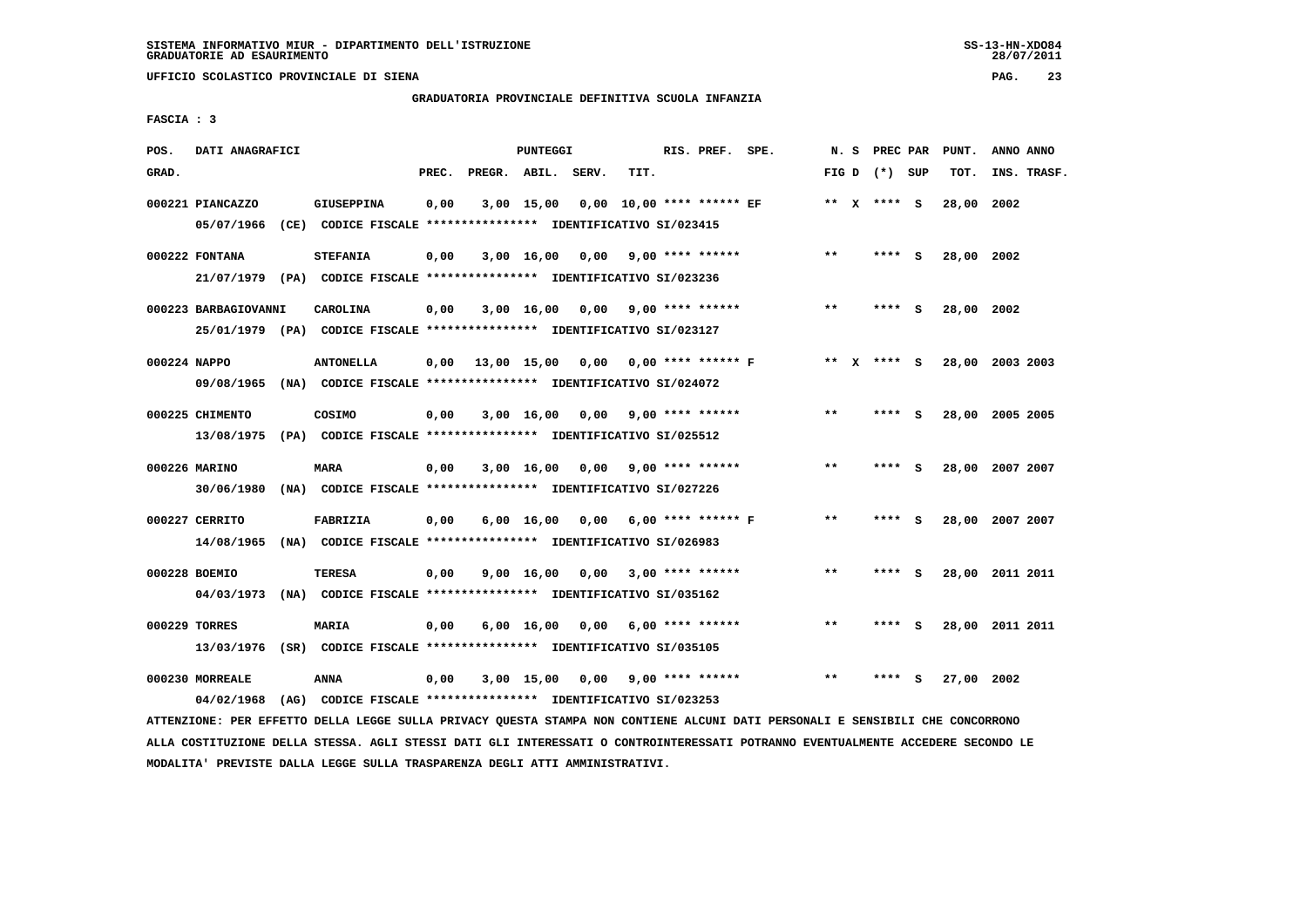**UFFICIO SCOLASTICO PROVINCIALE DI SIENA PAG. 23**

# **GRADUATORIA PROVINCIALE DEFINITIVA SCUOLA INFANZIA**

 **FASCIA : 3**

| POS.         | DATI ANAGRAFICI                                                                             |                   |       |                    | <b>PUNTEGGI</b> |                                                               |                         | RIS. PREF. SPE.    |       | N. S PREC PAR   |     | PUNT.      | ANNO ANNO       |
|--------------|---------------------------------------------------------------------------------------------|-------------------|-------|--------------------|-----------------|---------------------------------------------------------------|-------------------------|--------------------|-------|-----------------|-----|------------|-----------------|
| GRAD.        |                                                                                             |                   | PREC. | PREGR. ABIL. SERV. |                 |                                                               | TIT.                    |                    |       | FIG D $(*)$ SUP |     | TOT.       | INS. TRASF.     |
|              | 000221 PIANCAZZO<br>05/07/1966 (CE) CODICE FISCALE *************** IDENTIFICATIVO SI/023415 | <b>GIUSEPPINA</b> | 0,00  |                    |                 | 3,00 15,00 0,00 10,00 **** ****** EF                          |                         |                    |       | ** x **** s     |     | 28,00 2002 |                 |
|              | 000222 FONTANA                                                                              | <b>STEFANIA</b>   | 0,00  |                    |                 | 3,00 16,00 0,00                                               |                         | $9,00$ **** ****** | $***$ | **** S          |     | 28,00 2002 |                 |
|              | 21/07/1979 (PA) CODICE FISCALE *************** IDENTIFICATIVO SI/023236                     |                   |       |                    |                 |                                                               |                         |                    |       |                 |     |            |                 |
|              | 000223 BARBAGIOVANNI                                                                        | <b>CAROLINA</b>   | 0,00  |                    |                 | $3,00$ 16,00 0,00 9,00 **** ******                            |                         |                    | $***$ | **** S          |     | 28,00 2002 |                 |
|              | 25/01/1979 (PA) CODICE FISCALE *************** IDENTIFICATIVO SI/023127                     |                   |       |                    |                 |                                                               |                         |                    |       |                 |     |            |                 |
| 000224 NAPPO |                                                                                             | <b>ANTONELLA</b>  |       |                    |                 | 0,00 13,00 15,00 0,00 0,00 **** ****** F                      |                         |                    |       | ** x **** s     |     |            | 28,00 2003 2003 |
|              | 09/08/1965 (NA) CODICE FISCALE *************** IDENTIFICATIVO SI/024072                     |                   |       |                    |                 |                                                               |                         |                    |       |                 |     |            |                 |
|              | 000225 CHIMENTO                                                                             | COSIMO            | 0,00  |                    | 3,00 16,00      |                                                               | $0.00$ 9.00 **** ****** |                    | $***$ | **** S          |     |            | 28,00 2005 2005 |
|              | 13/08/1975 (PA) CODICE FISCALE **************** IDENTIFICATIVO SI/025512                    |                   |       |                    |                 |                                                               |                         |                    |       |                 |     |            |                 |
|              | 000226 MARINO                                                                               | <b>MARA</b>       | 0,00  |                    |                 | 3,00 16,00 0,00                                               |                         | $9,00$ **** ****** | $* *$ | ****            | - S |            | 28,00 2007 2007 |
|              | 30/06/1980 (NA) CODICE FISCALE *************** IDENTIFICATIVO SI/027226                     |                   |       |                    |                 |                                                               |                         |                    |       |                 |     |            |                 |
|              | 000227 CERRITO                                                                              | FABRIZIA          | 0,00  |                    |                 | $6,00$ 16,00 0,00 6,00 **** ****** F                          |                         |                    | **    | **** S          |     |            | 28,00 2007 2007 |
|              | 14/08/1965 (NA) CODICE FISCALE *************** IDENTIFICATIVO SI/026983                     |                   |       |                    |                 |                                                               |                         |                    |       |                 |     |            |                 |
|              | 000228 BOEMIO                                                                               | TERESA            | 0,00  |                    |                 | 9,00 16,00 0,00                                               |                         | $3,00$ **** ****** | $* *$ | **** S          |     |            | 28,00 2011 2011 |
|              | 04/03/1973 (NA) CODICE FISCALE **************** IDENTIFICATIVO SI/035162                    |                   |       |                    |                 |                                                               |                         |                    |       |                 |     |            |                 |
|              | 000229 TORRES                                                                               | <b>MARIA</b>      | 0,00  |                    | 6,00 16,00      | 0,00                                                          |                         | $6,00$ **** ****** | $* *$ | **** S          |     |            | 28,00 2011 2011 |
|              | 13/03/1976 (SR) CODICE FISCALE *************** IDENTIFICATIVO SI/035105                     |                   |       |                    |                 |                                                               |                         |                    |       |                 |     |            |                 |
|              | 000230 MORREALE                                                                             | ANNA              | 0,00  |                    | 3,00 15,00      | 0,00                                                          |                         | $9,00$ **** ****** | $* *$ | ****            | s   | 27,00      | 2002            |
|              | 04/02/1968                                                                                  |                   |       |                    |                 | (AG) CODICE FISCALE **************** IDENTIFICATIVO SI/023253 |                         |                    |       |                 |     |            |                 |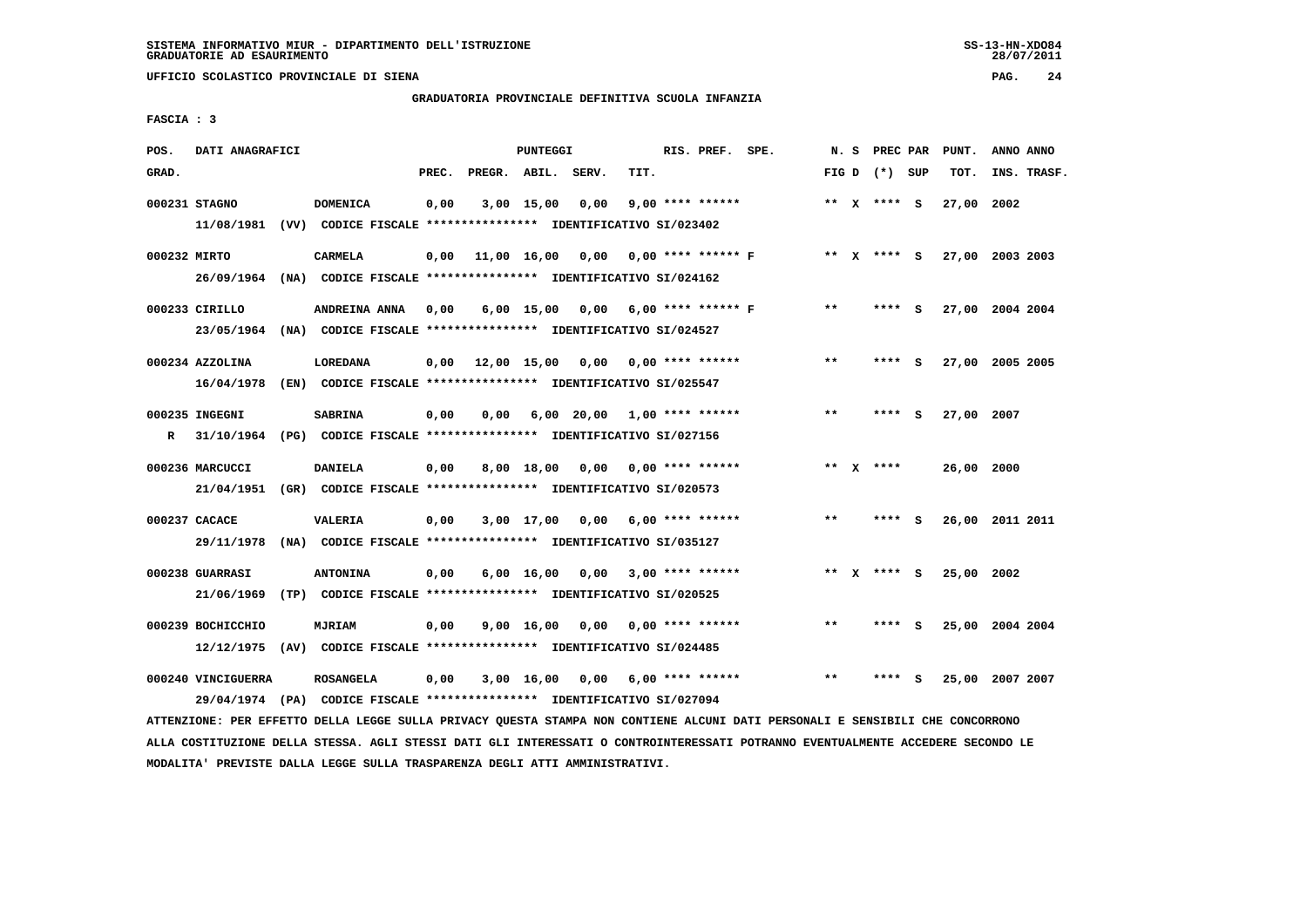**UFFICIO SCOLASTICO PROVINCIALE DI SIENA PAG. 24**

# **GRADUATORIA PROVINCIALE DEFINITIVA SCUOLA INFANZIA**

 **FASCIA : 3**

| POS.         | DATI ANAGRAFICI             |                                                                                             |       |                    | PUNTEGGI   |                 |                                    | RIS. PREF. SPE.                     |             | N. S PREC PAR   | PUNT.      | ANNO ANNO       |
|--------------|-----------------------------|---------------------------------------------------------------------------------------------|-------|--------------------|------------|-----------------|------------------------------------|-------------------------------------|-------------|-----------------|------------|-----------------|
| GRAD.        |                             |                                                                                             | PREC. | PREGR. ABIL. SERV. |            |                 | TIT.                               |                                     |             | FIG D $(*)$ SUP | TOT.       | INS. TRASF.     |
|              | 000231 STAGNO               | <b>DOMENICA</b><br>11/08/1981 (VV) CODICE FISCALE *************** IDENTIFICATIVO SI/023402  | 0,00  |                    | 3,00 15,00 | 0,00            | $9.00$ **** ******                 |                                     |             | ** $X$ **** S   | 27,00 2002 |                 |
| 000232 MIRTO |                             | <b>CARMELA</b><br>26/09/1964 (NA) CODICE FISCALE *************** IDENTIFICATIVO SI/024162   | 0,00  |                    |            |                 |                                    | 11,00 16,00 0,00 0,00 **** ****** F |             | ** x **** S     |            | 27,00 2003 2003 |
|              | 000233 CIRILLO              | ANDREINA ANNA<br>23/05/1964 (NA) CODICE FISCALE *************** IDENTIFICATIVO SI/024527    | 0,00  |                    |            |                 | 6,00 15,00 0,00 6,00 **** ****** F |                                     | $***$       | **** S          |            | 27,00 2004 2004 |
|              | 000234 AZZOLINA             | LOREDANA<br>16/04/1978 (EN) CODICE FISCALE **************** IDENTIFICATIVO SI/025547        | 0,00  |                    |            |                 | 12,00 15,00 0,00 0,00 **** ******  |                                     | $***$       | **** S          |            | 27,00 2005 2005 |
|              | 000235 INGEGNI              | <b>SABRINA</b><br>R 31/10/1964 (PG) CODICE FISCALE *************** IDENTIFICATIVO SI/027156 | 0,00  |                    |            |                 | $0,00$ 6,00 20,00 1,00 **** ****** |                                     | $***$       | **** S          | 27,00 2007 |                 |
|              | 000236 MARCUCCI             | <b>DANIELA</b><br>21/04/1951 (GR) CODICE FISCALE *************** IDENTIFICATIVO SI/020573   | 0,00  |                    |            | 8,00 18,00 0,00 | 0,00 **** ******                   |                                     | ** $X$ **** |                 | 26,00 2000 |                 |
|              | 000237 CACACE<br>29/11/1978 | <b>VALERIA</b><br>(NA) CODICE FISCALE **************** IDENTIFICATIVO SI/035127             | 0,00  |                    |            |                 | $3,00$ 17,00 0,00 6,00 **** ****** |                                     | $* *$       | **** S          |            | 26,00 2011 2011 |
|              | 000238 GUARRASI             | <b>ANTONINA</b><br>21/06/1969 (TP) CODICE FISCALE **************** IDENTIFICATIVO SI/020525 | 0,00  |                    |            | 6,00 16,00 0,00 | $3,00$ **** ******                 |                                     |             | ** x **** S     | 25,00 2002 |                 |
|              | 000239 BOCHICCHIO           | <b>MJRIAM</b><br>12/12/1975 (AV) CODICE FISCALE *************** IDENTIFICATIVO SI/024485    | 0,00  |                    | 9,00 16,00 |                 | $0.00$ $0.00$ **** ******          |                                     | $* *$       | **** S          |            | 25,00 2004 2004 |
|              | 000240 VINCIGUERRA          | <b>ROSANGELA</b><br>29/04/1974 (PA) CODICE FISCALE *************** IDENTIFICATIVO SI/027094 | 0,00  |                    | 3,00 16,00 | 0,00            | $6,00$ **** ******                 |                                     | $* *$       | - S             |            | 25,00 2007 2007 |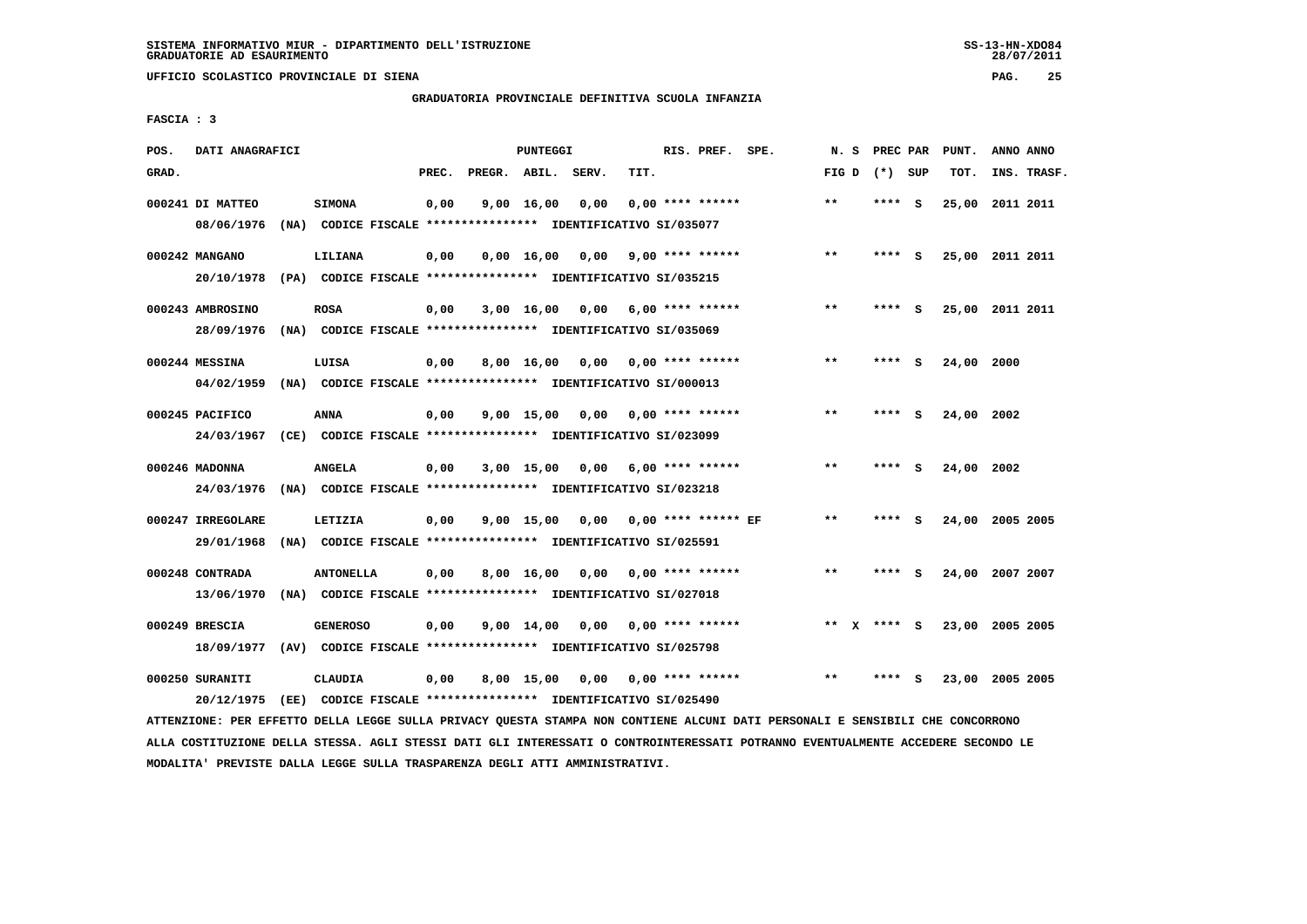**UFFICIO SCOLASTICO PROVINCIALE DI SIENA PAG. 25**

# **GRADUATORIA PROVINCIALE DEFINITIVA SCUOLA INFANZIA**

 **FASCIA : 3**

| POS.  | DATI ANAGRAFICI   |                                                                          |       |              |                    |                                    |                           | RIS. PREF. SPE. |       | PREC PAR        |     | PUNT.           | ANNO ANNO |             |
|-------|-------------------|--------------------------------------------------------------------------|-------|--------------|--------------------|------------------------------------|---------------------------|-----------------|-------|-----------------|-----|-----------------|-----------|-------------|
|       |                   |                                                                          |       |              | <b>PUNTEGGI</b>    |                                    |                           |                 | N. S  |                 |     |                 |           |             |
| GRAD. |                   |                                                                          | PREC. | PREGR. ABIL. |                    | SERV.                              | TIT.                      |                 |       | FIG D $(*)$ SUP |     | TOT.            |           | INS. TRASF. |
|       | 000241 DI MATTEO  | <b>SIMONA</b>                                                            | 0,00  |              | 9,00 16,00         | 0,00                               | $0.00$ **** ******        |                 | $***$ | **** S          |     | 25,00 2011 2011 |           |             |
|       |                   |                                                                          |       |              |                    |                                    |                           |                 |       |                 |     |                 |           |             |
|       | 08/06/1976        | (NA) CODICE FISCALE **************** IDENTIFICATIVO SI/035077            |       |              |                    |                                    |                           |                 |       |                 |     |                 |           |             |
|       | 000242 MANGANO    | LILIANA                                                                  | 0,00  |              | 0.00 16.00         | 0,00                               | $9,00$ **** ******        |                 | $* *$ | $***$ S         |     | 25,00 2011 2011 |           |             |
|       |                   | 20/10/1978 (PA) CODICE FISCALE *************** IDENTIFICATIVO SI/035215  |       |              |                    |                                    |                           |                 |       |                 |     |                 |           |             |
|       |                   |                                                                          |       |              |                    |                                    |                           |                 |       |                 |     |                 |           |             |
|       | 000243 AMBROSINO  | <b>ROSA</b>                                                              | 0,00  |              |                    | $3,00$ 16,00 0,00 6,00 **** ****** |                           |                 | $***$ | **** S          |     | 25,00 2011 2011 |           |             |
|       | 28/09/1976        | (NA) CODICE FISCALE **************** IDENTIFICATIVO SI/035069            |       |              |                    |                                    |                           |                 |       |                 |     |                 |           |             |
|       |                   |                                                                          |       |              |                    |                                    |                           |                 |       |                 |     |                 |           |             |
|       | 000244 MESSINA    | LUISA                                                                    | 0,00  |              | 8,00 16,00         | 0,00                               | $0.00$ **** ******        |                 | $* *$ | **** S          |     | 24,00 2000      |           |             |
|       |                   | 04/02/1959 (NA) CODICE FISCALE **************** IDENTIFICATIVO SI/000013 |       |              |                    |                                    |                           |                 |       |                 |     |                 |           |             |
|       |                   |                                                                          |       |              |                    |                                    |                           |                 |       |                 |     |                 |           |             |
|       | 000245 PACIFICO   | <b>ANNA</b>                                                              | 0,00  |              | 9,00 15,00         |                                    | $0,00$ $0,00$ **** ****** |                 | $* *$ | **** S          |     | 24,00 2002      |           |             |
|       | 24/03/1967        | (CE) CODICE FISCALE **************** IDENTIFICATIVO SI/023099            |       |              |                    |                                    |                           |                 |       |                 |     |                 |           |             |
|       |                   |                                                                          |       |              |                    |                                    |                           |                 | $* *$ |                 |     |                 |           |             |
|       | 000246 MADONNA    | <b>ANGELA</b>                                                            | 0,00  |              | 3,00 15,00         | 0,00                               | $6.00$ **** ******        |                 |       | ****            | - S | 24,00           | 2002      |             |
|       |                   | 24/03/1976 (NA) CODICE FISCALE *************** IDENTIFICATIVO SI/023218  |       |              |                    |                                    |                           |                 |       |                 |     |                 |           |             |
|       | 000247 IRREGOLARE | LETIZIA                                                                  | 0,00  |              | $9,00 \quad 15,00$ | 0,00                               | $0.00$ **** ****** EF     |                 | $* *$ | **** S          |     | 24,00 2005 2005 |           |             |
|       |                   |                                                                          |       |              |                    |                                    |                           |                 |       |                 |     |                 |           |             |
|       | 29/01/1968        | (NA) CODICE FISCALE **************** IDENTIFICATIVO SI/025591            |       |              |                    |                                    |                           |                 |       |                 |     |                 |           |             |
|       | 000248 CONTRADA   | <b>ANTONELLA</b>                                                         | 0,00  |              | 8,00 16,00         | 0.00                               | $0.00$ **** ******        |                 | $***$ | **** S          |     | 24,00           | 2007 2007 |             |
|       | 13/06/1970        | (NA) CODICE FISCALE **************** IDENTIFICATIVO SI/027018            |       |              |                    |                                    |                           |                 |       |                 |     |                 |           |             |
|       |                   |                                                                          |       |              |                    |                                    |                           |                 |       |                 |     |                 |           |             |
|       | 000249 BRESCIA    | <b>GENEROSO</b>                                                          | 0,00  |              | $9,00 \quad 14,00$ | 0,00                               | $0.00$ **** ******        |                 |       | ** X **** S     |     | 23,00 2005 2005 |           |             |
|       | 18/09/1977        | (AV) CODICE FISCALE **************** IDENTIFICATIVO SI/025798            |       |              |                    |                                    |                           |                 |       |                 |     |                 |           |             |
|       |                   |                                                                          |       |              |                    |                                    |                           |                 |       |                 |     |                 |           |             |
|       | 000250 SURANITI   | <b>CLAUDIA</b>                                                           | 0,00  |              | 8,00 15,00         | 0,00                               | $0.00$ **** ******        |                 | $* *$ | ****            | s   | 23,00 2005 2005 |           |             |
|       | 20/12/1975        | (EE) CODICE FISCALE **************** IDENTIFICATIVO SI/025490            |       |              |                    |                                    |                           |                 |       |                 |     |                 |           |             |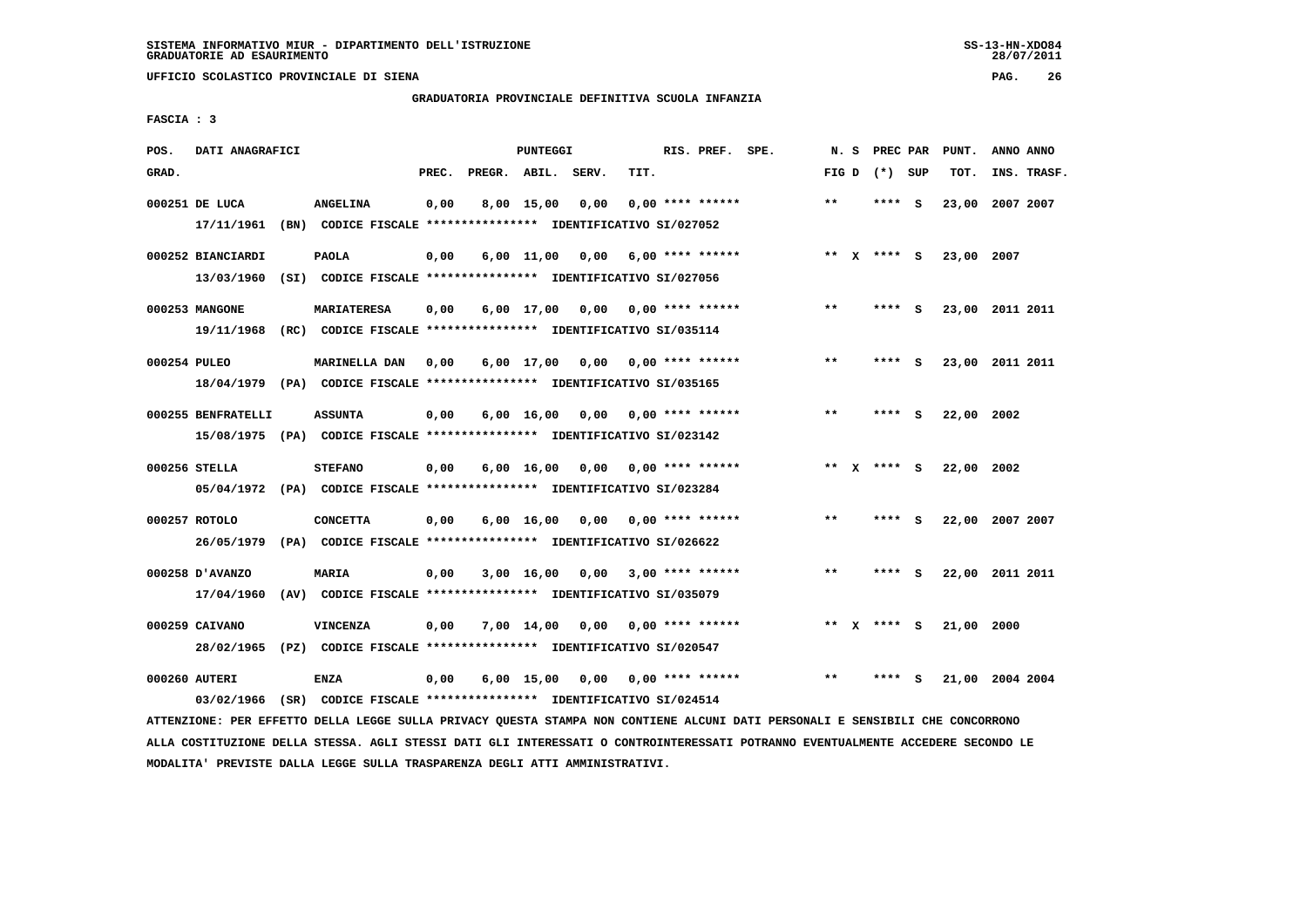**UFFICIO SCOLASTICO PROVINCIALE DI SIENA PAG. 26**

# **GRADUATORIA PROVINCIALE DEFINITIVA SCUOLA INFANZIA**

 **FASCIA : 3**

| POS.         | DATI ANAGRAFICI    |                                                                                                  |       |                    | PUNTEGGI     |                       |                                    | RIS. PREF. SPE. | N.S   | PREC PAR        |     | PUNT.      | ANNO ANNO       |
|--------------|--------------------|--------------------------------------------------------------------------------------------------|-------|--------------------|--------------|-----------------------|------------------------------------|-----------------|-------|-----------------|-----|------------|-----------------|
| GRAD.        |                    |                                                                                                  | PREC. | PREGR. ABIL. SERV. |              |                       | TIT.                               |                 |       | FIG D $(*)$ SUP |     | TOT.       | INS. TRASF.     |
|              | 000251 DE LUCA     | <b>ANGELINA</b>                                                                                  | 0,00  |                    | $8,00$ 15,00 | 0.00                  | $0.00$ **** ******                 |                 | $***$ | ****            | - S |            | 23,00 2007 2007 |
|              |                    | 17/11/1961 (BN) CODICE FISCALE *************** IDENTIFICATIVO SI/027052                          |       |                    |              |                       |                                    |                 |       |                 |     |            |                 |
|              | 000252 BIANCIARDI  | <b>PAOLA</b>                                                                                     | 0,00  |                    |              |                       | $6,00$ 11,00 0,00 6,00 **** ****** |                 |       | ** $X$ **** S   |     | 23,00 2007 |                 |
|              |                    | 13/03/1960 (SI) CODICE FISCALE *************** IDENTIFICATIVO SI/027056                          |       |                    |              |                       |                                    |                 |       |                 |     |            |                 |
|              | 000253 MANGONE     | <b>MARIATERESA</b>                                                                               | 0,00  |                    |              |                       | $6,00$ 17,00 0,00 0,00 **** ****** |                 | $***$ | **** S          |     |            | 23,00 2011 2011 |
|              |                    | 19/11/1968 (RC) CODICE FISCALE *************** IDENTIFICATIVO SI/035114                          |       |                    |              |                       |                                    |                 |       |                 |     |            |                 |
|              |                    |                                                                                                  |       |                    |              |                       |                                    |                 | $* *$ |                 |     |            |                 |
| 000254 PULEO |                    | <b>MARINELLA DAN</b><br>18/04/1979 (PA) CODICE FISCALE **************** IDENTIFICATIVO SI/035165 | 0,00  |                    |              | 6,00 17,00 0,00       | 0,00 **** ******                   |                 |       | **** S          |     |            | 23,00 2011 2011 |
|              |                    |                                                                                                  |       |                    |              |                       |                                    |                 |       |                 |     |            |                 |
|              | 000255 BENFRATELLI | <b>ASSUNTA</b>                                                                                   | 0,00  |                    |              |                       | $6,00$ 16,00 0,00 0,00 **** ****** |                 | $* *$ | **** S          |     | 22,00 2002 |                 |
|              |                    | 15/08/1975 (PA) CODICE FISCALE *************** IDENTIFICATIVO SI/023142                          |       |                    |              |                       |                                    |                 |       |                 |     |            |                 |
|              | 000256 STELLA      | <b>STEFANO</b>                                                                                   | 0,00  |                    |              | $6,00$ $16,00$ $0,00$ | $0.00$ **** ******                 |                 |       | ** x **** S     |     | 22,00 2002 |                 |
|              |                    | 05/04/1972 (PA) CODICE FISCALE *************** IDENTIFICATIVO SI/023284                          |       |                    |              |                       |                                    |                 |       |                 |     |            |                 |
|              | 000257 ROTOLO      | <b>CONCETTA</b>                                                                                  | 0,00  |                    | 6,00 16,00   |                       | $0,00$ $0,00$ **** ******          |                 | $* *$ | **** S          |     |            | 22,00 2007 2007 |
|              | 26/05/1979         | (PA) CODICE FISCALE **************** IDENTIFICATIVO SI/026622                                    |       |                    |              |                       |                                    |                 |       |                 |     |            |                 |
|              | 000258 D'AVANZO    | MARIA                                                                                            | 0,00  |                    |              | 3,00 16,00 0,00       | $3,00$ **** ******                 |                 | $* *$ | **** S          |     |            | 22,00 2011 2011 |
|              | 17/04/1960         | (AV) CODICE FISCALE **************** IDENTIFICATIVO SI/035079                                    |       |                    |              |                       |                                    |                 |       |                 |     |            |                 |
|              |                    |                                                                                                  |       |                    |              |                       |                                    |                 |       |                 |     |            |                 |
|              | 000259 CAIVANO     | <b>VINCENZA</b>                                                                                  | 0,00  |                    | 7,00 14,00   | 0,00                  | $0.00$ **** ******                 |                 |       | ** x **** S     |     | 21,00 2000 |                 |
|              |                    | 28/02/1965 (PZ) CODICE FISCALE *************** IDENTIFICATIVO SI/020547                          |       |                    |              |                       |                                    |                 |       |                 |     |            |                 |
|              | 000260 AUTERI      | <b>ENZA</b>                                                                                      | 0,00  |                    |              | 6,00 15,00 0,00       | $0,00$ **** ******                 |                 | $* *$ | ****            | s   |            | 21,00 2004 2004 |
|              |                    | 03/02/1966 (SR) CODICE FISCALE *************** IDENTIFICATIVO SI/024514                          |       |                    |              |                       |                                    |                 |       |                 |     |            |                 |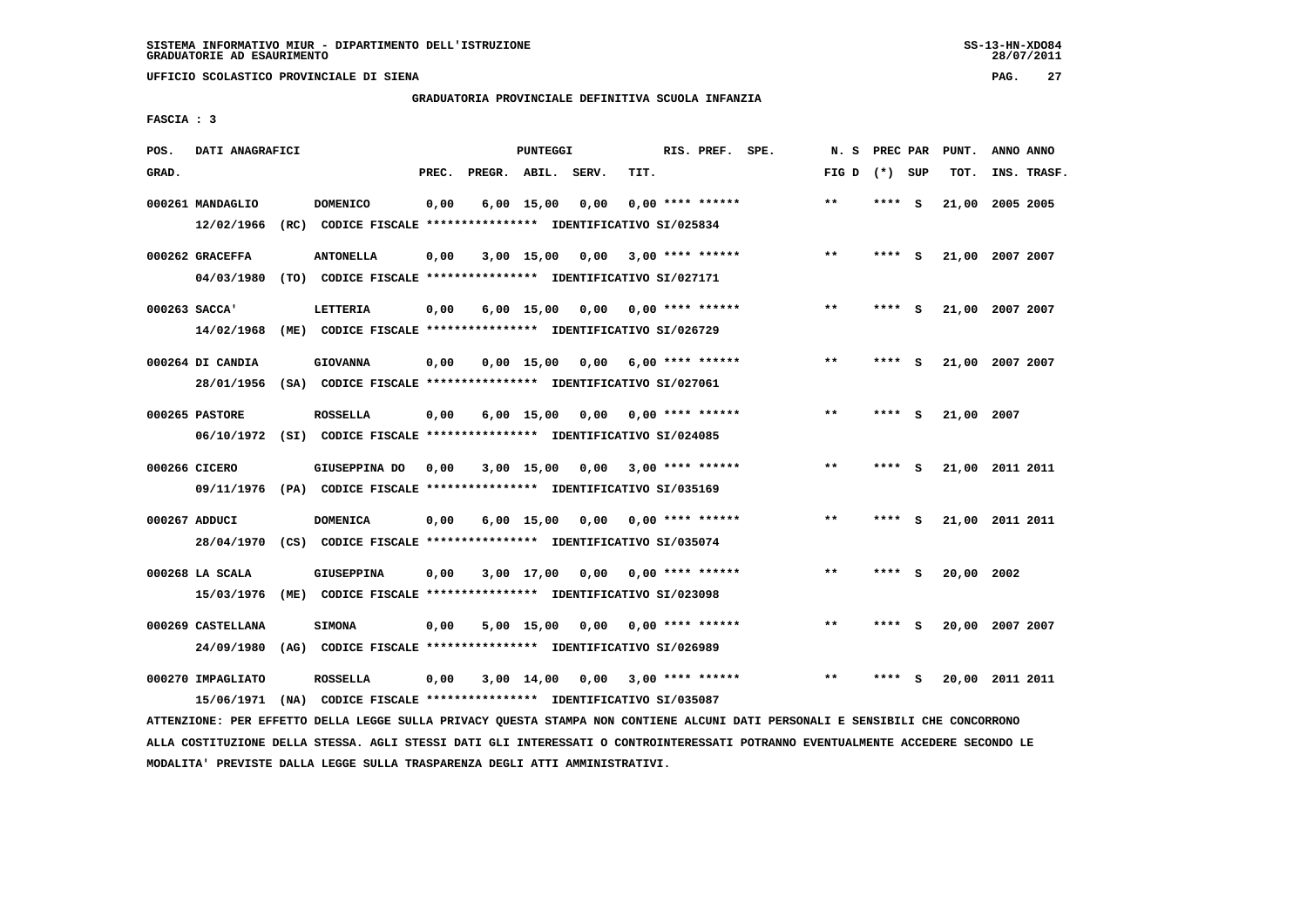**UFFICIO SCOLASTICO PROVINCIALE DI SIENA PAG. 27**

# **GRADUATORIA PROVINCIALE DEFINITIVA SCUOLA INFANZIA**

 **FASCIA : 3**

| POS.  | DATI ANAGRAFICI   |                                                                         |       |              | <b>PUNTEGGI</b>    |       |                    | RIS. PREF. SPE. | N. S            | PREC PAR |          | PUNT.      | ANNO ANNO       |
|-------|-------------------|-------------------------------------------------------------------------|-------|--------------|--------------------|-------|--------------------|-----------------|-----------------|----------|----------|------------|-----------------|
| GRAD. |                   |                                                                         | PREC. | PREGR. ABIL. |                    | SERV. | TIT.               |                 | FIG D $(*)$ SUP |          |          | TOT.       | INS. TRASF.     |
|       | 000261 MANDAGLIO  | <b>DOMENICO</b>                                                         | 0,00  |              | $6,00$ 15,00       | 0,00  | $0.00$ **** ****** |                 | $***$           | ****     | - S      |            | 21,00 2005 2005 |
|       | 12/02/1966        | (RC) CODICE FISCALE **************** IDENTIFICATIVO SI/025834           |       |              |                    |       |                    |                 |                 |          |          |            |                 |
|       | 000262 GRACEFFA   | <b>ANTONELLA</b>                                                        | 0,00  |              | $3,00$ 15,00       | 0.00  | $3,00$ **** ****** |                 | $**$            | ****     | <b>S</b> |            | 21,00 2007 2007 |
|       | 04/03/1980        | (TO) CODICE FISCALE **************** IDENTIFICATIVO SI/027171           |       |              |                    |       |                    |                 |                 |          |          |            |                 |
|       | $000263$ SACCA'   | <b>LETTERIA</b>                                                         | 0,00  |              | $6,00$ 15,00       | 0,00  | 0,00 **** ******   |                 | $***$           | **** S   |          |            | 21,00 2007 2007 |
|       | 14/02/1968        | (ME) CODICE FISCALE **************** IDENTIFICATIVO SI/026729           |       |              |                    |       |                    |                 |                 |          |          |            |                 |
|       | 000264 DI CANDIA  | <b>GIOVANNA</b>                                                         | 0,00  |              | $0.00$ 15.00       | 0.00  | $6.00$ **** ****** |                 | $* *$           | ****     | <b>S</b> |            | 21,00 2007 2007 |
|       | 28/01/1956        | (SA) CODICE FISCALE **************** IDENTIFICATIVO SI/027061           |       |              |                    |       |                    |                 |                 |          |          |            |                 |
|       | 000265 PASTORE    | <b>ROSSELLA</b>                                                         | 0,00  |              | $6,00 \quad 15,00$ | 0,00  | 0,00 **** ******   |                 | $**$            | ****     | - S      | 21,00 2007 |                 |
|       |                   | 06/10/1972 (SI) CODICE FISCALE *************** IDENTIFICATIVO SI/024085 |       |              |                    |       |                    |                 |                 |          |          |            |                 |
|       | 000266 CICERO     | GIUSEPPINA DO                                                           | 0,00  |              | $3,00$ 15,00       | 0.00  | $3,00$ **** ****** |                 | $\star\star$    | ****     | - S      |            | 21,00 2011 2011 |
|       |                   | 09/11/1976 (PA) CODICE FISCALE *************** IDENTIFICATIVO SI/035169 |       |              |                    |       |                    |                 |                 |          |          |            |                 |
|       | 000267 ADDUCI     | <b>DOMENICA</b>                                                         | 0,00  |              | $6,00 \quad 15,00$ | 0,00  | $0.00$ **** ****** |                 | $* *$           | ****     | - S      |            | 21,00 2011 2011 |
|       | 28/04/1970        | (CS) CODICE FISCALE **************** IDENTIFICATIVO SI/035074           |       |              |                    |       |                    |                 |                 |          |          |            |                 |
|       | 000268 LA SCALA   | <b>GIUSEPPINA</b>                                                       | 0,00  |              | 3,00 17,00         | 0,00  | $0.00$ **** ****** |                 | $* *$           | ****     | - 5      | 20,00      | 2002            |
|       | 15/03/1976        | (ME) CODICE FISCALE **************** IDENTIFICATIVO SI/023098           |       |              |                    |       |                    |                 |                 |          |          |            |                 |
|       | 000269 CASTELLANA | <b>SIMONA</b>                                                           | 0,00  |              | $5,00$ 15,00       | 0,00  | $0.00$ **** ****** |                 | $* *$           | ****     | ్        |            | 20,00 2007 2007 |
|       | 24/09/1980        | (AG) CODICE FISCALE **************** IDENTIFICATIVO SI/026989           |       |              |                    |       |                    |                 |                 |          |          |            |                 |
|       |                   |                                                                         |       |              |                    |       |                    |                 |                 |          |          |            |                 |
|       | 000270 IMPAGLIATO | <b>ROSSELLA</b>                                                         | 0,00  |              | $3,00$ 14,00       | 0.00  | $3,00$ **** ****** |                 | $***$           |          | s        | 20,00      | 2011 2011       |
|       | 15/06/1971        | (NA) CODICE FISCALE **************** IDENTIFICATIVO SI/035087           |       |              |                    |       |                    |                 |                 |          |          |            |                 |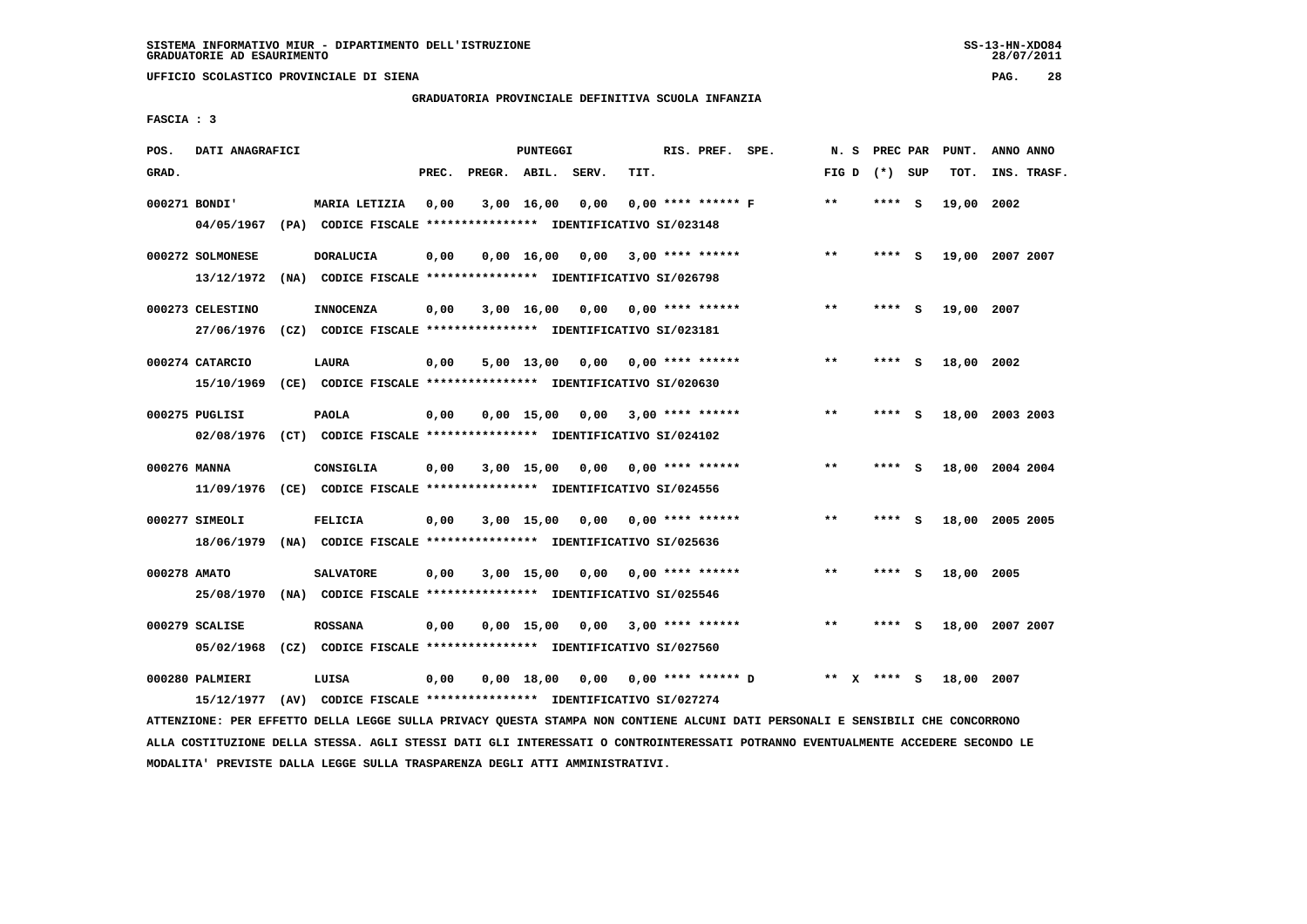**UFFICIO SCOLASTICO PROVINCIALE DI SIENA PAG. 28**

# **GRADUATORIA PROVINCIALE DEFINITIVA SCUOLA INFANZIA**

 **FASCIA : 3**

| POS.         | DATI ANAGRAFICI              |                                                                               |       |                    | PUNTEGGI     |                 |      | RIS. PREF. SPE.             | N.S   | PREC PAR    |     | PUNT.      | ANNO ANNO       |
|--------------|------------------------------|-------------------------------------------------------------------------------|-------|--------------------|--------------|-----------------|------|-----------------------------|-------|-------------|-----|------------|-----------------|
| GRAD.        |                              |                                                                               | PREC. | PREGR. ABIL. SERV. |              |                 | TIT. |                             | FIG D | (*) SUP     |     | TOT.       | INS. TRASF.     |
|              | 000271 BONDI'                | MARIA LETIZIA                                                                 | 0,00  |                    | 3,00 16,00   | 0,00            |      | $0.00$ **** ****** F        | $***$ | ****        | - S | 19,00 2002 |                 |
|              | 04/05/1967                   | (PA) CODICE FISCALE **************** IDENTIFICATIVO SI/023148                 |       |                    |              |                 |      |                             |       |             |     |            |                 |
|              | 000272 SOLMONESE             | <b>DORALUCIA</b>                                                              | 0,00  |                    | 0.00 16.00   | 0,00            |      | $3,00$ **** ******          | $**$  | ****        | - 5 |            | 19,00 2007 2007 |
|              | 13/12/1972                   | (NA) CODICE FISCALE **************** IDENTIFICATIVO SI/026798                 |       |                    |              |                 |      |                             |       |             |     |            |                 |
|              | 000273 CELESTINO             | <b>INNOCENZA</b>                                                              | 0,00  |                    |              | 3,00 16,00 0,00 |      | 0,00 **** ******            | $***$ | **** S      |     | 19,00 2007 |                 |
|              | 27/06/1976                   | (CZ) CODICE FISCALE **************** IDENTIFICATIVO SI/023181                 |       |                    |              |                 |      |                             |       |             |     |            |                 |
|              | 000274 CATARCIO              | LAURA                                                                         | 0,00  |                    | 5,00 13,00   | 0,00            |      | $0.00$ **** ******          | $* *$ | ****        | - S | 18,00 2002 |                 |
|              | 15/10/1969                   | (CE) CODICE FISCALE **************** IDENTIFICATIVO SI/020630                 |       |                    |              |                 |      |                             |       |             |     |            |                 |
|              |                              |                                                                               |       |                    |              |                 |      |                             |       |             |     |            |                 |
|              | 000275 PUGLISI<br>02/08/1976 | <b>PAOLA</b><br>(CT) CODICE FISCALE **************** IDENTIFICATIVO SI/024102 | 0,00  |                    | $0,00$ 15,00 | 0,00            |      | $3,00$ **** ******          | $***$ | ****        | - S |            | 18,00 2003 2003 |
|              |                              |                                                                               |       |                    |              |                 |      |                             |       |             |     |            |                 |
| 000276 MANNA |                              | CONSIGLIA                                                                     | 0,00  |                    | 3,00 15,00   | 0,00            |      | $0.00$ **** ******          | $***$ | ****        | - S |            | 18,00 2004 2004 |
|              | 11/09/1976                   | (CE) CODICE FISCALE **************** IDENTIFICATIVO SI/024556                 |       |                    |              |                 |      |                             |       |             |     |            |                 |
|              | 000277 SIMEOLI               | <b>FELICIA</b>                                                                | 0,00  |                    | 3,00 15,00   | 0,00            |      | $0.00$ **** ******          | $**$  | ****        | - S |            | 18,00 2005 2005 |
|              | 18/06/1979                   | (NA) CODICE FISCALE **************** IDENTIFICATIVO SI/025636                 |       |                    |              |                 |      |                             |       |             |     |            |                 |
| 000278 AMATO |                              | <b>SALVATORE</b>                                                              | 0,00  |                    | 3,00 15,00   | 0,00            |      | 0,00 **** ******            | $***$ | **** S      |     | 18,00 2005 |                 |
|              |                              | 25/08/1970 (NA) CODICE FISCALE *************** IDENTIFICATIVO SI/025546       |       |                    |              |                 |      |                             |       |             |     |            |                 |
|              | 000279 SCALISE               |                                                                               |       |                    | $0,00$ 15,00 |                 |      | $3,00$ **** ******          | $* *$ | ****        | s   |            | 18,00 2007 2007 |
|              | 05/02/1968                   | <b>ROSSANA</b>                                                                | 0,00  |                    |              | 0,00            |      |                             |       |             |     |            |                 |
|              |                              |                                                                               |       |                    |              |                 |      |                             |       |             |     |            |                 |
|              | 000280 PALMIERI              | LUISA                                                                         | 0,00  |                    | 0,00 18,00   |                 |      | $0,00$ $0,00$ **** ****** D |       | ** x **** s |     | 18,00 2007 |                 |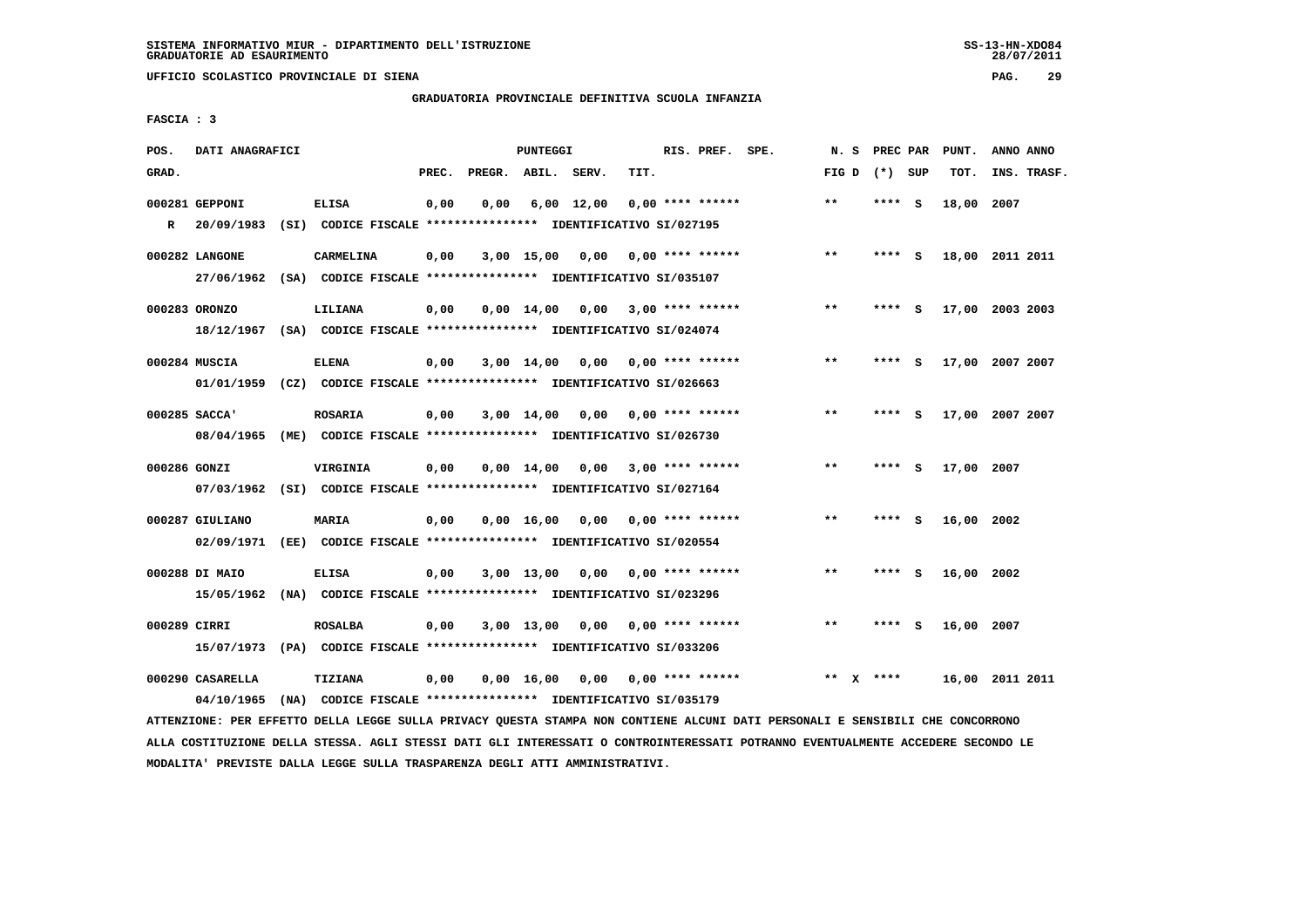**UFFICIO SCOLASTICO PROVINCIALE DI SIENA PAG. 29**

# **GRADUATORIA PROVINCIALE DEFINITIVA SCUOLA INFANZIA**

 **FASCIA : 3**

| POS.         | DATI ANAGRAFICI  |                                                                          |       |                    | PUNTEGGI     |            |                                    | RIS. PREF. SPE. | N.S   |      | PREC PAR          | PUNT.      | ANNO ANNO       |
|--------------|------------------|--------------------------------------------------------------------------|-------|--------------------|--------------|------------|------------------------------------|-----------------|-------|------|-------------------|------------|-----------------|
| GRAD.        |                  |                                                                          | PREC. | PREGR. ABIL. SERV. |              |            | TIT.                               |                 |       |      | FIG $D$ $(*)$ SUP | TOT.       | INS. TRASF.     |
|              | 000281 GEPPONI   | <b>ELISA</b>                                                             | 0,00  | 0,00               |              | 6,00 12,00 | 0,00 **** ******                   |                 | $* *$ | **** | - S               | 18,00 2007 |                 |
| $\mathbf{R}$ |                  | 20/09/1983 (SI) CODICE FISCALE *************** IDENTIFICATIVO SI/027195  |       |                    |              |            |                                    |                 |       |      |                   |            |                 |
|              | 000282 LANGONE   | CARMELINA                                                                | 0,00  |                    | $3,00$ 15,00 | 0,00       | $0,00$ **** ******                 |                 | $* *$ |      | **** S            |            | 18,00 2011 2011 |
|              |                  | 27/06/1962 (SA) CODICE FISCALE *************** IDENTIFICATIVO SI/035107  |       |                    |              |            |                                    |                 |       |      |                   |            |                 |
|              | 000283 ORONZO    | LILIANA                                                                  | 0,00  |                    |              |            | $0,00$ 14,00 0,00 3,00 **** ****** |                 | $***$ |      | **** S            |            | 17,00 2003 2003 |
|              |                  | 18/12/1967 (SA) CODICE FISCALE *************** IDENTIFICATIVO SI/024074  |       |                    |              |            |                                    |                 |       |      |                   |            |                 |
|              | 000284 MUSCIA    | <b>ELENA</b>                                                             | 0,00  |                    | 3,00 14,00   | 0,00       | $0.00$ **** ******                 |                 | $* *$ | **** | - S               |            | 17,00 2007 2007 |
|              |                  | 01/01/1959 (CZ) CODICE FISCALE *************** IDENTIFICATIVO SI/026663  |       |                    |              |            |                                    |                 |       |      |                   |            |                 |
|              | 000285 SACCA'    | <b>ROSARIA</b>                                                           | 0,00  |                    | 3,00 14,00   | 0,00       | 0,00 **** ******                   |                 | $***$ |      | **** S            |            | 17,00 2007 2007 |
|              | 08/04/1965       | (ME) CODICE FISCALE **************** IDENTIFICATIVO SI/026730            |       |                    |              |            |                                    |                 |       |      |                   |            |                 |
| 000286 GONZI |                  | VIRGINIA                                                                 | 0,00  |                    | 0,00 14,00   | 0,00       | $3,00$ **** ******                 |                 | $* *$ | **** | - S               | 17,00 2007 |                 |
|              |                  | 07/03/1962 (SI) CODICE FISCALE *************** IDENTIFICATIVO SI/027164  |       |                    |              |            |                                    |                 |       |      |                   |            |                 |
|              | 000287 GIULIANO  | <b>MARIA</b>                                                             | 0,00  |                    | 0,00 16,00   | 0,00       | $0.00$ **** ******                 |                 | $***$ | **** | - S               | 16,00 2002 |                 |
|              | 02/09/1971       | (EE) CODICE FISCALE **************** IDENTIFICATIVO SI/020554            |       |                    |              |            |                                    |                 |       |      |                   |            |                 |
|              | 000288 DI MAIO   | <b>ELISA</b>                                                             | 0,00  |                    | 3,00 13,00   | 0,00       | 0,00 **** ******                   |                 | $**$  | **** | - S               | 16,00 2002 |                 |
|              |                  | 15/05/1962 (NA) CODICE FISCALE **************** IDENTIFICATIVO SI/023296 |       |                    |              |            |                                    |                 |       |      |                   |            |                 |
| 000289 CIRRI |                  | <b>ROSALBA</b>                                                           | 0,00  |                    | $3,00$ 13,00 | 0.00       | 0,00 **** ******                   |                 | $* *$ | **** | - S               | 16,00 2007 |                 |
|              | 15/07/1973       | (PA) CODICE FISCALE **************** IDENTIFICATIVO SI/033206            |       |                    |              |            |                                    |                 |       |      |                   |            |                 |
|              | 000290 CASARELLA | TIZIANA                                                                  | 0,00  |                    | 0,00 16,00   |            | $0.00$ $0.00$ **** ******          |                 | $* *$ | **** |                   |            | 16,00 2011 2011 |
|              | 04/10/1965       | (NA) CODICE FISCALE **************** IDENTIFICATIVO SI/035179            |       |                    |              |            |                                    |                 |       |      |                   |            |                 |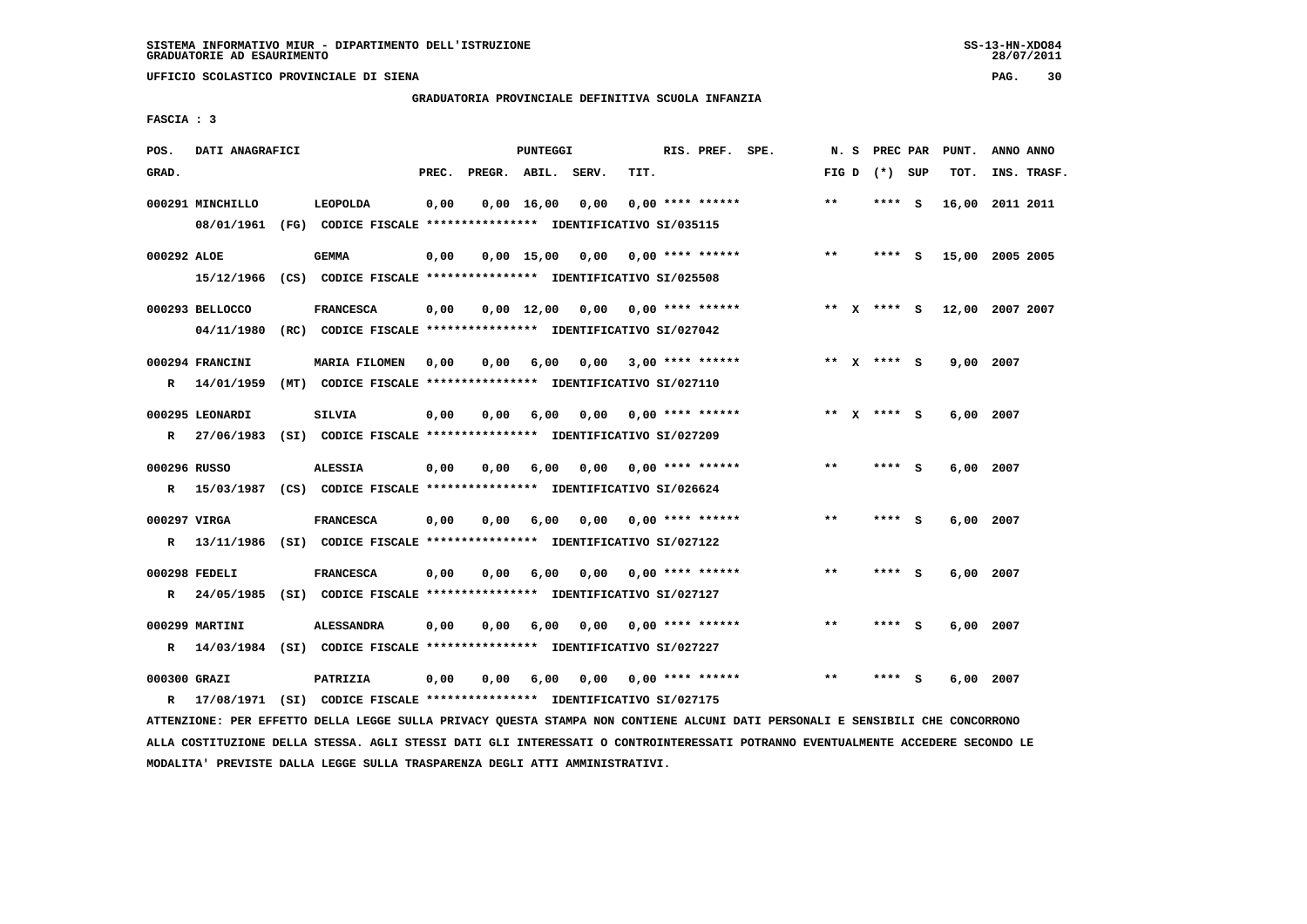**UFFICIO SCOLASTICO PROVINCIALE DI SIENA PAG. 30**

# **GRADUATORIA PROVINCIALE DEFINITIVA SCUOLA INFANZIA**

 **FASCIA : 3**

| POS.              | DATI ANAGRAFICI               |                                                                                               |       |              | <b>PUNTEGGI</b>    |       |                    | RIS. PREF. | SPE. | N.S          | PREC PAR        |     | PUNT.     | ANNO ANNO       |
|-------------------|-------------------------------|-----------------------------------------------------------------------------------------------|-------|--------------|--------------------|-------|--------------------|------------|------|--------------|-----------------|-----|-----------|-----------------|
| GRAD.             |                               |                                                                                               | PREC. | PREGR. ABIL. |                    | SERV. | TIT.               |            |      |              | FIG D $(*)$ SUP |     | TOT.      | INS. TRASF.     |
|                   | 000291 MINCHILLO              | LEOPOLDA<br>08/01/1961 (FG) CODICE FISCALE *************** IDENTIFICATIVO SI/035115           | 0,00  |              | 0,00 16,00         | 0,00  | $0.00$ **** ****** |            |      | $***$        | ****            | - s |           | 16,00 2011 2011 |
| 000292 ALOE       | 15/12/1966                    | GEMMA<br>(CS) CODICE FISCALE **************** IDENTIFICATIVO SI/025508                        | 0,00  |              | 0.00 15.00         | 0,00  | $0.00$ **** ****** |            |      | $***$        | ****            | ్   |           | 15,00 2005 2005 |
|                   | 000293 BELLOCCO<br>04/11/1980 | <b>FRANCESCA</b><br>(RC) CODICE FISCALE **************** IDENTIFICATIVO SI/027042             | 0,00  |              | $0.00 \quad 12.00$ | 0,00  | $0.00$ **** ****** |            |      |              | ** $X$ **** S   |     |           | 12,00 2007 2007 |
| R                 | 000294 FRANCINI<br>14/01/1959 | <b>MARIA FILOMEN</b><br>(MT) CODICE FISCALE **************** IDENTIFICATIVO SI/027110         | 0,00  | 0,00         | 6,00               | 0,00  | $3,00$ **** ****** |            |      | $* *$        | X **** S        |     | 9,00      | 2007            |
| $\mathbf{R}$      | 000295 LEONARDI               | <b>SILVIA</b><br>27/06/1983 (SI) CODICE FISCALE **************** IDENTIFICATIVO SI/027209     | 0,00  | 0.00         | 6,00               | 0.00  | $0.00$ **** ****** |            |      |              | ** $X$ **** S   |     | 6,00 2007 |                 |
| 000296 RUSSO<br>R |                               | <b>ALESSIA</b><br>15/03/1987 (CS) CODICE FISCALE *************** IDENTIFICATIVO SI/026624     | 0,00  | 0,00         | 6,00               | 0,00  | $0.00$ **** ****** |            |      | $* *$        | ****            | ్   | 6,00      | 2007            |
| 000297 VIRGA<br>R |                               | <b>FRANCESCA</b><br>13/11/1986 (SI) CODICE FISCALE *************** IDENTIFICATIVO SI/027122   | 0,00  | 0.00         | 6,00               | 0.00  | $0.00$ **** ****** |            |      | $\star\star$ | ****            | - 5 | 6,00      | 2007            |
| R                 | 000298 FEDELI                 | <b>FRANCESCA</b><br>24/05/1985 (SI) CODICE FISCALE *************** IDENTIFICATIVO SI/027127   | 0.00  | 0.00         | 6,00               | 0.00  | $0.00$ **** ****** |            |      | $***$        | ****            | - S | 6,00 2007 |                 |
| R                 | 000299 MARTINI                | <b>ALESSANDRA</b><br>14/03/1984 (SI) CODICE FISCALE **************** IDENTIFICATIVO SI/027227 | 0,00  | 0.00         | 6,00               | 0.00  | $0.00$ **** ****** |            |      | $***$        | ****            | S.  | 6,00      | 2007            |
| 000300 GRAZI      |                               | PATRIZIA                                                                                      | 0,00  | 0,00         | 6,00               | 0,00  | $0.00$ **** ****** |            |      | $* *$        | ****            | - S | 6,00 2007 |                 |

 **R 17/08/1971 (SI) CODICE FISCALE \*\*\*\*\*\*\*\*\*\*\*\*\*\*\*\* IDENTIFICATIVO SI/027175**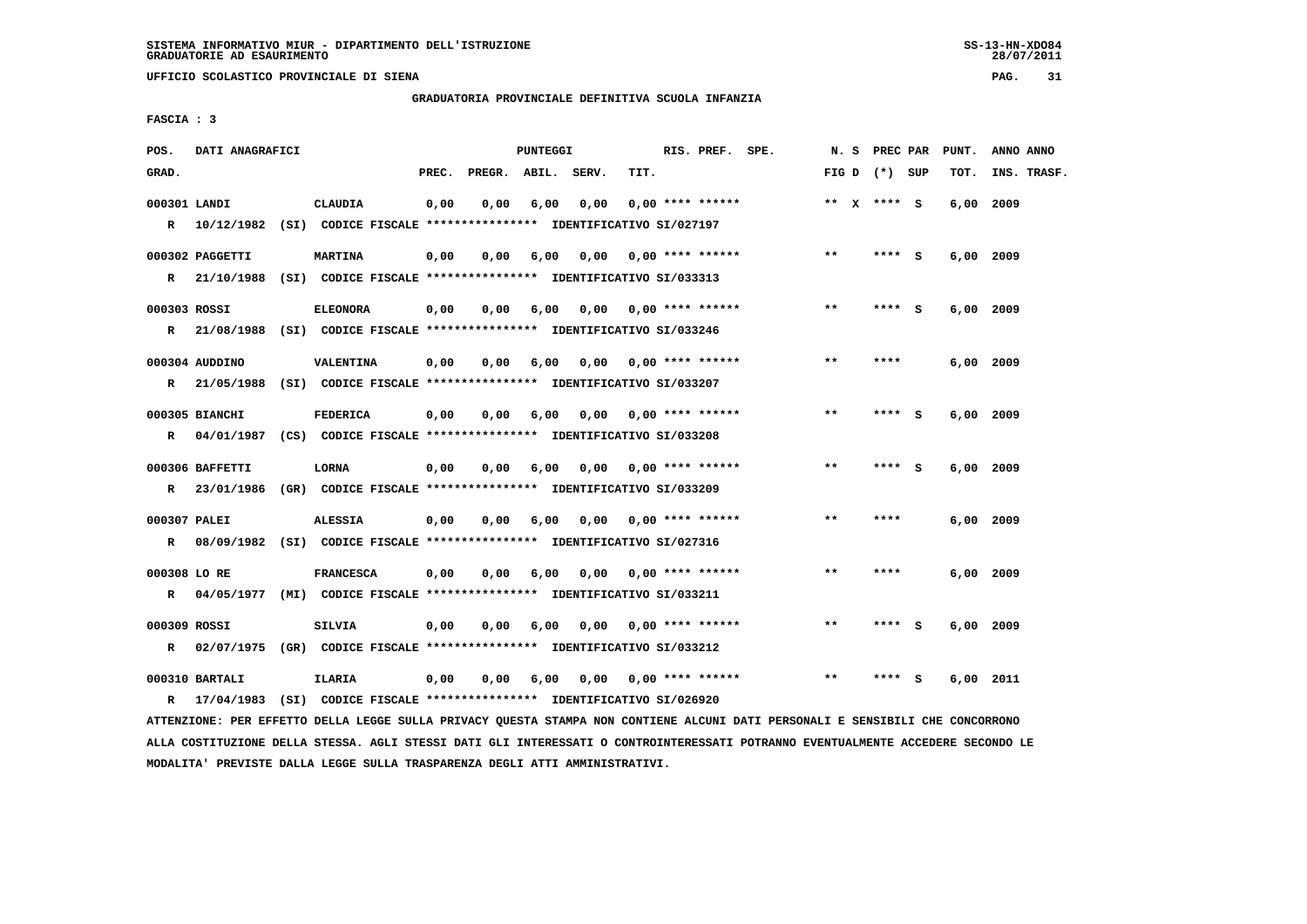**UFFICIO SCOLASTICO PROVINCIALE DI SIENA PAG. 31**

 **GRADUATORIA PROVINCIALE DEFINITIVA SCUOLA INFANZIA**

 **FASCIA : 3**

| POS.         | DATI ANAGRAFICI |                                                                           |       |                    | PUNTEGGI |      |                           | RIS. PREF. SPE. | N. S PREC PAR   |        |     | PUNT.       | ANNO ANNO   |
|--------------|-----------------|---------------------------------------------------------------------------|-------|--------------------|----------|------|---------------------------|-----------------|-----------------|--------|-----|-------------|-------------|
| GRAD.        |                 |                                                                           | PREC. | PREGR. ABIL. SERV. |          |      | TIT.                      |                 | FIG D $(*)$ SUP |        |     | TOT.        | INS. TRASF. |
|              |                 |                                                                           |       |                    |          |      |                           |                 | ** $X$ **** S   |        |     |             |             |
| 000301 LANDI |                 | <b>CLAUDIA</b>                                                            | 0,00  | 0,00               | 6,00     | 0,00 | $0.00$ **** ******        |                 |                 |        |     | 6,00 2009   |             |
| $\mathbb{R}$ |                 | 10/12/1982 (SI) CODICE FISCALE **************** IDENTIFICATIVO SI/027197  |       |                    |          |      |                           |                 |                 |        |     |             |             |
|              | 000302 PAGGETTI | <b>MARTINA</b>                                                            | 0,00  | 0,00               | 6,00     |      | $0,00$ $0,00$ **** ****** |                 | $***$           | **** S |     | $6,00$ 2009 |             |
|              |                 | R 21/10/1988 (SI) CODICE FISCALE *************** IDENTIFICATIVO SI/033313 |       |                    |          |      |                           |                 |                 |        |     |             |             |
|              |                 |                                                                           |       |                    |          |      |                           |                 |                 |        |     |             |             |
| 000303 ROSSI |                 | <b>ELEONORA</b>                                                           | 0,00  | 0,00               | 6,00     |      | $0,00$ $0,00$ **** ****** |                 | $* *$           | ****   | - S | 6,00 2009   |             |
| $\mathbb{R}$ |                 | 21/08/1988 (SI) CODICE FISCALE **************** IDENTIFICATIVO SI/033246  |       |                    |          |      |                           |                 |                 |        |     |             |             |
|              | 000304 AUDDINO  | VALENTINA                                                                 | 0,00  | 0.00               | 6,00     |      | $0,00$ $0,00$ **** ****** |                 | $* *$           | ****   |     | $6,00$ 2009 |             |
|              |                 | R 21/05/1988 (SI) CODICE FISCALE *************** IDENTIFICATIVO SI/033207 |       |                    |          |      |                           |                 |                 |        |     |             |             |
|              |                 |                                                                           |       |                    |          |      |                           |                 |                 |        |     |             |             |
|              | 000305 BIANCHI  | <b>FEDERICA</b>                                                           | 0,00  | 0,00               | 6,00     |      | $0,00$ $0,00$ **** ****** |                 | $* *$           | **** S |     | 6,00 2009   |             |
| R            |                 | 04/01/1987 (CS) CODICE FISCALE *************** IDENTIFICATIVO SI/033208   |       |                    |          |      |                           |                 |                 |        |     |             |             |
|              |                 |                                                                           |       |                    |          |      |                           |                 | $***$           |        |     |             |             |
|              | 000306 BAFFETTI | <b>LORNA</b>                                                              | 0,00  | 0.00               | 6,00     | 0,00 | $0.00$ **** ******        |                 |                 | **** S |     | $6,00$ 2009 |             |
|              |                 | R 23/01/1986 (GR) CODICE FISCALE *************** IDENTIFICATIVO SI/033209 |       |                    |          |      |                           |                 |                 |        |     |             |             |
| 000307 PALEI |                 | <b>ALESSIA</b>                                                            | 0,00  | 0,00               | 6,00     | 0,00 | $0.00$ **** ******        |                 | $* *$           | ****   |     | $6,00$ 2009 |             |
| R            |                 | 08/09/1982 (SI) CODICE FISCALE **************** IDENTIFICATIVO SI/027316  |       |                    |          |      |                           |                 |                 |        |     |             |             |
|              |                 |                                                                           |       |                    |          |      |                           |                 |                 |        |     |             |             |
| 000308 LO RE |                 | <b>FRANCESCA</b>                                                          | 0,00  | 0.00               | 6,00     | 0,00 | $0.00$ **** ******        |                 | $* *$           | ****   |     | $6,00$ 2009 |             |
|              |                 | R 04/05/1977 (MI) CODICE FISCALE *************** IDENTIFICATIVO SI/033211 |       |                    |          |      |                           |                 |                 |        |     |             |             |
| 000309 ROSSI |                 | <b>SILVIA</b>                                                             | 0,00  | 0,00               | 6,00     | 0,00 | $0.00$ **** ******        |                 | $* *$           | ****   | - S | 6,00 2009   |             |
| R            |                 | 02/07/1975 (GR) CODICE FISCALE *************** IDENTIFICATIVO SI/033212   |       |                    |          |      |                           |                 |                 |        |     |             |             |
|              |                 |                                                                           |       |                    |          |      |                           |                 |                 |        |     |             |             |
|              | 000310 BARTALI  | <b>ILARIA</b>                                                             | 0,00  | 0,00               | 6,00     |      | $0,00$ $0,00$ **** ****** |                 | **              | ****   | - S | $6,00$ 2011 |             |
| $\mathbf{R}$ | 17/04/1983      | (SI) CODICE FISCALE **************** IDENTIFICATIVO SI/026920             |       |                    |          |      |                           |                 |                 |        |     |             |             |